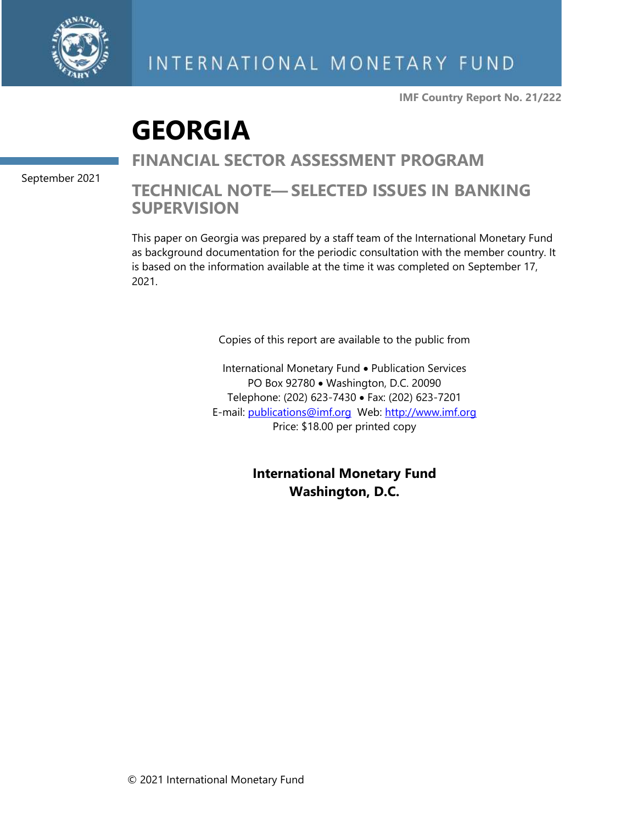

**IMF Country Report No. 21/222**

# **GEORGIA**

September 2021

### **FINANCIAL SECTOR ASSESSMENT PROGRAM**

### **TECHNICAL NOTE— SELECTED ISSUES IN BANKING SUPERVISION**

This paper on Georgia was prepared by a staff team of the International Monetary Fund as background documentation for the periodic consultation with the member country. It is based on the information available at the time it was completed on September 17, 2021.

Copies of this report are available to the public from

International Monetary Fund • Publication Services PO Box 92780 • Washington, D.C. 20090 Telephone: (202) 623-7430 • Fax: (202) 623-7201 E-mail: [publications@imf.org](mailto:publications@imf.org) Web: [http://www.imf.org](http://www.imf.org/) Price: \$18.00 per printed copy

> **International Monetary Fund Washington, D.C.**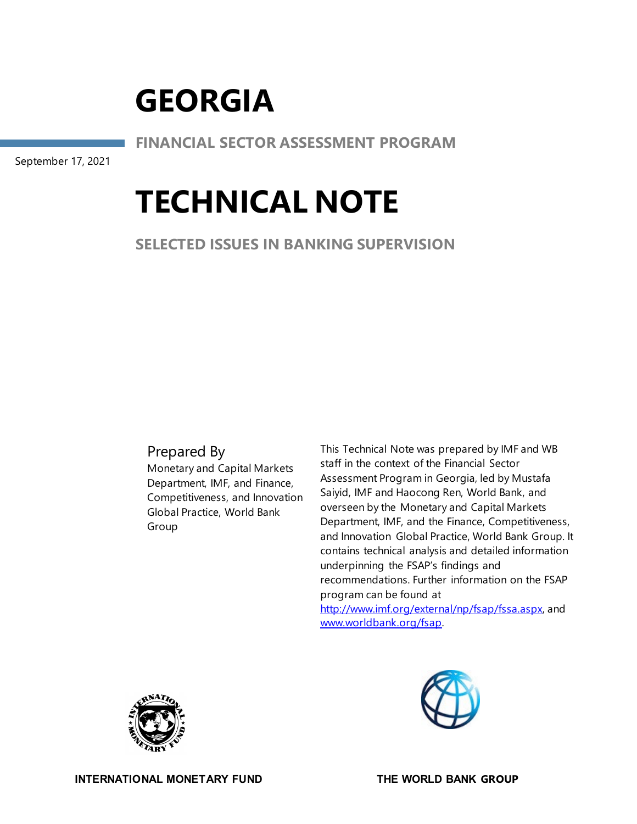**FINANCIAL SECTOR ASSESSMENT PROGRAM**

September 17, 2021

# **TECHNICAL NOTE**

**SELECTED ISSUES IN BANKING SUPERVISION**

### Prepared By

Monetary and Capital Markets Department, IMF, and Finance, Competitiveness, and Innovation Global Practice, World Bank Group

This Technical Note was prepared by IMF and WB staff in the context of the Financial Sector Assessment Program in Georgia, led by Mustafa Saiyid, IMF and Haocong Ren, World Bank, and overseen by the Monetary and Capital Markets Department, IMF, and the Finance, Competitiveness, and Innovation Global Practice, World Bank Group. It contains technical analysis and detailed information underpinning the FSAP's findings and recommendations. Further information on the FSAP program can be found at [http://www.imf.org/external/np/fsap/fssa.aspx,](about:blank) and [www.worldbank.org/fsap.](about:blank)



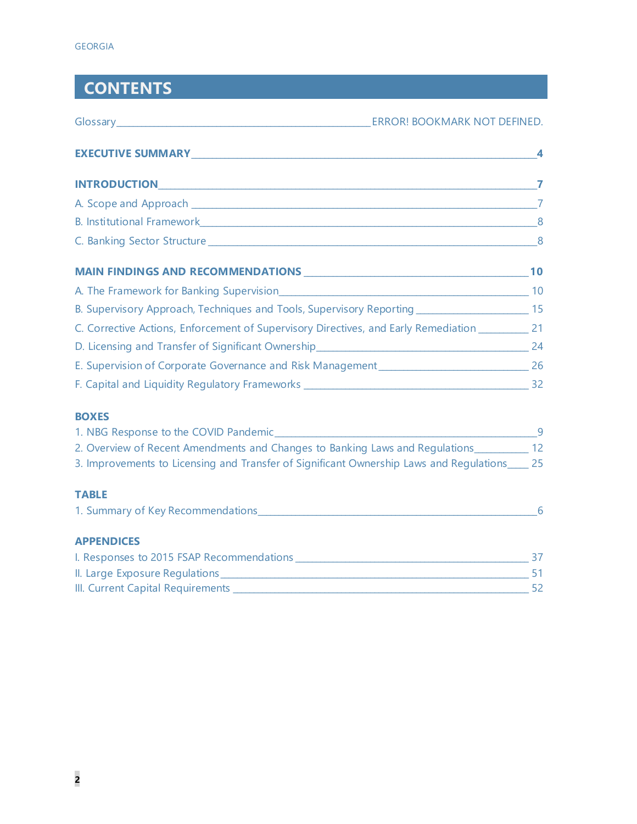# **CONTENTS**

|                                                                                                                 | ERROR! BOOKMARK NOT DEFINED. |
|-----------------------------------------------------------------------------------------------------------------|------------------------------|
|                                                                                                                 |                              |
| INTRODUCTIONNARY CONTROLLER TO A CONTROLLER THE CONTROLLER TO A CONTROLLER THE CONTROLLER THAN THE CONTROLLER T |                              |
|                                                                                                                 |                              |
| B. Institutional Framework 8                                                                                    |                              |
|                                                                                                                 |                              |
|                                                                                                                 |                              |
|                                                                                                                 |                              |
| B. Supervisory Approach, Techniques and Tools, Supervisory Reporting _______________________________ 15         |                              |
| C. Corrective Actions, Enforcement of Supervisory Directives, and Early Remediation ____________ 21             |                              |
|                                                                                                                 |                              |
|                                                                                                                 |                              |
|                                                                                                                 |                              |

### **BOXES**

| 1. NBG Response to the COVID Pandemic                                                   |     |
|-----------------------------------------------------------------------------------------|-----|
| 2. Overview of Recent Amendments and Changes to Banking Laws and Regulations            | 12. |
| 3. Improvements to Licensing and Transfer of Significant Ownership Laws and Regulations | 25  |

### **TABLE**

| 1. Summary of Key Recommendations_ |  |
|------------------------------------|--|
|                                    |  |

### **APPENDICES**

| I. Responses to 2015 FSAP Recommendations |  |
|-------------------------------------------|--|
| II. Large Exposure Regulations            |  |
| III. Current Capital Requirements         |  |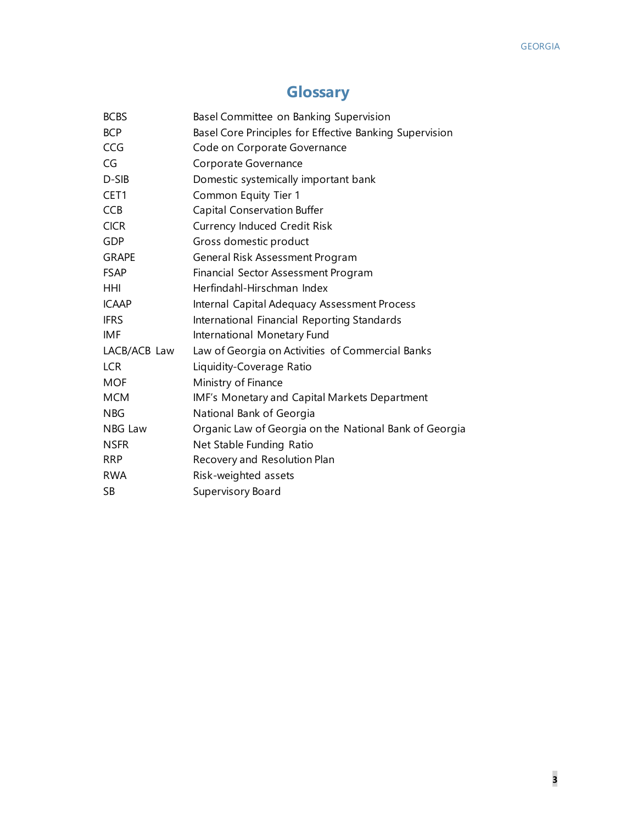## **Glossary**

| <b>BCBS</b>      | Basel Committee on Banking Supervision                  |
|------------------|---------------------------------------------------------|
| <b>BCP</b>       | Basel Core Principles for Effective Banking Supervision |
| <b>CCG</b>       | Code on Corporate Governance                            |
| CG               | Corporate Governance                                    |
| D-SIB            | Domestic systemically important bank                    |
| CET <sub>1</sub> | Common Equity Tier 1                                    |
| <b>CCB</b>       | <b>Capital Conservation Buffer</b>                      |
| <b>CICR</b>      | <b>Currency Induced Credit Risk</b>                     |
| GDP              | Gross domestic product                                  |
| <b>GRAPE</b>     | General Risk Assessment Program                         |
| <b>FSAP</b>      | Financial Sector Assessment Program                     |
| <b>HHI</b>       | Herfindahl-Hirschman Index                              |
| <b>ICAAP</b>     | Internal Capital Adequacy Assessment Process            |
| <b>IFRS</b>      | International Financial Reporting Standards             |
| <b>IMF</b>       | International Monetary Fund                             |
| LACB/ACB Law     | Law of Georgia on Activities of Commercial Banks        |
| <b>LCR</b>       | Liquidity-Coverage Ratio                                |
| <b>MOF</b>       | Ministry of Finance                                     |
| <b>MCM</b>       | IMF's Monetary and Capital Markets Department           |
| <b>NBG</b>       | National Bank of Georgia                                |
| NBG Law          | Organic Law of Georgia on the National Bank of Georgia  |
| <b>NSFR</b>      | Net Stable Funding Ratio                                |
| <b>RRP</b>       | Recovery and Resolution Plan                            |
| <b>RWA</b>       | Risk-weighted assets                                    |
| <b>SB</b>        | Supervisory Board                                       |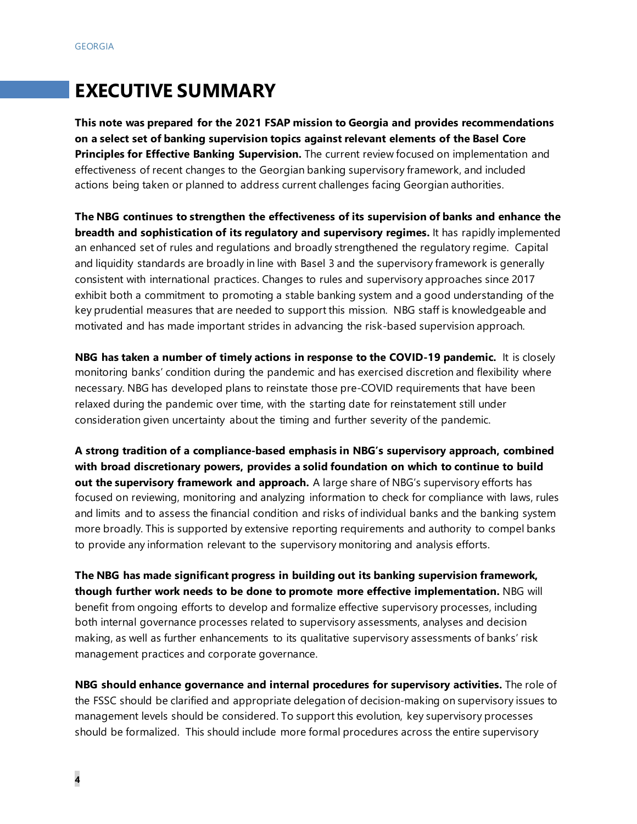## **EXECUTIVE SUMMARY**

**This note was prepared for the 2021 FSAP mission to Georgia and provides recommendations on a select set of banking supervision topics against relevant elements of the Basel Core**  Principles for Effective Banking Supervision. The current review focused on implementation and effectiveness of recent changes to the Georgian banking supervisory framework, and included actions being taken or planned to address current challenges facing Georgian authorities.

**The NBG continues to strengthen the effectiveness of its supervision of banks and enhance the breadth and sophistication of its regulatory and supervisory regimes.** It has rapidly implemented an enhanced set of rules and regulations and broadly strengthened the regulatory regime. Capital and liquidity standards are broadly in line with Basel 3 and the supervisory framework is generally consistent with international practices. Changes to rules and supervisory approaches since 2017 exhibit both a commitment to promoting a stable banking system and a good understanding of the key prudential measures that are needed to support this mission. NBG staff is knowledgeable and motivated and has made important strides in advancing the risk-based supervision approach.

**NBG has taken a number of timely actions in response to the COVID-19 pandemic.** It is closely monitoring banks' condition during the pandemic and has exercised discretion and flexibility where necessary. NBG has developed plans to reinstate those pre-COVID requirements that have been relaxed during the pandemic over time, with the starting date for reinstatement still under consideration given uncertainty about the timing and further severity of the pandemic.

**A strong tradition of a compliance-based emphasis in NBG's supervisory approach, combined with broad discretionary powers, provides a solid foundation on which to continue to build out the supervisory framework and approach.** A large share of NBG's supervisory efforts has focused on reviewing, monitoring and analyzing information to check for compliance with laws, rules and limits and to assess the financial condition and risks of individual banks and the banking system more broadly. This is supported by extensive reporting requirements and authority to compel banks to provide any information relevant to the supervisory monitoring and analysis efforts.

**The NBG has made significant progress in building out its banking supervision framework, though further work needs to be done to promote more effective implementation.** NBG will benefit from ongoing efforts to develop and formalize effective supervisory processes, including both internal governance processes related to supervisory assessments, analyses and decision making, as well as further enhancements to its qualitative supervisory assessments of banks' risk management practices and corporate governance.

**NBG should enhance governance and internal procedures for supervisory activities.** The role of the FSSC should be clarified and appropriate delegation of decision-making on supervisory issues to management levels should be considered. To support this evolution, key supervisory processes should be formalized. This should include more formal procedures across the entire supervisory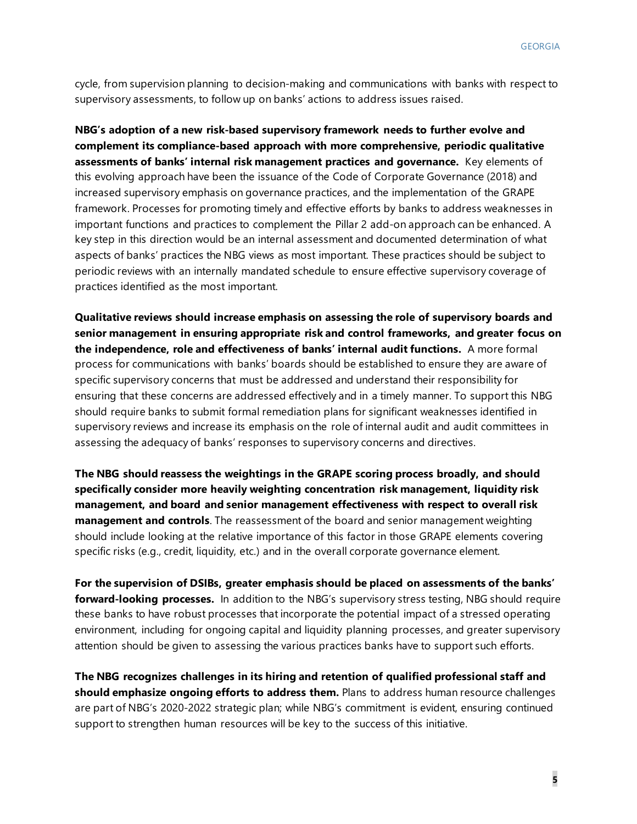cycle, from supervision planning to decision-making and communications with banks with respect to supervisory assessments, to follow up on banks' actions to address issues raised.

**NBG's adoption of a new risk-based supervisory framework needs to further evolve and complement its compliance-based approach with more comprehensive, periodic qualitative assessments of banks' internal risk management practices and governance.** Key elements of this evolving approach have been the issuance of the Code of Corporate Governance (2018) and increased supervisory emphasis on governance practices, and the implementation of the GRAPE framework. Processes for promoting timely and effective efforts by banks to address weaknesses in important functions and practices to complement the Pillar 2 add-on approach can be enhanced. A key step in this direction would be an internal assessment and documented determination of what aspects of banks' practices the NBG views as most important. These practices should be subject to periodic reviews with an internally mandated schedule to ensure effective supervisory coverage of practices identified as the most important.

**Qualitative reviews should increase emphasis on assessing the role of supervisory boards and senior management in ensuring appropriate risk and control frameworks, and greater focus on the independence, role and effectiveness of banks' internal audit functions.** A more formal process for communications with banks' boards should be established to ensure they are aware of specific supervisory concerns that must be addressed and understand their responsibility for ensuring that these concerns are addressed effectively and in a timely manner. To support this NBG should require banks to submit formal remediation plans for significant weaknesses identified in supervisory reviews and increase its emphasis on the role of internal audit and audit committees in assessing the adequacy of banks' responses to supervisory concerns and directives.

**The NBG should reassess the weightings in the GRAPE scoring process broadly, and should specifically consider more heavily weighting concentration risk management, liquidity risk management, and board and senior management effectiveness with respect to overall risk management and controls**. The reassessment of the board and senior management weighting should include looking at the relative importance of this factor in those GRAPE elements covering specific risks (e.g., credit, liquidity, etc.) and in the overall corporate governance element.

**For the supervision of DSIBs, greater emphasis should be placed on assessments of the banks' forward-looking processes.** In addition to the NBG's supervisory stress testing, NBG should require these banks to have robust processes that incorporate the potential impact of a stressed operating environment, including for ongoing capital and liquidity planning processes, and greater supervisory attention should be given to assessing the various practices banks have to support such efforts.

**The NBG recognizes challenges in its hiring and retention of qualified professional staff and should emphasize ongoing efforts to address them.** Plans to address human resource challenges are part of NBG's 2020-2022 strategic plan; while NBG's commitment is evident, ensuring continued support to strengthen human resources will be key to the success of this initiative.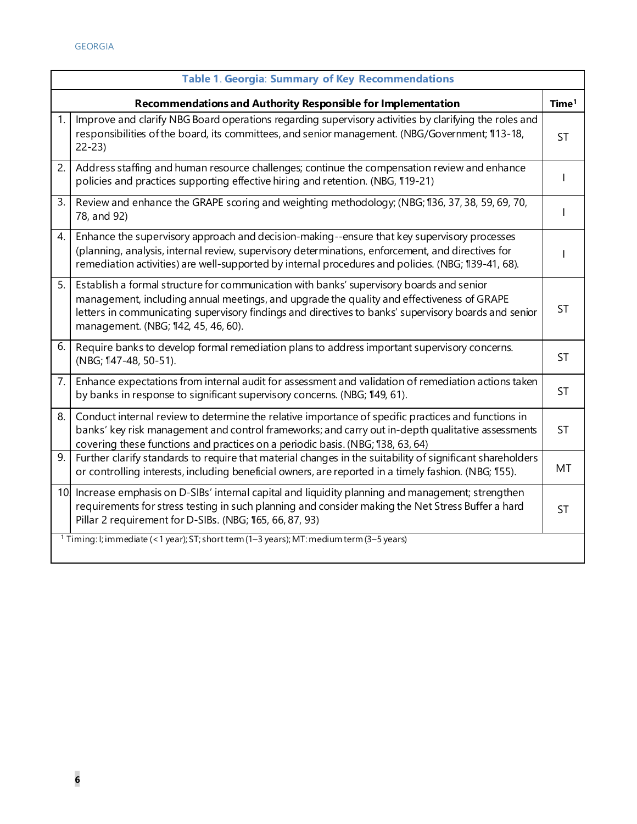|     | Table 1. Georgia: Summary of Key Recommendations                                                                                                                                                                                                                                                                                     |                   |  |  |
|-----|--------------------------------------------------------------------------------------------------------------------------------------------------------------------------------------------------------------------------------------------------------------------------------------------------------------------------------------|-------------------|--|--|
|     | Recommendations and Authority Responsible for Implementation                                                                                                                                                                                                                                                                         | Time <sup>1</sup> |  |  |
| 1.  | Improve and clarify NBG Board operations regarding supervisory activities by clarifying the roles and<br>responsibilities of the board, its committees, and senior management. (NBG/Government; 113-18,<br>$22 - 23$                                                                                                                 | <b>ST</b>         |  |  |
| 2.  | Address staffing and human resource challenges; continue the compensation review and enhance<br>policies and practices supporting effective hiring and retention. (NBG, 119-21)                                                                                                                                                      | $\mathbf{I}$      |  |  |
| 3.  | Review and enhance the GRAPE scoring and weighting methodology; (NBG; 136, 37, 38, 59, 69, 70,<br>78, and 92)                                                                                                                                                                                                                        | $\mathbf{I}$      |  |  |
| 4.  | Enhance the supervisory approach and decision-making--ensure that key supervisory processes<br>(planning, analysis, internal review, supervisory determinations, enforcement, and directives for<br>remediation activities) are well-supported by internal procedures and policies. (NBG; 139-41, 68).                               |                   |  |  |
| 5.1 | Establish a formal structure for communication with banks' supervisory boards and senior<br>management, including annual meetings, and upgrade the quality and effectiveness of GRAPE<br>letters in communicating supervisory findings and directives to banks' supervisory boards and senior<br>management. (NBG; 142, 45, 46, 60). | <b>ST</b>         |  |  |
| 6.  | Require banks to develop formal remediation plans to address important supervisory concerns.<br>(NBG; 147-48, 50-51).                                                                                                                                                                                                                | <b>ST</b>         |  |  |
| 7.  | Enhance expectations from internal audit for assessment and validation of remediation actions taken<br>by banks in response to significant supervisory concerns. (NBG; 149, 61).                                                                                                                                                     | <b>ST</b>         |  |  |
| 8.  | Conduct internal review to determine the relative importance of specific practices and functions in<br>banks' key risk management and control frameworks; and carry out in-depth qualitative assessments<br>covering these functions and practices on a periodic basis. (NBG; 138, 63, 64)                                           | <b>ST</b>         |  |  |
| 9.  | Further clarify standards to require that material changes in the suitability of significant shareholders<br>or controlling interests, including beneficial owners, are reported in a timely fashion. (NBG; 155).                                                                                                                    | MT                |  |  |
|     | 10 Increase emphasis on D-SIBs' internal capital and liquidity planning and management; strengthen<br>requirements for stress testing in such planning and consider making the Net Stress Buffer a hard<br>Pillar 2 requirement for D-SIBs. (NBG; 165, 66, 87, 93)                                                                   | <b>ST</b>         |  |  |
|     | $1$ Timing: I; immediate (< 1 year); ST; short term (1-3 years); MT: medium term (3-5 years)                                                                                                                                                                                                                                         |                   |  |  |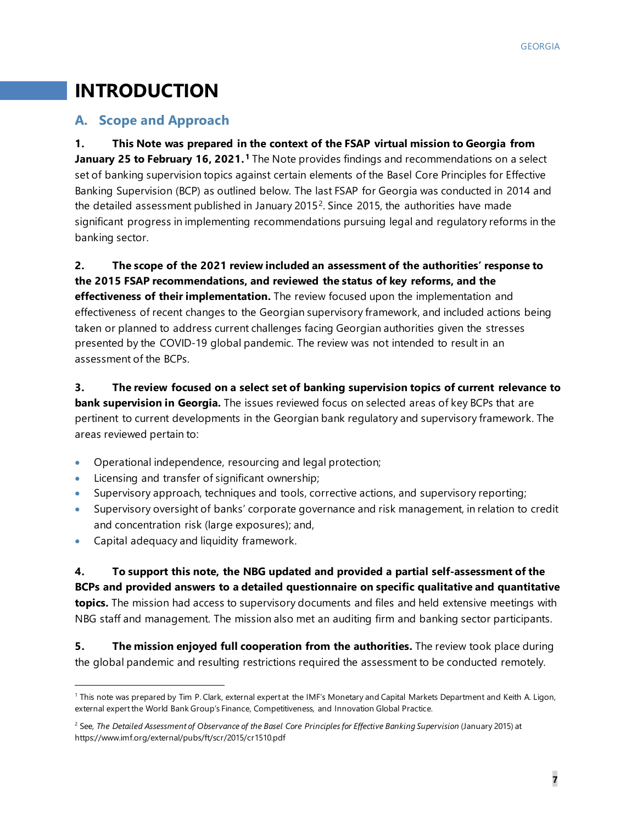# **INTRODUCTION**

### **A. Scope and Approach**

**1. This Note was prepared in the context of the FSAP virtual mission to Georgia from January 25 to February 16, 2021. [1](#page-7-0)** The Note provides findings and recommendations on a select set of banking supervision topics against certain elements of the Basel Core Principles for Effective Banking Supervision (BCP) as outlined below. The last FSAP for Georgia was conducted in 2014 and the detailed assessment published in January [2](#page-7-1)015<sup>2</sup>. Since 2015, the authorities have made significant progress in implementing recommendations pursuing legal and regulatory reforms in the banking sector.

**2. The scope of the 2021 review included an assessment of the authorities' response to the 2015 FSAP recommendations, and reviewed the status of key reforms, and the** 

**effectiveness of their implementation.** The review focused upon the implementation and effectiveness of recent changes to the Georgian supervisory framework, and included actions being taken or planned to address current challenges facing Georgian authorities given the stresses presented by the COVID-19 global pandemic. The review was not intended to result in an assessment of the BCPs.

### **3. The review focused on a select set of banking supervision topics of current relevance to**

**bank supervision in Georgia.** The issues reviewed focus on selected areas of key BCPs that are pertinent to current developments in the Georgian bank regulatory and supervisory framework. The areas reviewed pertain to:

- Operational independence, resourcing and legal protection;
- Licensing and transfer of significant ownership;
- Supervisory approach, techniques and tools, corrective actions, and supervisory reporting;
- Supervisory oversight of banks' corporate governance and risk management, in relation to credit and concentration risk (large exposures); and,
- Capital adequacy and liquidity framework.

**4. To support this note, the NBG updated and provided a partial self-assessment of the BCPs and provided answers to a detailed questionnaire on specific qualitative and quantitative topics.** The mission had access to supervisory documents and files and held extensive meetings with NBG staff and management. The mission also met an auditing firm and banking sector participants.

**5. The mission enjoyed full cooperation from the authorities.** The review took place during the global pandemic and resulting restrictions required the assessment to be conducted remotely.

<span id="page-7-0"></span><sup>1</sup> This note was prepared by Tim P. Clark, external expert at the IMF's Monetary and Capital Markets Department and Keith A. Ligon, external expert the World Bank Group's Finance, Competitiveness, and Innovation Global Practice.

<span id="page-7-1"></span><sup>&</sup>lt;sup>2</sup> See, *The Detailed Assessment of Observance of the Basel Core Principles for Effective Banking Supervision (January 2015) at* https://www.imf.org/external/pubs/ft/scr/2015/cr1510.pdf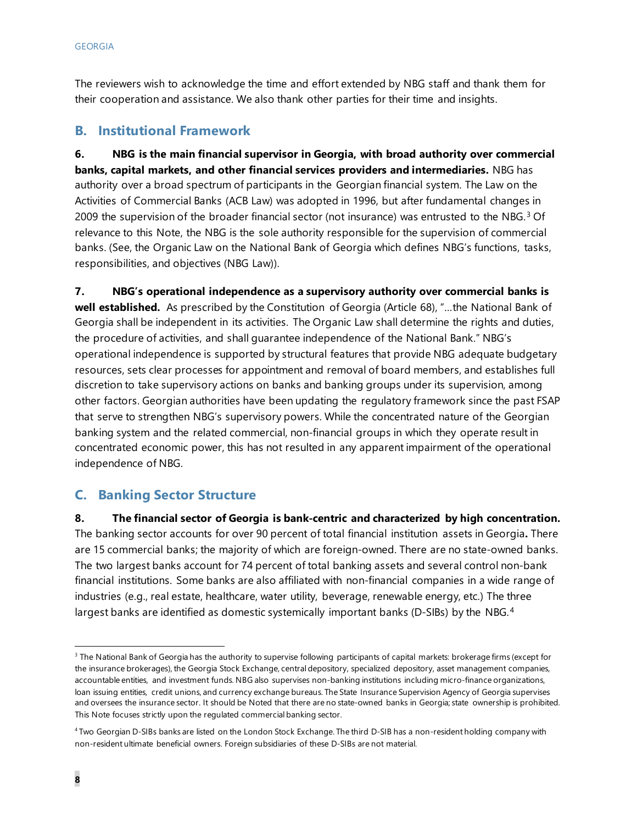The reviewers wish to acknowledge the time and effort extended by NBG staff and thank them for their cooperation and assistance. We also thank other parties for their time and insights.

### **B. Institutional Framework**

**6. NBG is the main financial supervisor in Georgia, with broad authority over commercial banks, capital markets, and other financial services providers and intermediaries.** NBG has authority over a broad spectrum of participants in the Georgian financial system. The Law on the Activities of Commercial Banks (ACB Law) was adopted in 1996, but after fundamental changes in 2009 the supervision of the broader financial sector (not insurance) was entrusted to the NBG. [3](#page-8-0) Of relevance to this Note, the NBG is the sole authority responsible for the supervision of commercial banks. (See, the Organic Law on the National Bank of Georgia which defines NBG's functions, tasks, responsibilities, and objectives (NBG Law)).

**7. NBG's operational independence as a supervisory authority over commercial banks is well established.** As prescribed by the Constitution of Georgia (Article 68), "…the National Bank of Georgia shall be independent in its activities. The Organic Law shall determine the rights and duties, the procedure of activities, and shall guarantee independence of the National Bank." NBG's operational independence is supported by structural features that provide NBG adequate budgetary resources, sets clear processes for appointment and removal of board members, and establishes full discretion to take supervisory actions on banks and banking groups under its supervision, among other factors. Georgian authorities have been updating the regulatory framework since the past FSAP that serve to strengthen NBG's supervisory powers. While the concentrated nature of the Georgian banking system and the related commercial, non-financial groups in which they operate result in concentrated economic power, this has not resulted in any apparent impairment of the operational independence of NBG.

### **C. Banking Sector Structure**

**8. The financial sector of Georgia is bank-centric and characterized by high concentration.**  The banking sector accounts for over 90 percent of total financial institution assets in Georgia**.** There are 15 commercial banks; the majority of which are foreign-owned. There are no state-owned banks. The two largest banks account for 74 percent of total banking assets and several control non-bank financial institutions. Some banks are also affiliated with non-financial companies in a wide range of industries (e.g., real estate, healthcare, water utility, beverage, renewable energy, etc.) The three largest banks are identified as domestic systemically important banks (D-SIBs) by the NBG.<sup>[4](#page-8-1)</sup>

<span id="page-8-0"></span><sup>&</sup>lt;sup>3</sup> The National Bank of Georgia has the authority to supervise following participants of capital markets: brokerage firms (except for the insurance brokerages), the Georgia Stock Exchange, central depository, specialized depository, asset management companies, accountable entities, and investment funds. NBG also supervises non-banking institutions including micro-finance organizations, loan issuing entities, credit unions, and currency exchange bureaus. The State Insurance Supervision Agency of Georgia supervises and oversees the insurance sector. It should be Noted that there are no state-owned banks in Georgia; state ownership is prohibited. This Note focuses strictly upon the regulated commercial banking sector.

<span id="page-8-1"></span><sup>4</sup> Two Georgian D-SIBs banks are listed on the London Stock Exchange. The third D-SIB has a non-resident holding company with non-resident ultimate beneficial owners. Foreign subsidiaries of these D-SIBs are not material.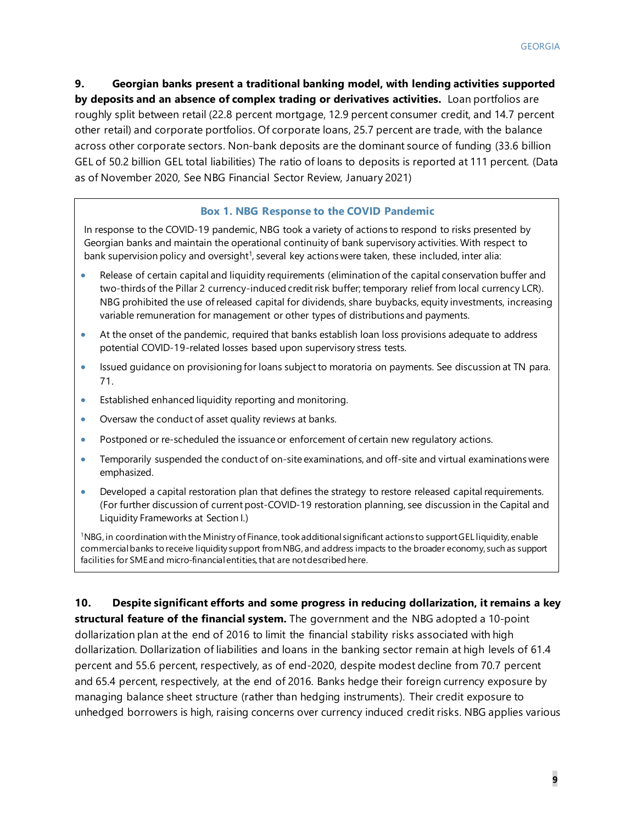**9. Georgian banks present a traditional banking model, with lending activities supported by deposits and an absence of complex trading or derivatives activities.** Loan portfolios are roughly split between retail (22.8 percent mortgage, 12.9 percent consumer credit, and 14.7 percent other retail) and corporate portfolios. Of corporate loans, 25.7 percent are trade, with the balance across other corporate sectors. Non-bank deposits are the dominant source of funding (33.6 billion GEL of 50.2 billion GEL total liabilities) The ratio of loans to deposits is reported at 111 percent. (Data as of November 2020, See NBG Financial Sector Review, January 2021)

#### **Box 1. NBG Response to the COVID Pandemic**

In response to the COVID-19 pandemic, NBG took a variety of actions to respond to risks presented by Georgian banks and maintain the operational continuity of bank supervisory activities. With respect to bank supervision policy and oversight<sup>1</sup>, several key actions were taken, these included, inter alia:

- Release of certain capital and liquidity requirements (elimination of the capital conservation buffer and two-thirds of the Pillar 2 currency-induced credit risk buffer; temporary relief from local currency LCR). NBG prohibited the use of released capital for dividends, share buybacks, equity investments, increasing variable remuneration for management or other types of distributions and payments.
- At the onset of the pandemic, required that banks establish loan loss provisions adequate to address potential COVID-19-related losses based upon supervisory stress tests.
- Issued guidance on provisioning for loans subject to moratoria on payments. See discussion at TN para. 71.
- Established enhanced liquidity reporting and monitoring.
- Oversaw the conduct of asset quality reviews at banks.
- Postponed or re-scheduled the issuance or enforcement of certain new regulatory actions.
- Temporarily suspended the conduct of on-site examinations, and off-site and virtual examinations were emphasized.
- Developed a capital restoration plan that defines the strategy to restore released capital requirements. (For further discussion of current post-COVID-19 restoration planning, see discussion in the Capital and Liquidity Frameworks at Section I.)

1 NBG, in coordination with the Ministry of Finance, took additional significant actions to support GEL liquidity, enable commercial banks to receive liquidity support from NBG, and address impacts to the broader economy, such as support facilities for SME and micro-financial entities, that are not described here.

**10. Despite significant efforts and some progress in reducing dollarization, it remains a key structural feature of the financial system.** The government and the NBG adopted a 10-point dollarization plan at the end of 2016 to limit the financial stability risks associated with high dollarization. Dollarization of liabilities and loans in the banking sector remain at high levels of 61.4 percent and 55.6 percent, respectively, as of end-2020, despite modest decline from 70.7 percent and 65.4 percent, respectively, at the end of 2016. Banks hedge their foreign currency exposure by managing balance sheet structure (rather than hedging instruments). Their credit exposure to unhedged borrowers is high, raising concerns over currency induced credit risks. NBG applies various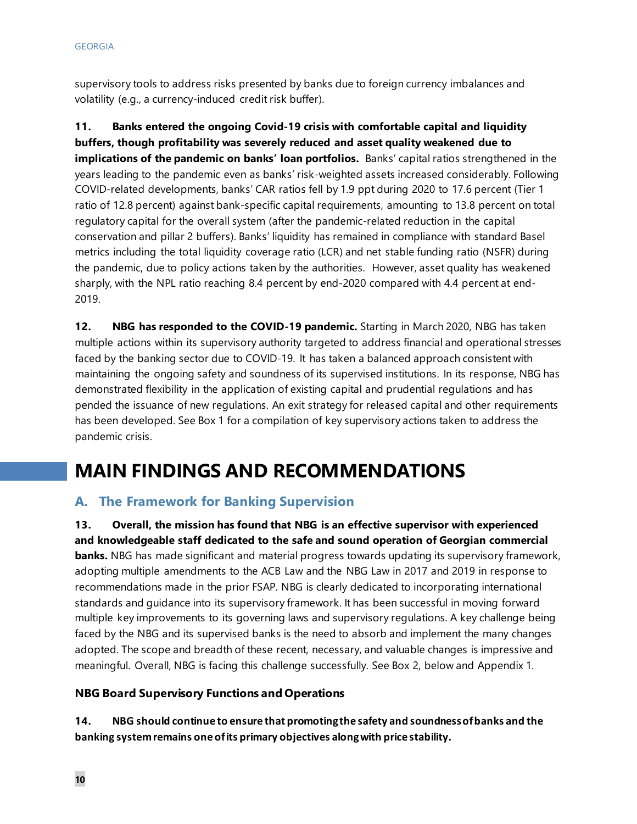supervisory tools to address risks presented by banks due to foreign currency imbalances and volatility (e.g., a currency-induced credit risk buffer).

**11. Banks entered the ongoing Covid-19 crisis with comfortable capital and liquidity buffers, though profitability was severely reduced and asset quality weakened due to implications of the pandemic on banks' loan portfolios.** Banks' capital ratios strengthened in the years leading to the pandemic even as banks' risk-weighted assets increased considerably. Following COVID-related developments, banks' CAR ratios fell by 1.9 ppt during 2020 to 17.6 percent (Tier 1 ratio of 12.8 percent) against bank-specific capital requirements, amounting to 13.8 percent on total regulatory capital for the overall system (after the pandemic-related reduction in the capital conservation and pillar 2 buffers). Banks' liquidity has remained in compliance with standard Basel metrics including the total liquidity coverage ratio (LCR) and net stable funding ratio (NSFR) during the pandemic, due to policy actions taken by the authorities. However, asset quality has weakened sharply, with the NPL ratio reaching 8.4 percent by end-2020 compared with 4.4 percent at end-2019.

**12. NBG has responded to the COVID-19 pandemic.** Starting in March 2020, NBG has taken multiple actions within its supervisory authority targeted to address financial and operational stresses faced by the banking sector due to COVID-19. It has taken a balanced approach consistent with maintaining the ongoing safety and soundness of its supervised institutions. In its response, NBG has demonstrated flexibility in the application of existing capital and prudential regulations and has pended the issuance of new regulations. An exit strategy for released capital and other requirements has been developed. See Box 1 for a compilation of key supervisory actions taken to address the pandemic crisis.

# **MAIN FINDINGS AND RECOMMENDATIONS**

### **A. The Framework for Banking Supervision**

**13. Overall, the mission has found that NBG is an effective supervisor with experienced and knowledgeable staff dedicated to the safe and sound operation of Georgian commercial banks.** NBG has made significant and material progress towards updating its supervisory framework, adopting multiple amendments to the ACB Law and the NBG Law in 2017 and 2019 in response to recommendations made in the prior FSAP. NBG is clearly dedicated to incorporating international standards and guidance into its supervisory framework. It has been successful in moving forward multiple key improvements to its governing laws and supervisory regulations. A key challenge being faced by the NBG and its supervised banks is the need to absorb and implement the many changes adopted. The scope and breadth of these recent, necessary, and valuable changes is impressive and meaningful. Overall, NBG is facing this challenge successfully. See Box 2, below and Appendix 1.

### **NBG Board Supervisory Functions and Operations**

**14. NBG should continue to ensure that promoting the safety and soundness of banks and the banking system remains one of its primary objectives along with price stability.**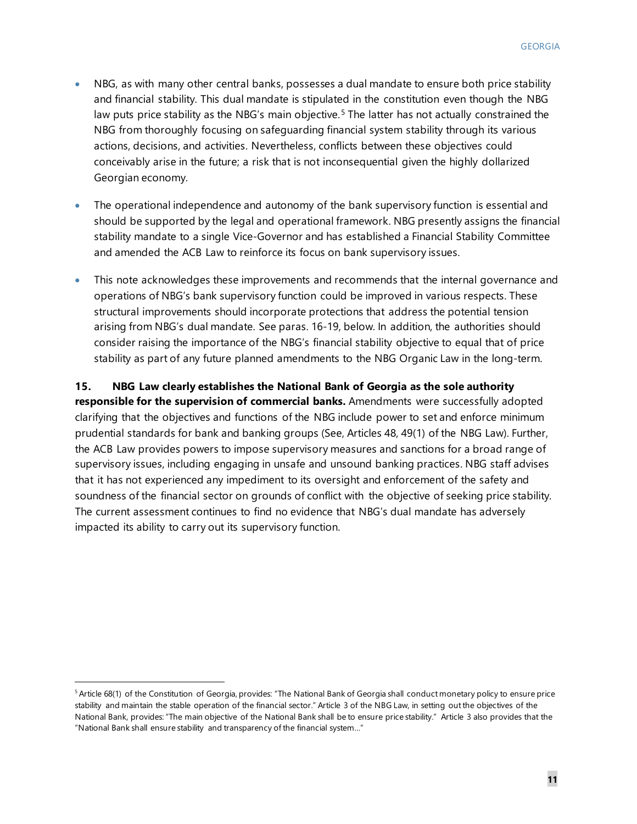- NBG, as with many other central banks, possesses a dual mandate to ensure both price stability and financial stability. This dual mandate is stipulated in the constitution even though the NBG law puts price stability as the NBG's main objective.<sup>[5](#page-11-0)</sup> The latter has not actually constrained the NBG from thoroughly focusing on safeguarding financial system stability through its various actions, decisions, and activities. Nevertheless, conflicts between these objectives could conceivably arise in the future; a risk that is not inconsequential given the highly dollarized Georgian economy.
- The operational independence and autonomy of the bank supervisory function is essential and should be supported by the legal and operational framework. NBG presently assigns the financial stability mandate to a single Vice-Governor and has established a Financial Stability Committee and amended the ACB Law to reinforce its focus on bank supervisory issues.
- This note acknowledges these improvements and recommends that the internal governance and operations of NBG's bank supervisory function could be improved in various respects. These structural improvements should incorporate protections that address the potential tension arising from NBG's dual mandate. See paras. 16-19, below. In addition, the authorities should consider raising the importance of the NBG's financial stability objective to equal that of price stability as part of any future planned amendments to the NBG Organic Law in the long-term.

### **15. NBG Law clearly establishes the National Bank of Georgia as the sole authority**

**responsible for the supervision of commercial banks.** Amendments were successfully adopted clarifying that the objectives and functions of the NBG include power to set and enforce minimum prudential standards for bank and banking groups (See, Articles 48, 49(1) of the NBG Law). Further, the ACB Law provides powers to impose supervisory measures and sanctions for a broad range of supervisory issues, including engaging in unsafe and unsound banking practices. NBG staff advises that it has not experienced any impediment to its oversight and enforcement of the safety and soundness of the financial sector on grounds of conflict with the objective of seeking price stability. The current assessment continues to find no evidence that NBG's dual mandate has adversely impacted its ability to carry out its supervisory function.

<span id="page-11-0"></span><sup>5</sup> Article 68(1) of the Constitution of Georgia, provides: "The National Bank of Georgia shall conduct monetary policy to ensure price stability and maintain the stable operation of the financial sector." Article 3 of the NBG Law, in setting out the objectives of the National Bank, provides: "The main objective of the National Bank shall be to ensure price stability." Article 3 also provides that the "National Bank shall ensure stability and transparency of the financial system…"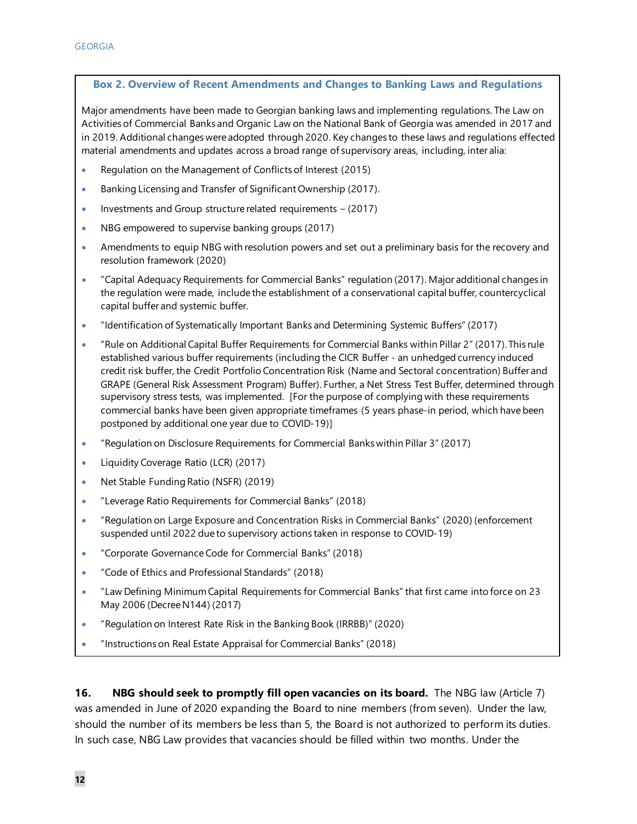#### **Box 2. Overview of Recent Amendments and Changes to Banking Laws and Regulations**

Major amendments have been made to Georgian banking laws and implementing regulations. The Law on Activities of Commercial Banks and Organic Law on the National Bank of Georgia was amended in 2017 and in 2019. Additional changes were adopted through 2020. Key changes to these laws and regulations effected material amendments and updates across a broad range of supervisory areas, including, inter alia:

- Regulation on the Management of Conflicts of Interest (2015)
- Banking Licensing and Transfer of Significant Ownership (2017).
- Investments and Group structure related requirements  $-$  (2017)
- NBG empowered to supervise banking groups (2017)
- Amendments to equip NBG with resolution powers and set out a preliminary basis for the recovery and resolution framework (2020)
- "Capital Adequacy Requirements for Commercial Banks" regulation (2017). Major additional changes in the regulation were made, include the establishment of a conservational capital buffer, countercyclical capital buffer and systemic buffer.
- "Identification of Systematically Important Banks and Determining Systemic Buffers" (2017)
- "Rule on Additional Capital Buffer Requirements for Commercial Banks within Pillar 2" (2017). This rule established various buffer requirements (including the CICR Buffer - an unhedged currency induced credit risk buffer, the Credit Portfolio Concentration Risk (Name and Sectoral concentration) Buffer and GRAPE (General Risk Assessment Program) Buffer). Further, a Net Stress Test Buffer, determined through supervisory stress tests, was implemented. [For the purpose of complying with these requirements commercial banks have been given appropriate timeframes (5 years phase-in period, which have been postponed by additional one year due to COVID-19)]
- "Regulation on Disclosure Requirements for Commercial Banks within Pillar 3" (2017)
- Liquidity Coverage Ratio (LCR) (2017)
- Net Stable Funding Ratio (NSFR) (2019)
- "Leverage Ratio Requirements for Commercial Banks" (2018)
- "Regulation on Large Exposure and Concentration Risks in Commercial Banks" (2020) (enforcement suspended until 2022 due to supervisory actions taken in response to COVID-19)
- "Corporate Governance Code for Commercial Banks" (2018)
- "Code of Ethics and Professional Standards" (2018)
- "Law Defining Minimum Capital Requirements for Commercial Banks" that first came into force on 23 May 2006 (Decree N144) (2017)
- "Regulation on Interest Rate Risk in the Banking Book (IRRBB)" (2020)
- "Instructions on Real Estate Appraisal for Commercial Banks" (2018)

**16. NBG should seek to promptly fill open vacancies on its board.** The NBG law (Article 7) was amended in June of 2020 expanding the Board to nine members (from seven). Under the law, should the number of its members be less than 5, the Board is not authorized to perform its duties. In such case, NBG Law provides that vacancies should be filled within two months. Under the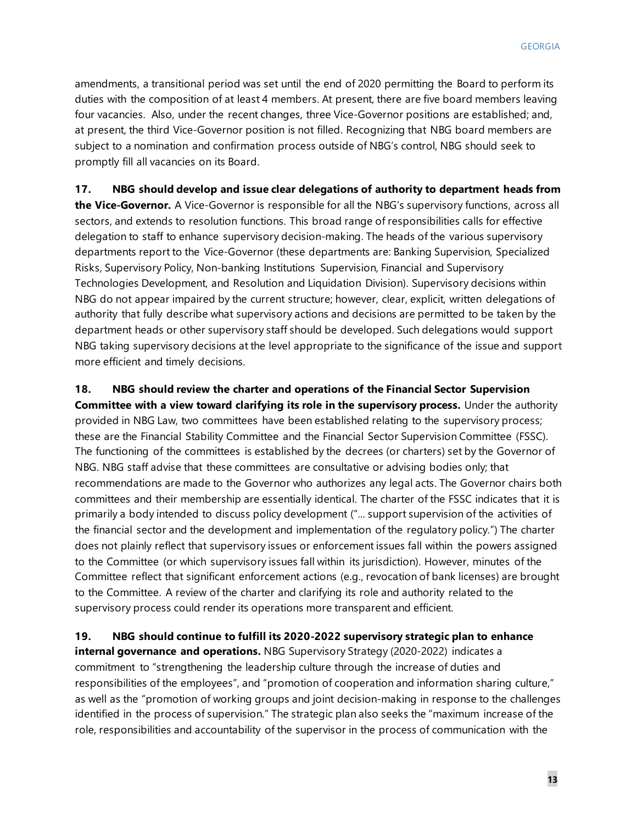amendments, a transitional period was set until the end of 2020 permitting the Board to perform its duties with the composition of at least 4 members. At present, there are five board members leaving four vacancies. Also, under the recent changes, three Vice-Governor positions are established; and, at present, the third Vice-Governor position is not filled. Recognizing that NBG board members are subject to a nomination and confirmation process outside of NBG's control, NBG should seek to promptly fill all vacancies on its Board.

### **17. NBG should develop and issue clear delegations of authority to department heads from**

**the Vice-Governor.** A Vice-Governor is responsible for all the NBG's supervisory functions, across all sectors, and extends to resolution functions. This broad range of responsibilities calls for effective delegation to staff to enhance supervisory decision-making. The heads of the various supervisory departments report to the Vice-Governor (these departments are: Banking Supervision, Specialized Risks, Supervisory Policy, Non-banking Institutions Supervision, Financial and Supervisory Technologies Development, and Resolution and Liquidation Division). Supervisory decisions within NBG do not appear impaired by the current structure; however, clear, explicit, written delegations of authority that fully describe what supervisory actions and decisions are permitted to be taken by the department heads or other supervisory staff should be developed. Such delegations would support NBG taking supervisory decisions at the level appropriate to the significance of the issue and support more efficient and timely decisions.

### **18. NBG should review the charter and operations of the Financial Sector Supervision**

**Committee with a view toward clarifying its role in the supervisory process.** Under the authority provided in NBG Law, two committees have been established relating to the supervisory process; these are the Financial Stability Committee and the Financial Sector Supervision Committee (FSSC). The functioning of the committees is established by the decrees (or charters) set by the Governor of NBG. NBG staff advise that these committees are consultative or advising bodies only; that recommendations are made to the Governor who authorizes any legal acts. The Governor chairs both committees and their membership are essentially identical. The charter of the FSSC indicates that it is primarily a body intended to discuss policy development ("... support supervision of the activities of the financial sector and the development and implementation of the regulatory policy.") The charter does not plainly reflect that supervisory issues or enforcement issues fall within the powers assigned to the Committee (or which supervisory issues fall within its jurisdiction). However, minutes of the Committee reflect that significant enforcement actions (e.g., revocation of bank licenses) are brought to the Committee. A review of the charter and clarifying its role and authority related to the supervisory process could render its operations more transparent and efficient.

**19. NBG should continue to fulfill its 2020-2022 supervisory strategic plan to enhance internal governance and operations.** NBG Supervisory Strategy (2020-2022) indicates a commitment to "strengthening the leadership culture through the increase of duties and responsibilities of the employees", and "promotion of cooperation and information sharing culture," as well as the "promotion of working groups and joint decision-making in response to the challenges identified in the process of supervision." The strategic plan also seeks the "maximum increase of the role, responsibilities and accountability of the supervisor in the process of communication with the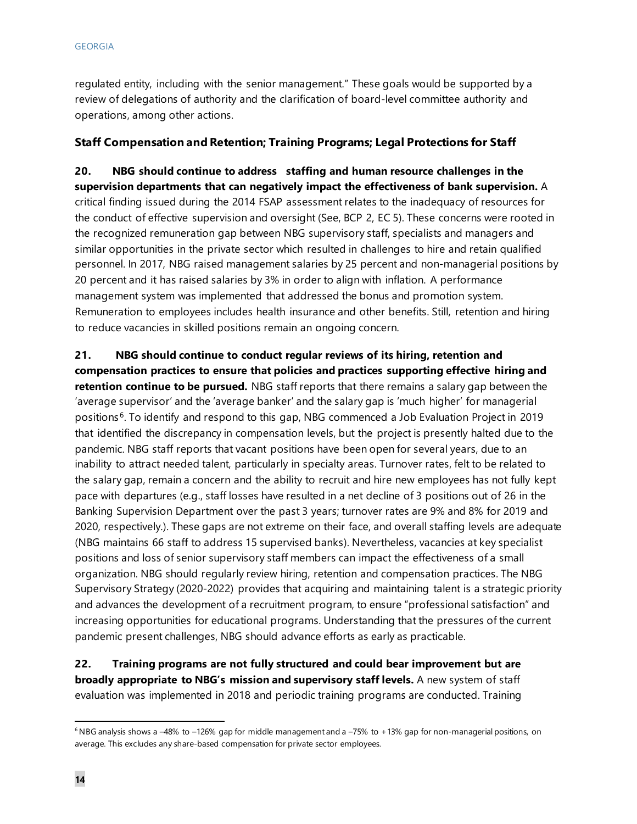regulated entity, including with the senior management." These goals would be supported by a review of delegations of authority and the clarification of board-level committee authority and operations, among other actions.

### **Staff Compensation and Retention; Training Programs; Legal Protections for Staff**

**20. NBG should continue to address staffing and human resource challenges in the supervision departments that can negatively impact the effectiveness of bank supervision.** A critical finding issued during the 2014 FSAP assessment relates to the inadequacy of resources for the conduct of effective supervision and oversight (See, BCP 2, EC 5). These concerns were rooted in the recognized remuneration gap between NBG supervisory staff, specialists and managers and similar opportunities in the private sector which resulted in challenges to hire and retain qualified personnel. In 2017, NBG raised management salaries by 25 percent and non-managerial positions by 20 percent and it has raised salaries by 3% in order to align with inflation. A performance management system was implemented that addressed the bonus and promotion system. Remuneration to employees includes health insurance and other benefits. Still, retention and hiring to reduce vacancies in skilled positions remain an ongoing concern.

**21. NBG should continue to conduct regular reviews of its hiring, retention and compensation practices to ensure that policies and practices supporting effective hiring and retention continue to be pursued.** NBG staff reports that there remains a salary gap between the 'average supervisor' and the 'average banker' and the salary gap is 'much higher' for managerial positions [6](#page-14-0). To identify and respond to this gap, NBG commenced a Job Evaluation Project in 2019 that identified the discrepancy in compensation levels, but the project is presently halted due to the pandemic. NBG staff reports that vacant positions have been open for several years, due to an inability to attract needed talent, particularly in specialty areas. Turnover rates, felt to be related to the salary gap, remain a concern and the ability to recruit and hire new employees has not fully kept pace with departures (e.g., staff losses have resulted in a net decline of 3 positions out of 26 in the Banking Supervision Department over the past 3 years; turnover rates are 9% and 8% for 2019 and 2020, respectively.). These gaps are not extreme on their face, and overall staffing levels are adequate (NBG maintains 66 staff to address 15 supervised banks). Nevertheless, vacancies at key specialist positions and loss of senior supervisory staff members can impact the effectiveness of a small organization. NBG should regularly review hiring, retention and compensation practices. The NBG Supervisory Strategy (2020-2022) provides that acquiring and maintaining talent is a strategic priority and advances the development of a recruitment program, to ensure "professional satisfaction" and increasing opportunities for educational programs. Understanding that the pressures of the current pandemic present challenges, NBG should advance efforts as early as practicable.

**22. Training programs are not fully structured and could bear improvement but are broadly appropriate to NBG's mission and supervisory staff levels.** A new system of staff evaluation was implemented in 2018 and periodic training programs are conducted. Training

<span id="page-14-0"></span> $6$  NBG analysis shows a -48% to -126% gap for middle management and a -75% to +13% gap for non-managerial positions, on average. This excludes any share-based compensation for private sector employees.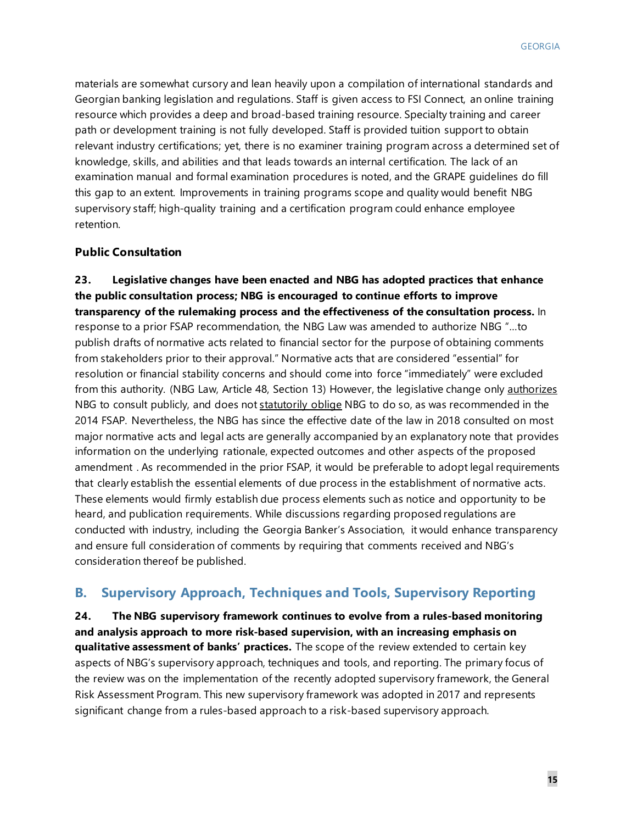materials are somewhat cursory and lean heavily upon a compilation of international standards and Georgian banking legislation and regulations. Staff is given access to FSI Connect, an online training resource which provides a deep and broad-based training resource. Specialty training and career path or development training is not fully developed. Staff is provided tuition support to obtain relevant industry certifications; yet, there is no examiner training program across a determined set of knowledge, skills, and abilities and that leads towards an internal certification. The lack of an examination manual and formal examination procedures is noted, and the GRAPE guidelines do fill this gap to an extent. Improvements in training programs scope and quality would benefit NBG supervisory staff; high-quality training and a certification program could enhance employee retention.

#### **Public Consultation**

**23. Legislative changes have been enacted and NBG has adopted practices that enhance the public consultation process; NBG is encouraged to continue efforts to improve transparency of the rulemaking process and the effectiveness of the consultation process.** In response to a prior FSAP recommendation, the NBG Law was amended to authorize NBG "…to publish drafts of normative acts related to financial sector for the purpose of obtaining comments from stakeholders prior to their approval." Normative acts that are considered "essential" for resolution or financial stability concerns and should come into force "immediately" were excluded from this authority. (NBG Law, Article 48, Section 13) However, the legislative change only **authorizes** NBG to consult publicly, and does not statutorily oblige NBG to do so, as was recommended in the 2014 FSAP. Nevertheless, the NBG has since the effective date of the law in 2018 consulted on most major normative acts and legal acts are generally accompanied by an explanatory note that provides information on the underlying rationale, expected outcomes and other aspects of the proposed amendment . As recommended in the prior FSAP, it would be preferable to adopt legal requirements that clearly establish the essential elements of due process in the establishment of normative acts. These elements would firmly establish due process elements such as notice and opportunity to be heard, and publication requirements. While discussions regarding proposed regulations are conducted with industry, including the Georgia Banker's Association, it would enhance transparency and ensure full consideration of comments by requiring that comments received and NBG's consideration thereof be published.

### **B. Supervisory Approach, Techniques and Tools, Supervisory Reporting**

**24. The NBG supervisory framework continues to evolve from a rules-based monitoring and analysis approach to more risk-based supervision, with an increasing emphasis on qualitative assessment of banks' practices.** The scope of the review extended to certain key aspects of NBG's supervisory approach, techniques and tools, and reporting. The primary focus of the review was on the implementation of the recently adopted supervisory framework, the General Risk Assessment Program. This new supervisory framework was adopted in 2017 and represents significant change from a rules-based approach to a risk-based supervisory approach.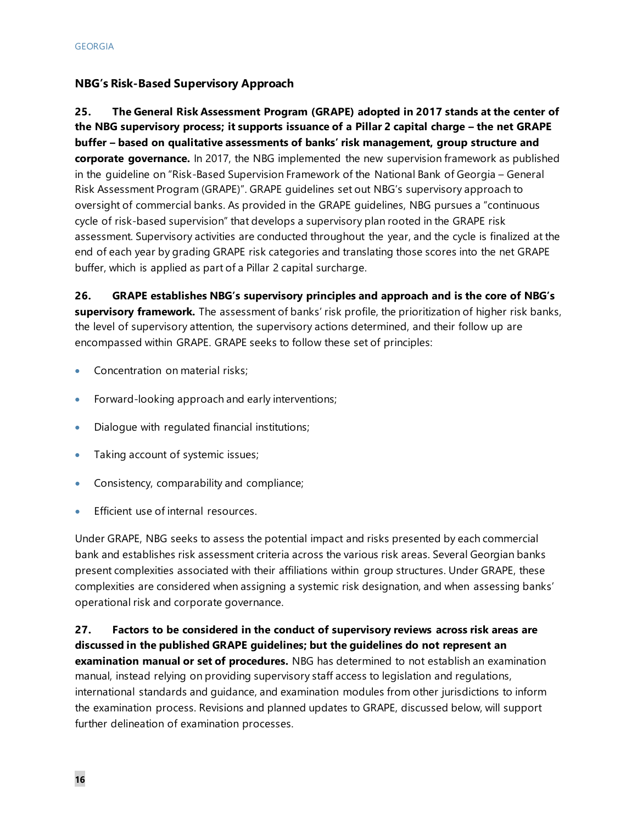### **NBG's Risk-Based Supervisory Approach**

**25. The General Risk Assessment Program (GRAPE) adopted in 2017 stands at the center of the NBG supervisory process; it supports issuance of a Pillar 2 capital charge – the net GRAPE buffer – based on qualitative assessments of banks' risk management, group structure and corporate governance.** In 2017, the NBG implemented the new supervision framework as published in the guideline on "Risk-Based Supervision Framework of the National Bank of Georgia – General Risk Assessment Program (GRAPE)". GRAPE guidelines set out NBG's supervisory approach to oversight of commercial banks. As provided in the GRAPE guidelines, NBG pursues a "continuous cycle of risk-based supervision" that develops a supervisory plan rooted in the GRAPE risk assessment. Supervisory activities are conducted throughout the year, and the cycle is finalized at the end of each year by grading GRAPE risk categories and translating those scores into the net GRAPE buffer, which is applied as part of a Pillar 2 capital surcharge.

**26. GRAPE establishes NBG's supervisory principles and approach and is the core of NBG's supervisory framework.** The assessment of banks' risk profile, the prioritization of higher risk banks, the level of supervisory attention, the supervisory actions determined, and their follow up are encompassed within GRAPE. GRAPE seeks to follow these set of principles:

- Concentration on material risks;
- Forward-looking approach and early interventions;
- Dialogue with regulated financial institutions;
- Taking account of systemic issues;
- Consistency, comparability and compliance;
- Efficient use of internal resources.

Under GRAPE, NBG seeks to assess the potential impact and risks presented by each commercial bank and establishes risk assessment criteria across the various risk areas. Several Georgian banks present complexities associated with their affiliations within group structures. Under GRAPE, these complexities are considered when assigning a systemic risk designation, and when assessing banks' operational risk and corporate governance.

### **27. Factors to be considered in the conduct of supervisory reviews across risk areas are discussed in the published GRAPE guidelines; but the guidelines do not represent an examination manual or set of procedures.** NBG has determined to not establish an examination manual, instead relying on providing supervisory staff access to legislation and regulations, international standards and guidance, and examination modules from other jurisdictions to inform the examination process. Revisions and planned updates to GRAPE, discussed below, will support further delineation of examination processes.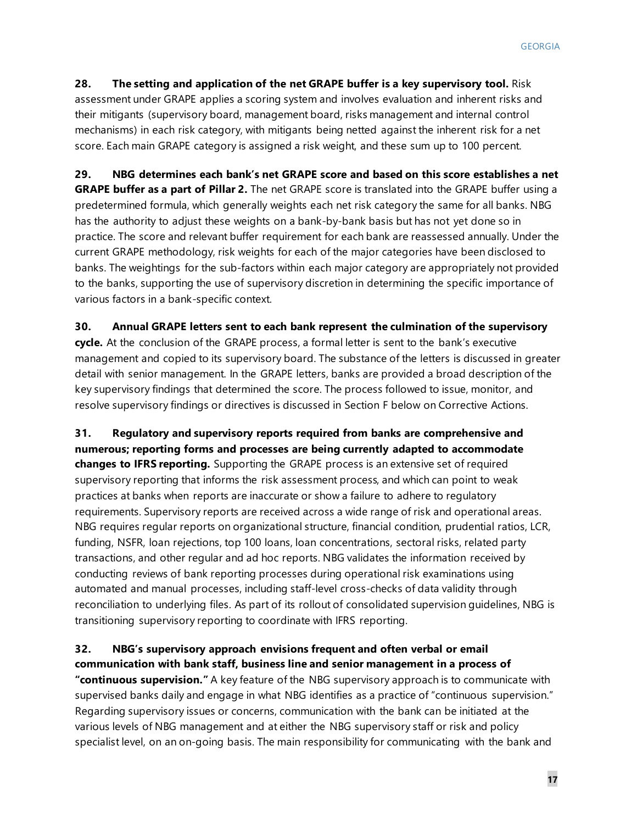**28. The setting and application of the net GRAPE buffer is a key supervisory tool.** Risk assessment under GRAPE applies a scoring system and involves evaluation and inherent risks and their mitigants (supervisory board, management board, risks management and internal control mechanisms) in each risk category, with mitigants being netted against the inherent risk for a net score. Each main GRAPE category is assigned a risk weight, and these sum up to 100 percent.

**29. NBG determines each bank's net GRAPE score and based on this score establishes a net GRAPE buffer as a part of Pillar 2.** The net GRAPE score is translated into the GRAPE buffer using a predetermined formula, which generally weights each net risk category the same for all banks. NBG has the authority to adjust these weights on a bank-by-bank basis but has not yet done so in practice. The score and relevant buffer requirement for each bank are reassessed annually. Under the current GRAPE methodology, risk weights for each of the major categories have been disclosed to banks. The weightings for the sub-factors within each major category are appropriately not provided to the banks, supporting the use of supervisory discretion in determining the specific importance of various factors in a bank-specific context.

#### **30. Annual GRAPE letters sent to each bank represent the culmination of the supervisory**

**cycle.** At the conclusion of the GRAPE process, a formal letter is sent to the bank's executive management and copied to its supervisory board. The substance of the letters is discussed in greater detail with senior management. In the GRAPE letters, banks are provided a broad description of the key supervisory findings that determined the score. The process followed to issue, monitor, and resolve supervisory findings or directives is discussed in Section F below on Corrective Actions.

**31. Regulatory and supervisory reports required from banks are comprehensive and numerous; reporting forms and processes are being currently adapted to accommodate changes to IFRS reporting.** Supporting the GRAPE process is an extensive set of required supervisory reporting that informs the risk assessment process, and which can point to weak practices at banks when reports are inaccurate or show a failure to adhere to regulatory requirements. Supervisory reports are received across a wide range of risk and operational areas. NBG requires regular reports on organizational structure, financial condition, prudential ratios, LCR, funding, NSFR, loan rejections, top 100 loans, loan concentrations, sectoral risks, related party transactions, and other regular and ad hoc reports. NBG validates the information received by conducting reviews of bank reporting processes during operational risk examinations using automated and manual processes, including staff-level cross-checks of data validity through reconciliation to underlying files. As part of its rollout of consolidated supervision guidelines, NBG is transitioning supervisory reporting to coordinate with IFRS reporting.

### **32. NBG's supervisory approach envisions frequent and often verbal or email communication with bank staff, business line and senior management in a process of**

**"continuous supervision."** A key feature of the NBG supervisory approach is to communicate with supervised banks daily and engage in what NBG identifies as a practice of "continuous supervision." Regarding supervisory issues or concerns, communication with the bank can be initiated at the various levels of NBG management and at either the NBG supervisory staff or risk and policy specialist level, on an on-going basis. The main responsibility for communicating with the bank and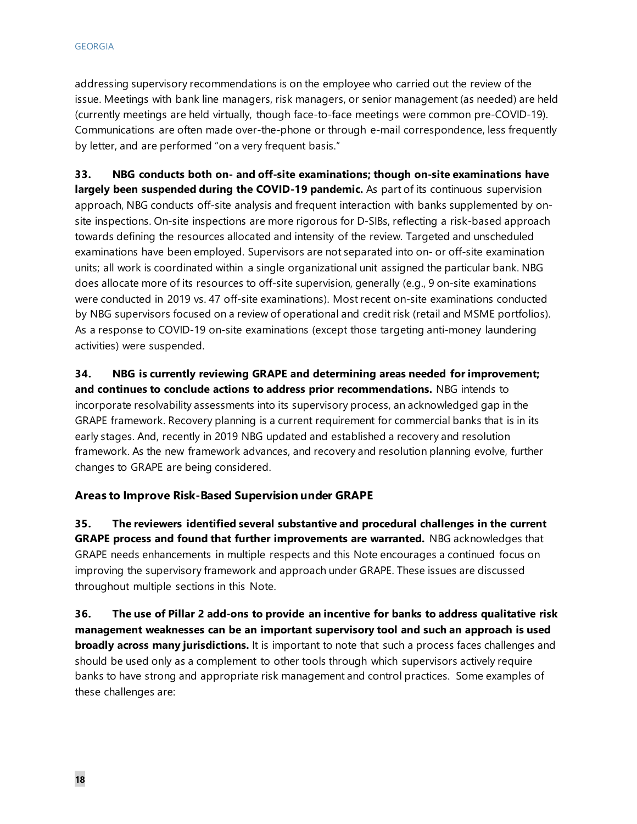addressing supervisory recommendations is on the employee who carried out the review of the issue. Meetings with bank line managers, risk managers, or senior management (as needed) are held (currently meetings are held virtually, though face-to-face meetings were common pre-COVID-19). Communications are often made over-the-phone or through e-mail correspondence, less frequently by letter, and are performed "on a very frequent basis."

**33. NBG conducts both on- and off-site examinations; though on-site examinations have largely been suspended during the COVID-19 pandemic.** As part of its continuous supervision approach, NBG conducts off-site analysis and frequent interaction with banks supplemented by onsite inspections. On-site inspections are more rigorous for D-SIBs, reflecting a risk-based approach towards defining the resources allocated and intensity of the review. Targeted and unscheduled examinations have been employed. Supervisors are not separated into on- or off-site examination units; all work is coordinated within a single organizational unit assigned the particular bank. NBG does allocate more of its resources to off-site supervision, generally (e.g., 9 on-site examinations were conducted in 2019 vs. 47 off-site examinations). Most recent on-site examinations conducted by NBG supervisors focused on a review of operational and credit risk (retail and MSME portfolios). As a response to COVID-19 on-site examinations (except those targeting anti-money laundering activities) were suspended.

**34. NBG is currently reviewing GRAPE and determining areas needed for improvement; and continues to conclude actions to address prior recommendations.** NBG intends to incorporate resolvability assessments into its supervisory process, an acknowledged gap in the GRAPE framework. Recovery planning is a current requirement for commercial banks that is in its early stages. And, recently in 2019 NBG updated and established a recovery and resolution framework. As the new framework advances, and recovery and resolution planning evolve, further changes to GRAPE are being considered.

#### **Areas to Improve Risk-Based Supervision under GRAPE**

**35. The reviewers identified several substantive and procedural challenges in the current GRAPE process and found that further improvements are warranted.** NBG acknowledges that GRAPE needs enhancements in multiple respects and this Note encourages a continued focus on improving the supervisory framework and approach under GRAPE. These issues are discussed throughout multiple sections in this Note.

**36. The use of Pillar 2 add-ons to provide an incentive for banks to address qualitative risk management weaknesses can be an important supervisory tool and such an approach is used broadly across many jurisdictions.** It is important to note that such a process faces challenges and should be used only as a complement to other tools through which supervisors actively require banks to have strong and appropriate risk management and control practices. Some examples of these challenges are: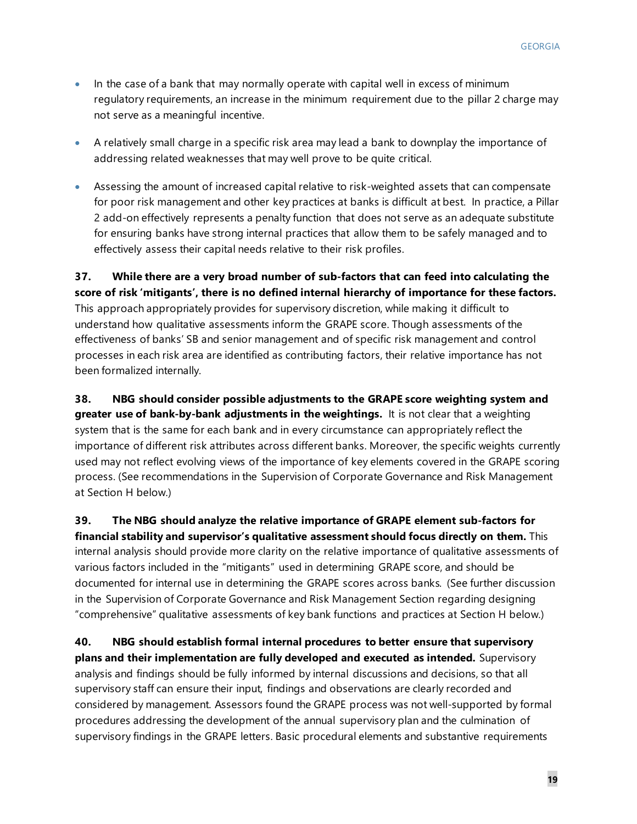- In the case of a bank that may normally operate with capital well in excess of minimum regulatory requirements, an increase in the minimum requirement due to the pillar 2 charge may not serve as a meaningful incentive.
- A relatively small charge in a specific risk area may lead a bank to downplay the importance of addressing related weaknesses that may well prove to be quite critical.
- Assessing the amount of increased capital relative to risk-weighted assets that can compensate for poor risk management and other key practices at banks is difficult at best. In practice, a Pillar 2 add-on effectively represents a penalty function that does not serve as an adequate substitute for ensuring banks have strong internal practices that allow them to be safely managed and to effectively assess their capital needs relative to their risk profiles.

**37. While there are a very broad number of sub-factors that can feed into calculating the score of risk 'mitigants', there is no defined internal hierarchy of importance for these factors.** This approach appropriately provides for supervisory discretion, while making it difficult to understand how qualitative assessments inform the GRAPE score. Though assessments of the effectiveness of banks' SB and senior management and of specific risk management and control processes in each risk area are identified as contributing factors, their relative importance has not been formalized internally.

**38. NBG should consider possible adjustments to the GRAPE score weighting system and greater use of bank-by-bank adjustments in the weightings.** It is not clear that a weighting system that is the same for each bank and in every circumstance can appropriately reflect the importance of different risk attributes across different banks. Moreover, the specific weights currently used may not reflect evolving views of the importance of key elements covered in the GRAPE scoring process. (See recommendations in the Supervision of Corporate Governance and Risk Management at Section H below.)

**39. The NBG should analyze the relative importance of GRAPE element sub-factors for financial stability and supervisor's qualitative assessment should focus directly on them.** This internal analysis should provide more clarity on the relative importance of qualitative assessments of various factors included in the "mitigants" used in determining GRAPE score, and should be documented for internal use in determining the GRAPE scores across banks. (See further discussion in the Supervision of Corporate Governance and Risk Management Section regarding designing "comprehensive" qualitative assessments of key bank functions and practices at Section H below.)

**40. NBG should establish formal internal procedures to better ensure that supervisory plans and their implementation are fully developed and executed as intended.** Supervisory analysis and findings should be fully informed by internal discussions and decisions, so that all supervisory staff can ensure their input, findings and observations are clearly recorded and considered by management. Assessors found the GRAPE process was not well-supported by formal procedures addressing the development of the annual supervisory plan and the culmination of supervisory findings in the GRAPE letters. Basic procedural elements and substantive requirements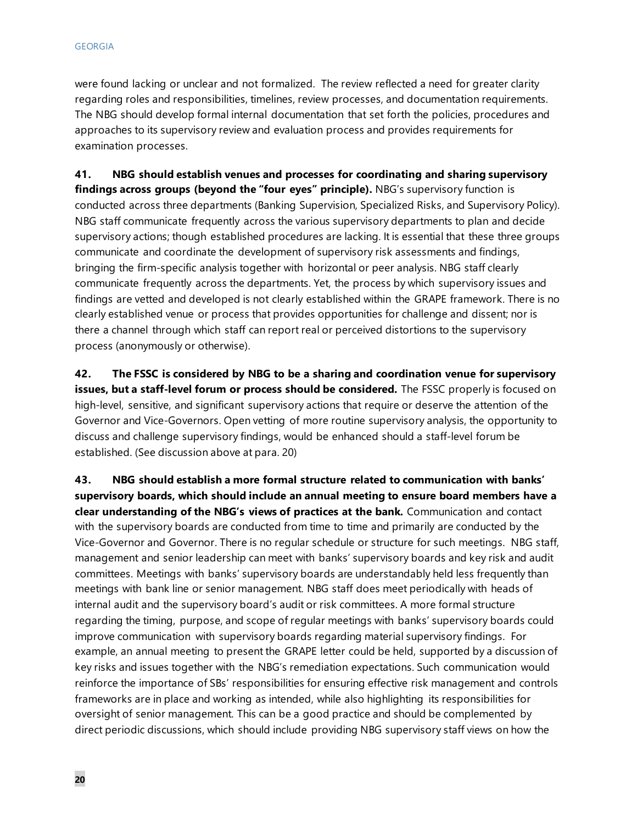were found lacking or unclear and not formalized. The review reflected a need for greater clarity regarding roles and responsibilities, timelines, review processes, and documentation requirements. The NBG should develop formal internal documentation that set forth the policies, procedures and approaches to its supervisory review and evaluation process and provides requirements for examination processes.

**41. NBG should establish venues and processes for coordinating and sharing supervisory findings across groups (beyond the "four eyes" principle).** NBG's supervisory function is conducted across three departments (Banking Supervision, Specialized Risks, and Supervisory Policy). NBG staff communicate frequently across the various supervisory departments to plan and decide supervisory actions; though established procedures are lacking. It is essential that these three groups communicate and coordinate the development of supervisory risk assessments and findings, bringing the firm-specific analysis together with horizontal or peer analysis. NBG staff clearly communicate frequently across the departments. Yet, the process by which supervisory issues and findings are vetted and developed is not clearly established within the GRAPE framework. There is no clearly established venue or process that provides opportunities for challenge and dissent; nor is there a channel through which staff can report real or perceived distortions to the supervisory process (anonymously or otherwise).

**42. The FSSC is considered by NBG to be a sharing and coordination venue for supervisory issues, but a staff-level forum or process should be considered.** The FSSC properly is focused on high-level, sensitive, and significant supervisory actions that require or deserve the attention of the Governor and Vice-Governors. Open vetting of more routine supervisory analysis, the opportunity to discuss and challenge supervisory findings, would be enhanced should a staff-level forum be established. (See discussion above at para. 20)

**43. NBG should establish a more formal structure related to communication with banks' supervisory boards, which should include an annual meeting to ensure board members have a clear understanding of the NBG's views of practices at the bank.** Communication and contact with the supervisory boards are conducted from time to time and primarily are conducted by the Vice-Governor and Governor. There is no regular schedule or structure for such meetings. NBG staff, management and senior leadership can meet with banks' supervisory boards and key risk and audit committees. Meetings with banks' supervisory boards are understandably held less frequently than meetings with bank line or senior management. NBG staff does meet periodically with heads of internal audit and the supervisory board's audit or risk committees. A more formal structure regarding the timing, purpose, and scope of regular meetings with banks' supervisory boards could improve communication with supervisory boards regarding material supervisory findings. For example, an annual meeting to present the GRAPE letter could be held, supported by a discussion of key risks and issues together with the NBG's remediation expectations. Such communication would reinforce the importance of SBs' responsibilities for ensuring effective risk management and controls frameworks are in place and working as intended, while also highlighting its responsibilities for oversight of senior management. This can be a good practice and should be complemented by direct periodic discussions, which should include providing NBG supervisory staff views on how the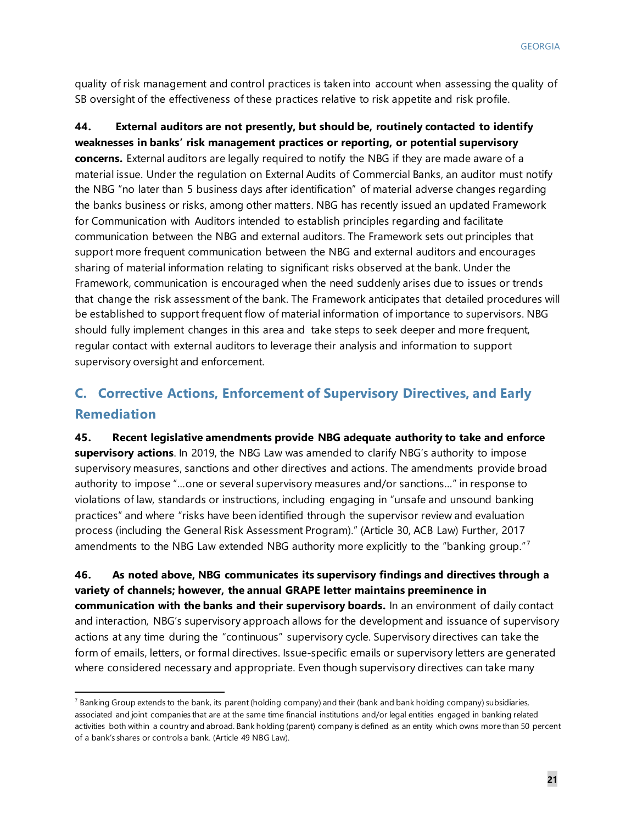quality of risk management and control practices is taken into account when assessing the quality of SB oversight of the effectiveness of these practices relative to risk appetite and risk profile.

### **44. External auditors are not presently, but should be, routinely contacted to identify weaknesses in banks' risk management practices or reporting, or potential supervisory concerns.** External auditors are legally required to notify the NBG if they are made aware of a material issue. Under the regulation on External Audits of Commercial Banks, an auditor must notify the NBG "no later than 5 business days after identification" of material adverse changes regarding the banks business or risks, among other matters. NBG has recently issued an updated Framework for Communication with Auditors intended to establish principles regarding and facilitate communication between the NBG and external auditors. The Framework sets out principles that support more frequent communication between the NBG and external auditors and encourages sharing of material information relating to significant risks observed at the bank. Under the Framework, communication is encouraged when the need suddenly arises due to issues or trends that change the risk assessment of the bank. The Framework anticipates that detailed procedures will be established to support frequent flow of material information of importance to supervisors. NBG should fully implement changes in this area and take steps to seek deeper and more frequent, regular contact with external auditors to leverage their analysis and information to support supervisory oversight and enforcement.

### **C. Corrective Actions, Enforcement of Supervisory Directives, and Early Remediation**

**45. Recent legislative amendments provide NBG adequate authority to take and enforce supervisory actions**. In 2019, the NBG Law was amended to clarify NBG's authority to impose supervisory measures, sanctions and other directives and actions. The amendments provide broad authority to impose "…one or several supervisory measures and/or sanctions…" in response to violations of law, standards or instructions, including engaging in "unsafe and unsound banking practices" and where "risks have been identified through the supervisor review and evaluation process (including the General Risk Assessment Program)." (Article 30, ACB Law) Further, 2017 amendments to the NBG Law extended NBG authority more explicitly to the "banking group."<sup>[7](#page-21-0)</sup>

**46. As noted above, NBG communicates its supervisory findings and directives through a variety of channels; however, the annual GRAPE letter maintains preeminence in communication with the banks and their supervisory boards.** In an environment of daily contact and interaction, NBG's supervisory approach allows for the development and issuance of supervisory actions at any time during the "continuous" supervisory cycle. Supervisory directives can take the form of emails, letters, or formal directives. Issue-specific emails or supervisory letters are generated where considered necessary and appropriate. Even though supervisory directives can take many

<span id="page-21-0"></span> $7$  Banking Group extends to the bank, its parent (holding company) and their (bank and bank holding company) subsidiaries, associated and joint companies that are at the same time financial institutions and/or legal entities engaged in banking related activities both within a country and abroad. Bank holding (parent) company is defined as an entity which owns more than 50 percent of a bank's shares or controls a bank. (Article 49 NBG Law).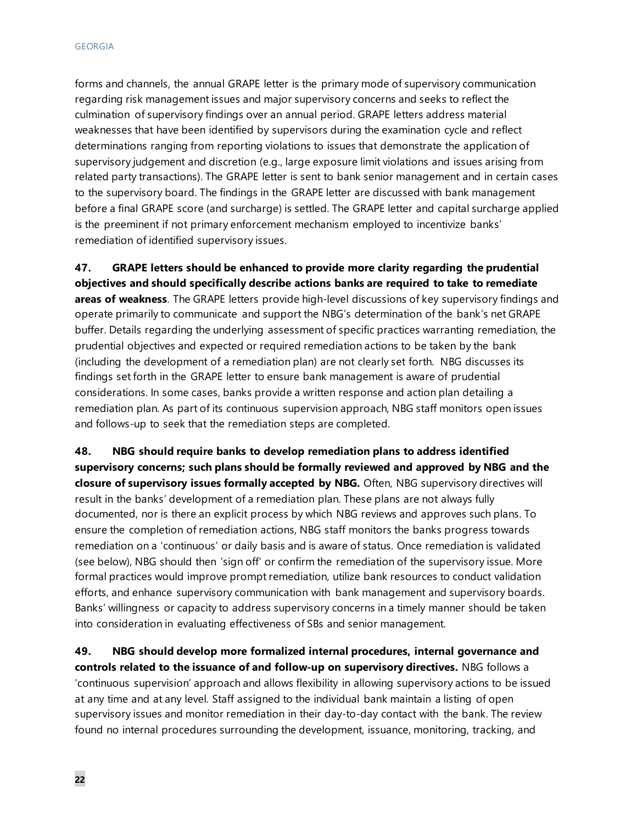forms and channels, the annual GRAPE letter is the primary mode of supervisory communication regarding risk management issues and major supervisory concerns and seeks to reflect the culmination of supervisory findings over an annual period. GRAPE letters address material weaknesses that have been identified by supervisors during the examination cycle and reflect determinations ranging from reporting violations to issues that demonstrate the application of supervisory judgement and discretion (e.g., large exposure limit violations and issues arising from related party transactions). The GRAPE letter is sent to bank senior management and in certain cases to the supervisory board. The findings in the GRAPE letter are discussed with bank management before a final GRAPE score (and surcharge) is settled. The GRAPE letter and capital surcharge applied is the preeminent if not primary enforcement mechanism employed to incentivize banks' remediation of identified supervisory issues.

**47. GRAPE letters should be enhanced to provide more clarity regarding the prudential objectives and should specifically describe actions banks are required to take to remediate areas of weakness**. The GRAPE letters provide high-level discussions of key supervisory findings and operate primarily to communicate and support the NBG's determination of the bank's net GRAPE buffer. Details regarding the underlying assessment of specific practices warranting remediation, the prudential objectives and expected or required remediation actions to be taken by the bank (including the development of a remediation plan) are not clearly set forth. NBG discusses its findings set forth in the GRAPE letter to ensure bank management is aware of prudential considerations. In some cases, banks provide a written response and action plan detailing a remediation plan. As part of its continuous supervision approach, NBG staff monitors open issues and follows-up to seek that the remediation steps are completed.

**48. NBG should require banks to develop remediation plans to address identified supervisory concerns; such plans should be formally reviewed and approved by NBG and the closure of supervisory issues formally accepted by NBG.** Often, NBG supervisory directives will result in the banks' development of a remediation plan. These plans are not always fully documented, nor is there an explicit process by which NBG reviews and approves such plans. To ensure the completion of remediation actions, NBG staff monitors the banks progress towards remediation on a 'continuous' or daily basis and is aware of status. Once remediation is validated (see below), NBG should then 'sign off' or confirm the remediation of the supervisory issue. More formal practices would improve prompt remediation, utilize bank resources to conduct validation efforts, and enhance supervisory communication with bank management and supervisory boards. Banks' willingness or capacity to address supervisory concerns in a timely manner should be taken into consideration in evaluating effectiveness of SBs and senior management.

**49. NBG should develop more formalized internal procedures, internal governance and controls related to the issuance of and follow-up on supervisory directives.** NBG follows a 'continuous supervision' approach and allows flexibility in allowing supervisory actions to be issued at any time and at any level. Staff assigned to the individual bank maintain a listing of open supervisory issues and monitor remediation in their day-to-day contact with the bank. The review found no internal procedures surrounding the development, issuance, monitoring, tracking, and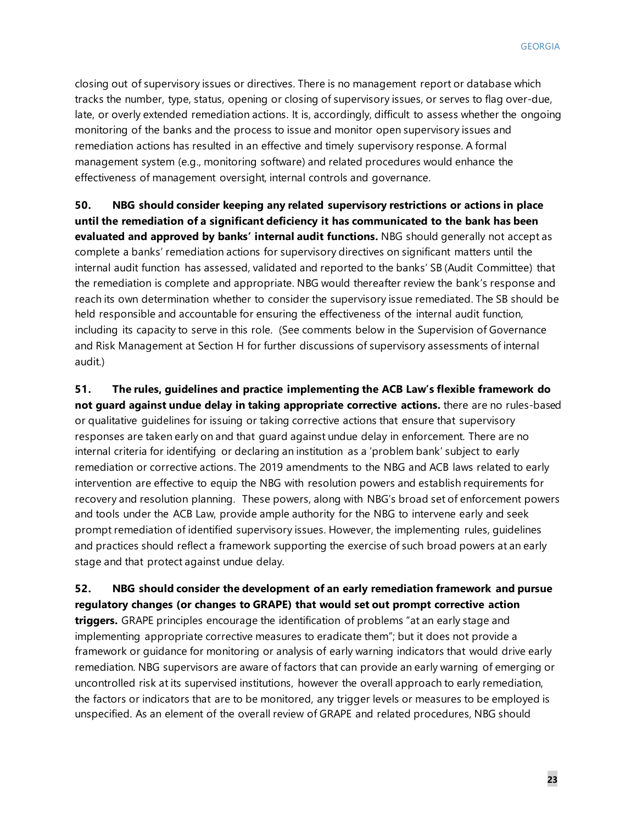closing out of supervisory issues or directives. There is no management report or database which tracks the number, type, status, opening or closing of supervisory issues, or serves to flag over-due, late, or overly extended remediation actions. It is, accordingly, difficult to assess whether the ongoing monitoring of the banks and the process to issue and monitor open supervisory issues and remediation actions has resulted in an effective and timely supervisory response. A formal management system (e.g., monitoring software) and related procedures would enhance the effectiveness of management oversight, internal controls and governance.

**50. NBG should consider keeping any related supervisory restrictions or actions in place until the remediation of a significant deficiency it has communicated to the bank has been evaluated and approved by banks' internal audit functions.** NBG should generally not accept as complete a banks' remediation actions for supervisory directives on significant matters until the internal audit function has assessed, validated and reported to the banks' SB (Audit Committee) that the remediation is complete and appropriate. NBG would thereafter review the bank's response and reach its own determination whether to consider the supervisory issue remediated. The SB should be held responsible and accountable for ensuring the effectiveness of the internal audit function, including its capacity to serve in this role. (See comments below in the Supervision of Governance and Risk Management at Section H for further discussions of supervisory assessments of internal audit.)

**51. The rules, guidelines and practice implementing the ACB Law's flexible framework do not guard against undue delay in taking appropriate corrective actions.** there are no rules-based or qualitative guidelines for issuing or taking corrective actions that ensure that supervisory responses are taken early on and that guard against undue delay in enforcement. There are no internal criteria for identifying or declaring an institution as a 'problem bank' subject to early remediation or corrective actions. The 2019 amendments to the NBG and ACB laws related to early intervention are effective to equip the NBG with resolution powers and establish requirements for recovery and resolution planning. These powers, along with NBG's broad set of enforcement powers and tools under the ACB Law, provide ample authority for the NBG to intervene early and seek prompt remediation of identified supervisory issues. However, the implementing rules, guidelines and practices should reflect a framework supporting the exercise of such broad powers at an early stage and that protect against undue delay.

**52. NBG should consider the development of an early remediation framework and pursue regulatory changes (or changes to GRAPE) that would set out prompt corrective action triggers.** GRAPE principles encourage the identification of problems "at an early stage and implementing appropriate corrective measures to eradicate them"; but it does not provide a framework or guidance for monitoring or analysis of early warning indicators that would drive early remediation. NBG supervisors are aware of factors that can provide an early warning of emerging or uncontrolled risk at its supervised institutions, however the overall approach to early remediation, the factors or indicators that are to be monitored, any trigger levels or measures to be employed is unspecified. As an element of the overall review of GRAPE and related procedures, NBG should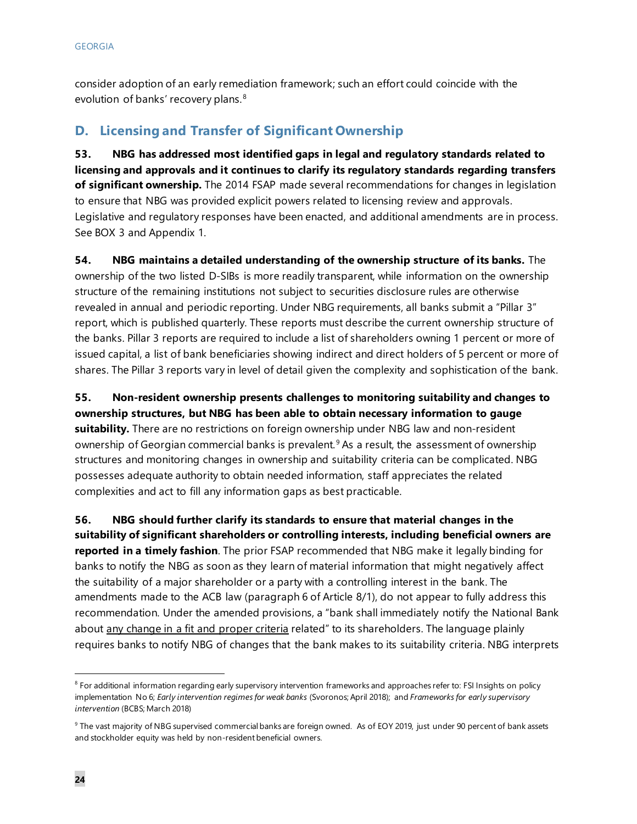consider adoption of an early remediation framework; such an effort could coincide with the evolution of banks' recovery plans.<sup>[8](#page-24-0)</sup>

### **D. Licensing and Transfer of Significant Ownership**

**53. NBG has addressed most identified gaps in legal and regulatory standards related to licensing and approvals and it continues to clarify its regulatory standards regarding transfers of significant ownership.** The 2014 FSAP made several recommendations for changes in legislation to ensure that NBG was provided explicit powers related to licensing review and approvals. Legislative and regulatory responses have been enacted, and additional amendments are in process. See BOX 3 and Appendix 1.

**54. NBG maintains a detailed understanding of the ownership structure of its banks.** The ownership of the two listed D-SIBs is more readily transparent, while information on the ownership structure of the remaining institutions not subject to securities disclosure rules are otherwise revealed in annual and periodic reporting. Under NBG requirements, all banks submit a "Pillar 3" report, which is published quarterly. These reports must describe the current ownership structure of the banks. Pillar 3 reports are required to include a list of shareholders owning 1 percent or more of issued capital, a list of bank beneficiaries showing indirect and direct holders of 5 percent or more of shares. The Pillar 3 reports vary in level of detail given the complexity and sophistication of the bank.

**55. Non-resident ownership presents challenges to monitoring suitability and changes to ownership structures, but NBG has been able to obtain necessary information to gauge suitability.** There are no restrictions on foreign ownership under NBG law and non-resident ownership of Georgian commercial banks is prevalent.<sup>[9](#page-24-1)</sup> As a result, the assessment of ownership structures and monitoring changes in ownership and suitability criteria can be complicated. NBG possesses adequate authority to obtain needed information, staff appreciates the related complexities and act to fill any information gaps as best practicable.

**56. NBG should further clarify its standards to ensure that material changes in the suitability of significant shareholders or controlling interests, including beneficial owners are reported in a timely fashion**. The prior FSAP recommended that NBG make it legally binding for banks to notify the NBG as soon as they learn of material information that might negatively affect the suitability of a major shareholder or a party with a controlling interest in the bank. The amendments made to the ACB law (paragraph 6 of Article 8/1), do not appear to fully address this recommendation. Under the amended provisions, a "bank shall immediately notify the National Bank about any change in a fit and proper criteria related" to its shareholders. The language plainly requires banks to notify NBG of changes that the bank makes to its suitability criteria. NBG interprets

<span id="page-24-0"></span><sup>&</sup>lt;sup>8</sup> For additional information regarding early supervisory intervention frameworks and approaches refer to: FSI Insights on policy implementation No 6; *Early intervention regimes for weak banks* (Svoronos; April 2018); and *Frameworks for early supervisory intervention* (BCBS; March 2018)

<span id="page-24-1"></span><sup>&</sup>lt;sup>9</sup> The vast majority of NBG supervised commercial banks are foreign owned. As of EOY 2019, just under 90 percent of bank assets and stockholder equity was held by non-resident beneficial owners.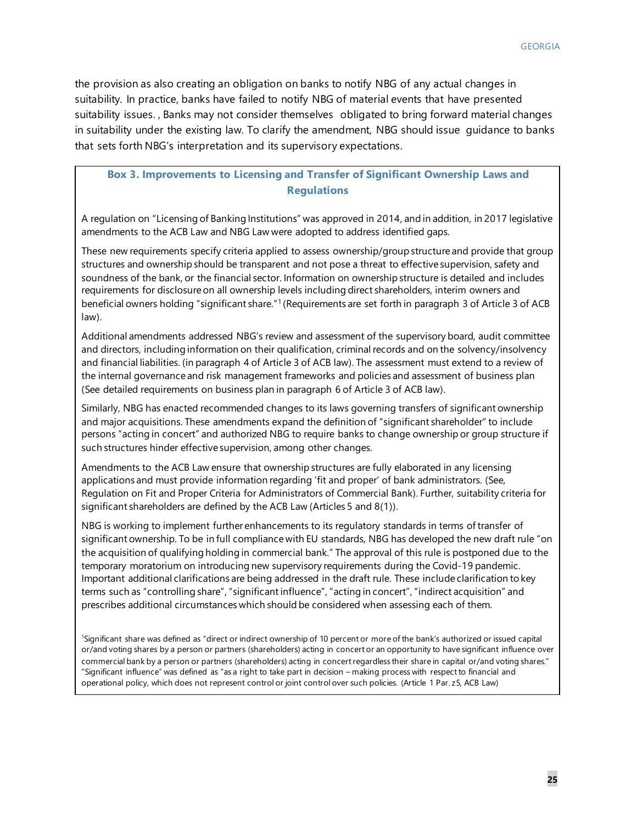the provision as also creating an obligation on banks to notify NBG of any actual changes in suitability. In practice, banks have failed to notify NBG of material events that have presented suitability issues. , Banks may not consider themselves obligated to bring forward material changes in suitability under the existing law. To clarify the amendment, NBG should issue guidance to banks that sets forth NBG's interpretation and its supervisory expectations.

### **Box 3. Improvements to Licensing and Transfer of Significant Ownership Laws and Regulations**

A regulation on "Licensing of Banking Institutions" was approved in 2014, and in addition, in 2017 legislative amendments to the ACB Law and NBG Law were adopted to address identified gaps.

These new requirements specify criteria applied to assess ownership/group structure and provide that group structures and ownership should be transparent and not pose a threat to effective supervision, safety and soundness of the bank, or the financial sector. Information on ownership structure is detailed and includes requirements for disclosure on all ownership levels including direct shareholders, interim owners and beneficial owners holding "significant share."1 (Requirements are set forth in paragraph 3 of Article 3 of ACB law).

Additional amendments addressed NBG's review and assessment of the supervisory board, audit committee and directors, including information on their qualification, criminal records and on the solvency/insolvency and financial liabilities. (in paragraph 4 of Article 3 of ACB law). The assessment must extend to a review of the internal governance and risk management frameworks and policies and assessment of business plan (See detailed requirements on business plan in paragraph 6 of Article 3 of ACB law).

Similarly, NBG has enacted recommended changes to its laws governing transfers of significant ownership and major acquisitions. These amendments expand the definition of "significant shareholder" to include persons "acting in concert" and authorized NBG to require banks to change ownership or group structure if such structures hinder effective supervision, among other changes.

Amendments to the ACB Law ensure that ownership structures are fully elaborated in any licensing applications and must provide information regarding 'fit and proper' of bank administrators. (See, Regulation on Fit and Proper Criteria for Administrators of Commercial Bank). Further, suitability criteria for significant shareholders are defined by the ACB Law (Articles 5 and 8(1)).

NBG is working to implement further enhancements to its regulatory standards in terms of transfer of significant ownership. To be in full compliance with EU standards, NBG has developed the new draft rule "on the acquisition of qualifying holding in commercial bank." The approval of this rule is postponed due to the temporary moratorium on introducing new supervisory requirements during the Covid-19 pandemic. Important additional clarifications are being addressed in the draft rule. These include clarification to key terms such as "controlling share", "significant influence", "acting in concert", "indirect acquisition" and prescribes additional circumstances which should be considered when assessing each of them.

1 Significant share was defined as "direct or indirect ownership of 10 percent or more of the bank's authorized or issued capital or/and voting shares by a person or partners (shareholders) acting in concert or an opportunity to have significant influence over commercial bank by a person or partners (shareholders) acting in concert regardless their share in capital or/and voting shares." "Significant influence" was defined as "as a right to take part in decision – making process with respect to financial and operational policy, which does not represent control or joint control over such policies. (Article 1 Par. z5, ACB Law)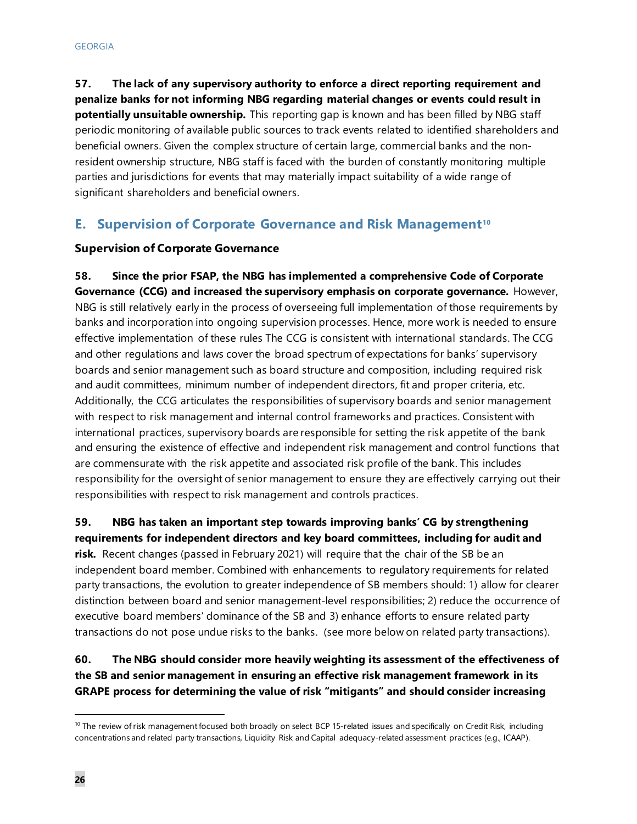**57. The lack of any supervisory authority to enforce a direct reporting requirement and penalize banks for not informing NBG regarding material changes or events could result in potentially unsuitable ownership.** This reporting gap is known and has been filled by NBG staff periodic monitoring of available public sources to track events related to identified shareholders and beneficial owners. Given the complex structure of certain large, commercial banks and the nonresident ownership structure, NBG staff is faced with the burden of constantly monitoring multiple parties and jurisdictions for events that may materially impact suitability of a wide range of significant shareholders and beneficial owners.

### **E. Supervision of Corporate Governance and Risk Management[10](#page-26-0)**

### **Supervision of Corporate Governance**

**58. Since the prior FSAP, the NBG has implemented a comprehensive Code of Corporate Governance (CCG) and increased the supervisory emphasis on corporate governance.** However, NBG is still relatively early in the process of overseeing full implementation of those requirements by banks and incorporation into ongoing supervision processes. Hence, more work is needed to ensure effective implementation of these rules The CCG is consistent with international standards. The CCG and other regulations and laws cover the broad spectrum of expectations for banks' supervisory boards and senior management such as board structure and composition, including required risk and audit committees, minimum number of independent directors, fit and proper criteria, etc. Additionally, the CCG articulates the responsibilities of supervisory boards and senior management with respect to risk management and internal control frameworks and practices. Consistent with international practices, supervisory boards are responsible for setting the risk appetite of the bank and ensuring the existence of effective and independent risk management and control functions that are commensurate with the risk appetite and associated risk profile of the bank. This includes responsibility for the oversight of senior management to ensure they are effectively carrying out their responsibilities with respect to risk management and controls practices.

### **59. NBG has taken an important step towards improving banks' CG by strengthening requirements for independent directors and key board committees, including for audit and**

**risk.** Recent changes (passed in February 2021) will require that the chair of the SB be an independent board member. Combined with enhancements to regulatory requirements for related party transactions, the evolution to greater independence of SB members should: 1) allow for clearer distinction between board and senior management-level responsibilities; 2) reduce the occurrence of executive board members' dominance of the SB and 3) enhance efforts to ensure related party transactions do not pose undue risks to the banks. (see more below on related party transactions).

### **60. The NBG should consider more heavily weighting its assessment of the effectiveness of the SB and senior management in ensuring an effective risk management framework in its GRAPE process for determining the value of risk "mitigants" and should consider increasing**

<span id="page-26-0"></span> $10$  The review of risk management focused both broadly on select BCP 15-related issues and specifically on Credit Risk, including concentrations and related party transactions, Liquidity Risk and Capital adequacy-related assessment practices (e.g., ICAAP).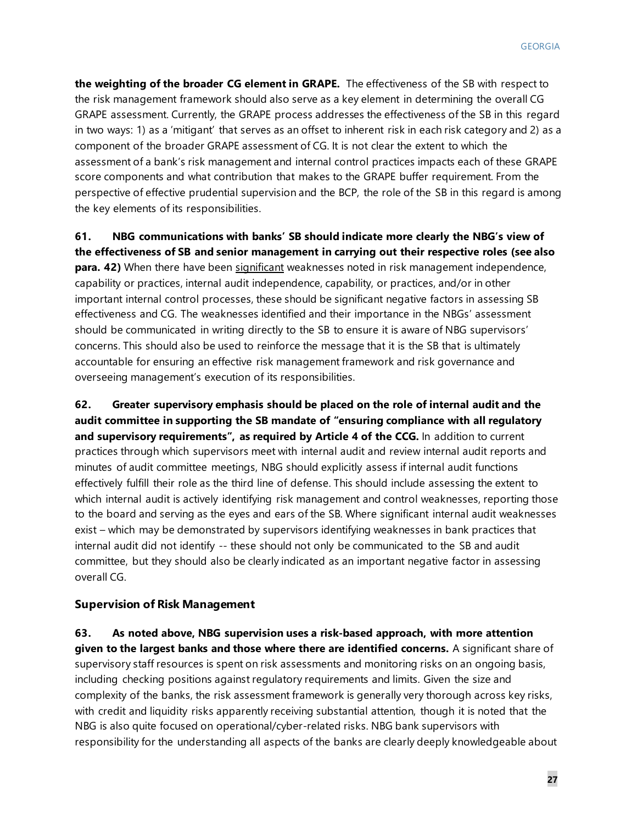**the weighting of the broader CG element in GRAPE.** The effectiveness of the SB with respect to the risk management framework should also serve as a key element in determining the overall CG GRAPE assessment. Currently, the GRAPE process addresses the effectiveness of the SB in this regard in two ways: 1) as a 'mitigant' that serves as an offset to inherent risk in each risk category and 2) as a component of the broader GRAPE assessment of CG. It is not clear the extent to which the assessment of a bank's risk management and internal control practices impacts each of these GRAPE score components and what contribution that makes to the GRAPE buffer requirement. From the perspective of effective prudential supervision and the BCP, the role of the SB in this regard is among the key elements of its responsibilities.

**61. NBG communications with banks' SB should indicate more clearly the NBG's view of the effectiveness of SB and senior management in carrying out their respective roles (see also para. 42)** When there have been significant weaknesses noted in risk management independence, capability or practices, internal audit independence, capability, or practices, and/or in other important internal control processes, these should be significant negative factors in assessing SB effectiveness and CG. The weaknesses identified and their importance in the NBGs' assessment should be communicated in writing directly to the SB to ensure it is aware of NBG supervisors' concerns. This should also be used to reinforce the message that it is the SB that is ultimately accountable for ensuring an effective risk management framework and risk governance and overseeing management's execution of its responsibilities.

**62. Greater supervisory emphasis should be placed on the role of internal audit and the audit committee in supporting the SB mandate of "ensuring compliance with all regulatory and supervisory requirements", as required by Article 4 of the CCG.** In addition to current practices through which supervisors meet with internal audit and review internal audit reports and minutes of audit committee meetings, NBG should explicitly assess if internal audit functions effectively fulfill their role as the third line of defense. This should include assessing the extent to which internal audit is actively identifying risk management and control weaknesses, reporting those to the board and serving as the eyes and ears of the SB. Where significant internal audit weaknesses exist – which may be demonstrated by supervisors identifying weaknesses in bank practices that internal audit did not identify -- these should not only be communicated to the SB and audit committee, but they should also be clearly indicated as an important negative factor in assessing overall CG.

#### **Supervision of Risk Management**

**63. As noted above, NBG supervision uses a risk-based approach, with more attention given to the largest banks and those where there are identified concerns.** A significant share of supervisory staff resources is spent on risk assessments and monitoring risks on an ongoing basis, including checking positions against regulatory requirements and limits. Given the size and complexity of the banks, the risk assessment framework is generally very thorough across key risks, with credit and liquidity risks apparently receiving substantial attention, though it is noted that the NBG is also quite focused on operational/cyber-related risks. NBG bank supervisors with responsibility for the understanding all aspects of the banks are clearly deeply knowledgeable about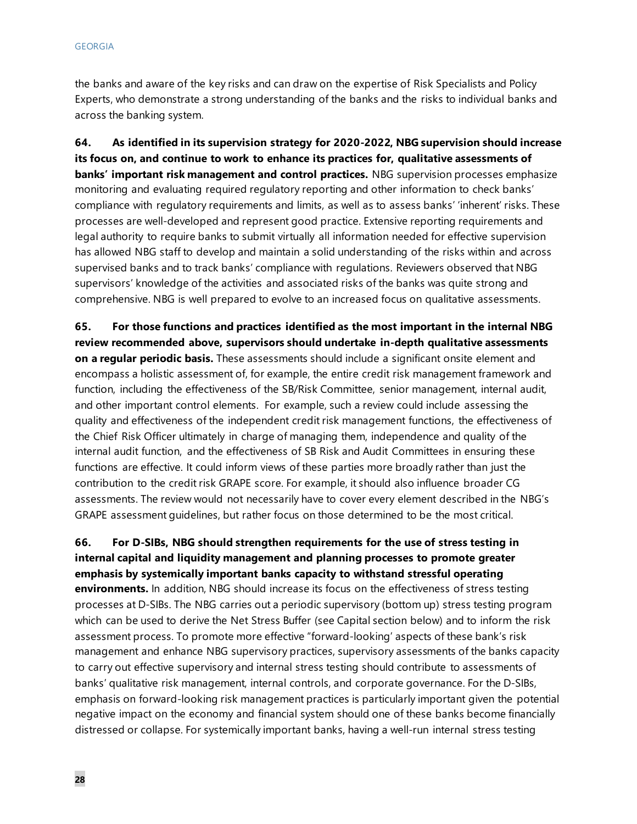the banks and aware of the key risks and can draw on the expertise of Risk Specialists and Policy Experts, who demonstrate a strong understanding of the banks and the risks to individual banks and across the banking system.

**64. As identified in its supervision strategy for 2020-2022, NBG supervision should increase its focus on, and continue to work to enhance its practices for, qualitative assessments of banks' important risk management and control practices.** NBG supervision processes emphasize monitoring and evaluating required regulatory reporting and other information to check banks' compliance with regulatory requirements and limits, as well as to assess banks' 'inherent' risks. These processes are well-developed and represent good practice. Extensive reporting requirements and legal authority to require banks to submit virtually all information needed for effective supervision has allowed NBG staff to develop and maintain a solid understanding of the risks within and across supervised banks and to track banks' compliance with regulations. Reviewers observed that NBG supervisors' knowledge of the activities and associated risks of the banks was quite strong and comprehensive. NBG is well prepared to evolve to an increased focus on qualitative assessments.

**65. For those functions and practices identified as the most important in the internal NBG review recommended above, supervisors should undertake in-depth qualitative assessments on a regular periodic basis.** These assessments should include a significant onsite element and encompass a holistic assessment of, for example, the entire credit risk management framework and function, including the effectiveness of the SB/Risk Committee, senior management, internal audit, and other important control elements. For example, such a review could include assessing the quality and effectiveness of the independent credit risk management functions, the effectiveness of the Chief Risk Officer ultimately in charge of managing them, independence and quality of the internal audit function, and the effectiveness of SB Risk and Audit Committees in ensuring these functions are effective. It could inform views of these parties more broadly rather than just the contribution to the credit risk GRAPE score. For example, it should also influence broader CG assessments. The review would not necessarily have to cover every element described in the NBG's GRAPE assessment guidelines, but rather focus on those determined to be the most critical.

### **66. For D-SIBs, NBG should strengthen requirements for the use of stress testing in internal capital and liquidity management and planning processes to promote greater emphasis by systemically important banks capacity to withstand stressful operating environments.** In addition, NBG should increase its focus on the effectiveness of stress testing processes at D-SIBs. The NBG carries out a periodic supervisory (bottom up) stress testing program which can be used to derive the Net Stress Buffer (see Capital section below) and to inform the risk assessment process. To promote more effective "forward-looking' aspects of these bank's risk management and enhance NBG supervisory practices, supervisory assessments of the banks capacity to carry out effective supervisory and internal stress testing should contribute to assessments of banks' qualitative risk management, internal controls, and corporate governance. For the D-SIBs, emphasis on forward-looking risk management practices is particularly important given the potential negative impact on the economy and financial system should one of these banks become financially distressed or collapse. For systemically important banks, having a well-run internal stress testing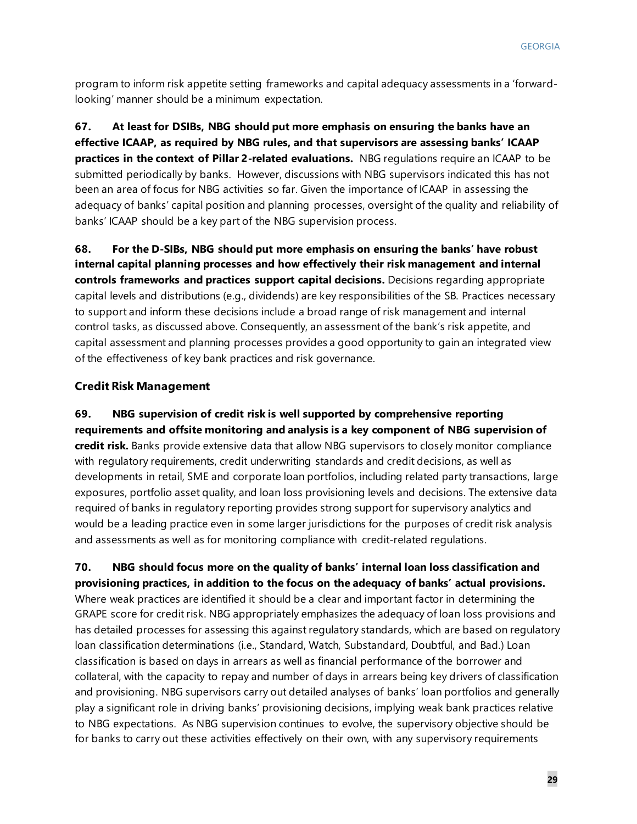program to inform risk appetite setting frameworks and capital adequacy assessments in a 'forwardlooking' manner should be a minimum expectation.

**67. At least for DSIBs, NBG should put more emphasis on ensuring the banks have an effective ICAAP, as required by NBG rules, and that supervisors are assessing banks' ICAAP practices in the context of Pillar 2-related evaluations.** NBG regulations require an ICAAP to be submitted periodically by banks. However, discussions with NBG supervisors indicated this has not been an area of focus for NBG activities so far. Given the importance of ICAAP in assessing the adequacy of banks' capital position and planning processes, oversight of the quality and reliability of banks' ICAAP should be a key part of the NBG supervision process.

**68. For the D-SIBs, NBG should put more emphasis on ensuring the banks' have robust internal capital planning processes and how effectively their risk management and internal controls frameworks and practices support capital decisions.** Decisions regarding appropriate capital levels and distributions (e.g., dividends) are key responsibilities of the SB. Practices necessary to support and inform these decisions include a broad range of risk management and internal control tasks, as discussed above. Consequently, an assessment of the bank's risk appetite, and capital assessment and planning processes provides a good opportunity to gain an integrated view of the effectiveness of key bank practices and risk governance.

### **Credit Risk Management**

**69. NBG supervision of credit risk is well supported by comprehensive reporting requirements and offsite monitoring and analysis is a key component of NBG supervision of credit risk.** Banks provide extensive data that allow NBG supervisors to closely monitor compliance with regulatory requirements, credit underwriting standards and credit decisions, as well as developments in retail, SME and corporate loan portfolios, including related party transactions, large exposures, portfolio asset quality, and loan loss provisioning levels and decisions. The extensive data required of banks in regulatory reporting provides strong support for supervisory analytics and would be a leading practice even in some larger jurisdictions for the purposes of credit risk analysis and assessments as well as for monitoring compliance with credit-related regulations.

**70. NBG should focus more on the quality of banks' internal loan loss classification and provisioning practices, in addition to the focus on the adequacy of banks' actual provisions.**  Where weak practices are identified it should be a clear and important factor in determining the GRAPE score for credit risk. NBG appropriately emphasizes the adequacy of loan loss provisions and has detailed processes for assessing this against regulatory standards, which are based on regulatory loan classification determinations (i.e., Standard, Watch, Substandard, Doubtful, and Bad.) Loan classification is based on days in arrears as well as financial performance of the borrower and collateral, with the capacity to repay and number of days in arrears being key drivers of classification and provisioning. NBG supervisors carry out detailed analyses of banks' loan portfolios and generally play a significant role in driving banks' provisioning decisions, implying weak bank practices relative to NBG expectations. As NBG supervision continues to evolve, the supervisory objective should be for banks to carry out these activities effectively on their own, with any supervisory requirements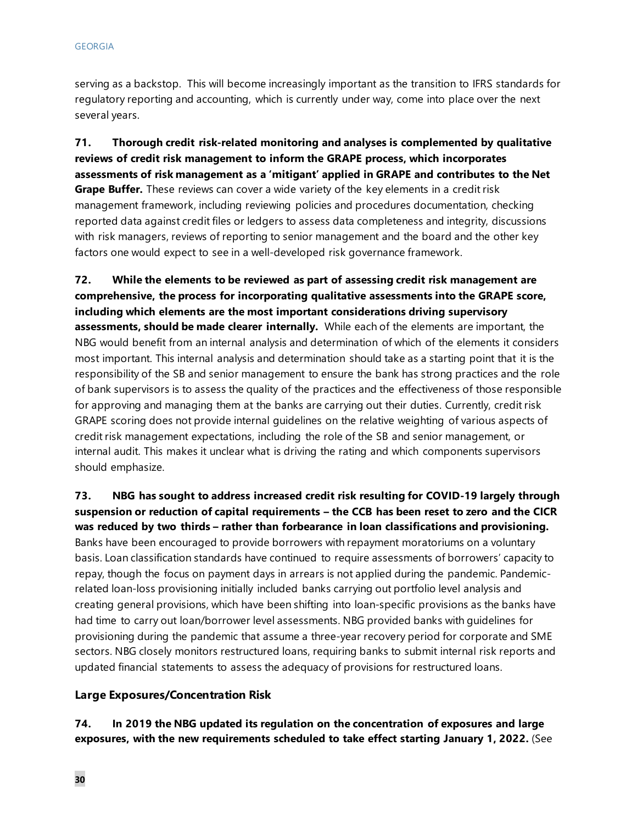serving as a backstop. This will become increasingly important as the transition to IFRS standards for regulatory reporting and accounting, which is currently under way, come into place over the next several years.

**71. Thorough credit risk-related monitoring and analyses is complemented by qualitative reviews of credit risk management to inform the GRAPE process, which incorporates assessments of risk management as a 'mitigant' applied in GRAPE and contributes to the Net Grape Buffer.** These reviews can cover a wide variety of the key elements in a credit risk management framework, including reviewing policies and procedures documentation, checking reported data against credit files or ledgers to assess data completeness and integrity, discussions with risk managers, reviews of reporting to senior management and the board and the other key factors one would expect to see in a well-developed risk governance framework.

**72. While the elements to be reviewed as part of assessing credit risk management are comprehensive, the process for incorporating qualitative assessments into the GRAPE score, including which elements are the most important considerations driving supervisory assessments, should be made clearer internally.** While each of the elements are important, the NBG would benefit from an internal analysis and determination of which of the elements it considers most important. This internal analysis and determination should take as a starting point that it is the responsibility of the SB and senior management to ensure the bank has strong practices and the role of bank supervisors is to assess the quality of the practices and the effectiveness of those responsible for approving and managing them at the banks are carrying out their duties. Currently, credit risk GRAPE scoring does not provide internal guidelines on the relative weighting of various aspects of credit risk management expectations, including the role of the SB and senior management, or internal audit. This makes it unclear what is driving the rating and which components supervisors should emphasize.

**73. NBG has sought to address increased credit risk resulting for COVID-19 largely through suspension or reduction of capital requirements – the CCB has been reset to zero and the CICR was reduced by two thirds – rather than forbearance in loan classifications and provisioning.**  Banks have been encouraged to provide borrowers with repayment moratoriums on a voluntary basis. Loan classification standards have continued to require assessments of borrowers' capacity to repay, though the focus on payment days in arrears is not applied during the pandemic. Pandemicrelated loan-loss provisioning initially included banks carrying out portfolio level analysis and creating general provisions, which have been shifting into loan-specific provisions as the banks have had time to carry out loan/borrower level assessments. NBG provided banks with guidelines for provisioning during the pandemic that assume a three-year recovery period for corporate and SME sectors. NBG closely monitors restructured loans, requiring banks to submit internal risk reports and updated financial statements to assess the adequacy of provisions for restructured loans.

#### **Large Exposures/Concentration Risk**

**74. In 2019 the NBG updated its regulation on the concentration of exposures and large exposures, with the new requirements scheduled to take effect starting January 1, 2022.** (See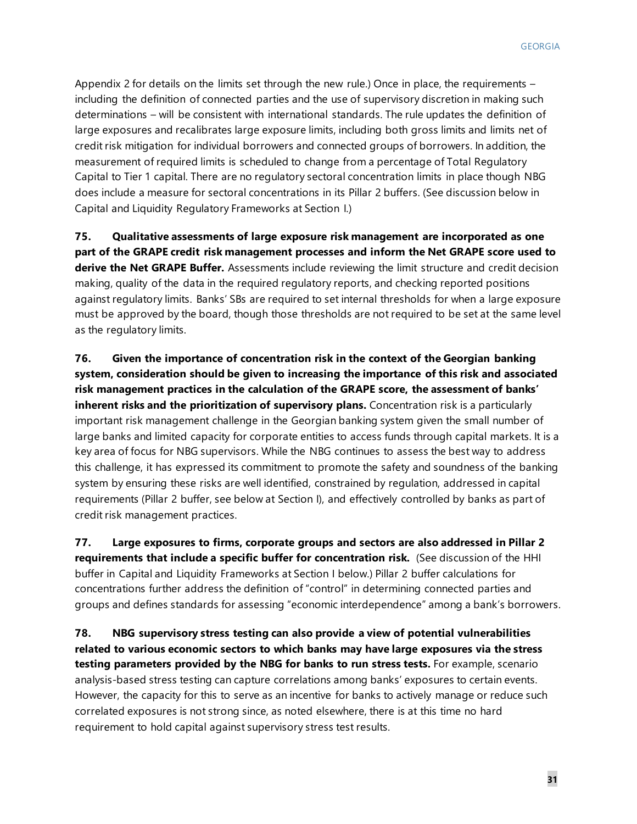Appendix 2 for details on the limits set through the new rule.) Once in place, the requirements – including the definition of connected parties and the use of supervisory discretion in making such determinations – will be consistent with international standards. The rule updates the definition of large exposures and recalibrates large exposure limits, including both gross limits and limits net of credit risk mitigation for individual borrowers and connected groups of borrowers. In addition, the measurement of required limits is scheduled to change from a percentage of Total Regulatory Capital to Tier 1 capital. There are no regulatory sectoral concentration limits in place though NBG does include a measure for sectoral concentrations in its Pillar 2 buffers. (See discussion below in Capital and Liquidity Regulatory Frameworks at Section I.)

**75. Qualitative assessments of large exposure risk management are incorporated as one part of the GRAPE credit risk management processes and inform the Net GRAPE score used to derive the Net GRAPE Buffer.** Assessments include reviewing the limit structure and credit decision making, quality of the data in the required regulatory reports, and checking reported positions against regulatory limits. Banks' SBs are required to set internal thresholds for when a large exposure must be approved by the board, though those thresholds are not required to be set at the same level as the regulatory limits.

**76. Given the importance of concentration risk in the context of the Georgian banking system, consideration should be given to increasing the importance of this risk and associated risk management practices in the calculation of the GRAPE score, the assessment of banks' inherent risks and the prioritization of supervisory plans.** Concentration risk is a particularly important risk management challenge in the Georgian banking system given the small number of large banks and limited capacity for corporate entities to access funds through capital markets. It is a key area of focus for NBG supervisors. While the NBG continues to assess the best way to address this challenge, it has expressed its commitment to promote the safety and soundness of the banking system by ensuring these risks are well identified, constrained by regulation, addressed in capital requirements (Pillar 2 buffer, see below at Section I), and effectively controlled by banks as part of credit risk management practices.

**77. Large exposures to firms, corporate groups and sectors are also addressed in Pillar 2 requirements that include a specific buffer for concentration risk.** (See discussion of the HHI buffer in Capital and Liquidity Frameworks at Section I below.) Pillar 2 buffer calculations for concentrations further address the definition of "control" in determining connected parties and groups and defines standards for assessing "economic interdependence" among a bank's borrowers.

**78. NBG supervisory stress testing can also provide a view of potential vulnerabilities related to various economic sectors to which banks may have large exposures via the stress testing parameters provided by the NBG for banks to run stress tests.** For example, scenario analysis-based stress testing can capture correlations among banks' exposures to certain events. However, the capacity for this to serve as an incentive for banks to actively manage or reduce such correlated exposures is not strong since, as noted elsewhere, there is at this time no hard requirement to hold capital against supervisory stress test results.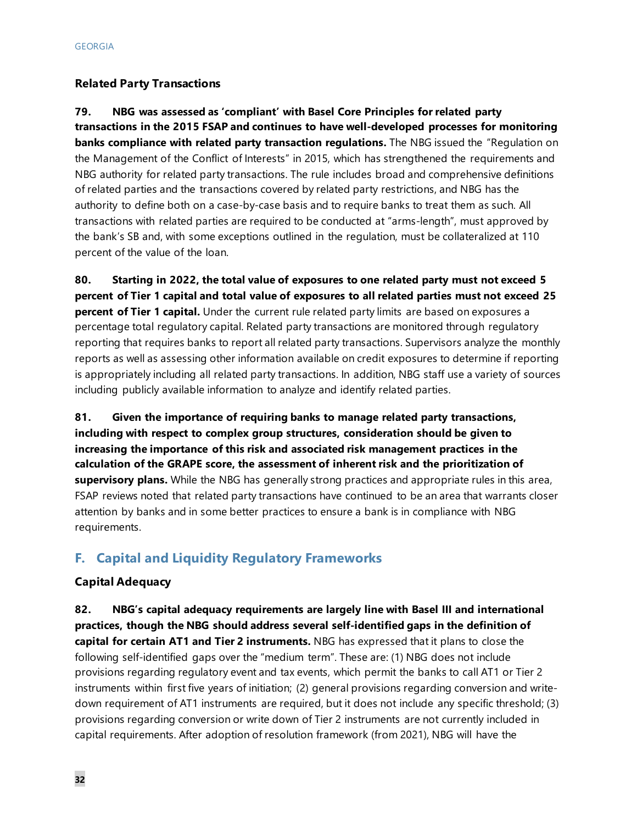### **Related Party Transactions**

**79. NBG was assessed as 'compliant' with Basel Core Principles for related party transactions in the 2015 FSAP and continues to have well-developed processes for monitoring banks compliance with related party transaction regulations.** The NBG issued the "Regulation on the Management of the Conflict of Interests" in 2015, which has strengthened the requirements and NBG authority for related party transactions. The rule includes broad and comprehensive definitions of related parties and the transactions covered by related party restrictions, and NBG has the authority to define both on a case-by-case basis and to require banks to treat them as such. All transactions with related parties are required to be conducted at "arms-length", must approved by the bank's SB and, with some exceptions outlined in the regulation, must be collateralized at 110 percent of the value of the loan.

**80. Starting in 2022, the total value of exposures to one related party must not exceed 5 percent of Tier 1 capital and total value of exposures to all related parties must not exceed 25 percent of Tier 1 capital.** Under the current rule related party limits are based on exposures a percentage total regulatory capital. Related party transactions are monitored through regulatory reporting that requires banks to report all related party transactions. Supervisors analyze the monthly reports as well as assessing other information available on credit exposures to determine if reporting is appropriately including all related party transactions. In addition, NBG staff use a variety of sources including publicly available information to analyze and identify related parties.

**81. Given the importance of requiring banks to manage related party transactions, including with respect to complex group structures, consideration should be given to increasing the importance of this risk and associated risk management practices in the calculation of the GRAPE score, the assessment of inherent risk and the prioritization of supervisory plans.** While the NBG has generally strong practices and appropriate rules in this area, FSAP reviews noted that related party transactions have continued to be an area that warrants closer attention by banks and in some better practices to ensure a bank is in compliance with NBG requirements.

### **F. Capital and Liquidity Regulatory Frameworks**

### **Capital Adequacy**

**82. NBG's capital adequacy requirements are largely line with Basel III and international practices, though the NBG should address several self-identified gaps in the definition of capital for certain AT1 and Tier 2 instruments.** NBG has expressed that it plans to close the following self-identified gaps over the "medium term". These are: (1) NBG does not include provisions regarding regulatory event and tax events, which permit the banks to call AT1 or Tier 2 instruments within first five years of initiation; (2) general provisions regarding conversion and writedown requirement of AT1 instruments are required, but it does not include any specific threshold; (3) provisions regarding conversion or write down of Tier 2 instruments are not currently included in capital requirements. After adoption of resolution framework (from 2021), NBG will have the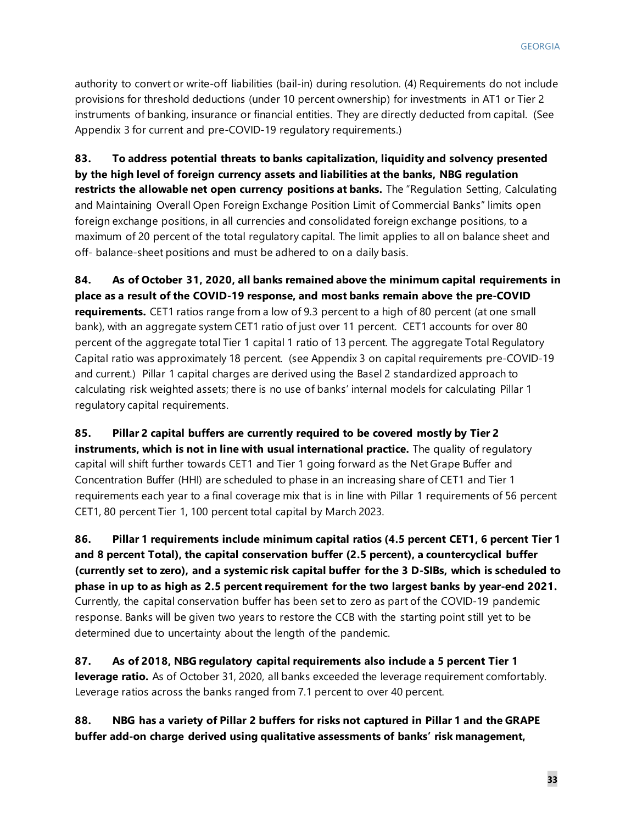authority to convert or write-off liabilities (bail-in) during resolution. (4) Requirements do not include provisions for threshold deductions (under 10 percent ownership) for investments in AT1 or Tier 2 instruments of banking, insurance or financial entities. They are directly deducted from capital. (See Appendix 3 for current and pre-COVID-19 regulatory requirements.)

**83. To address potential threats to banks capitalization, liquidity and solvency presented by the high level of foreign currency assets and liabilities at the banks, NBG regulation restricts the allowable net open currency positions at banks.** The "Regulation Setting, Calculating and Maintaining Overall Open Foreign Exchange Position Limit of Commercial Banks" limits open foreign exchange positions, in all currencies and consolidated foreign exchange positions, to a maximum of 20 percent of the total regulatory capital. The limit applies to all on balance sheet and off- balance-sheet positions and must be adhered to on a daily basis.

**84. As of October 31, 2020, all banks remained above the minimum capital requirements in place as a result of the COVID-19 response, and most banks remain above the pre-COVID requirements.** CET1 ratios range from a low of 9.3 percent to a high of 80 percent (at one small bank), with an aggregate system CET1 ratio of just over 11 percent. CET1 accounts for over 80 percent of the aggregate total Tier 1 capital 1 ratio of 13 percent. The aggregate Total Regulatory Capital ratio was approximately 18 percent. (see Appendix 3 on capital requirements pre-COVID-19 and current.) Pillar 1 capital charges are derived using the Basel 2 standardized approach to calculating risk weighted assets; there is no use of banks' internal models for calculating Pillar 1 regulatory capital requirements.

**85. Pillar 2 capital buffers are currently required to be covered mostly by Tier 2 instruments, which is not in line with usual international practice.** The quality of regulatory capital will shift further towards CET1 and Tier 1 going forward as the Net Grape Buffer and Concentration Buffer (HHI) are scheduled to phase in an increasing share of CET1 and Tier 1 requirements each year to a final coverage mix that is in line with Pillar 1 requirements of 56 percent CET1, 80 percent Tier 1, 100 percent total capital by March 2023.

**86. Pillar 1 requirements include minimum capital ratios (4.5 percent CET1, 6 percent Tier 1 and 8 percent Total), the capital conservation buffer (2.5 percent), a countercyclical buffer (currently set to zero), and a systemic risk capital buffer for the 3 D-SIBs, which is scheduled to phase in up to as high as 2.5 percent requirement for the two largest banks by year-end 2021.**  Currently, the capital conservation buffer has been set to zero as part of the COVID-19 pandemic response. Banks will be given two years to restore the CCB with the starting point still yet to be determined due to uncertainty about the length of the pandemic.

**87. As of 2018, NBG regulatory capital requirements also include a 5 percent Tier 1 leverage ratio.** As of October 31, 2020, all banks exceeded the leverage requirement comfortably. Leverage ratios across the banks ranged from 7.1 percent to over 40 percent.

**88. NBG has a variety of Pillar 2 buffers for risks not captured in Pillar 1 and the GRAPE buffer add-on charge derived using qualitative assessments of banks' risk management,**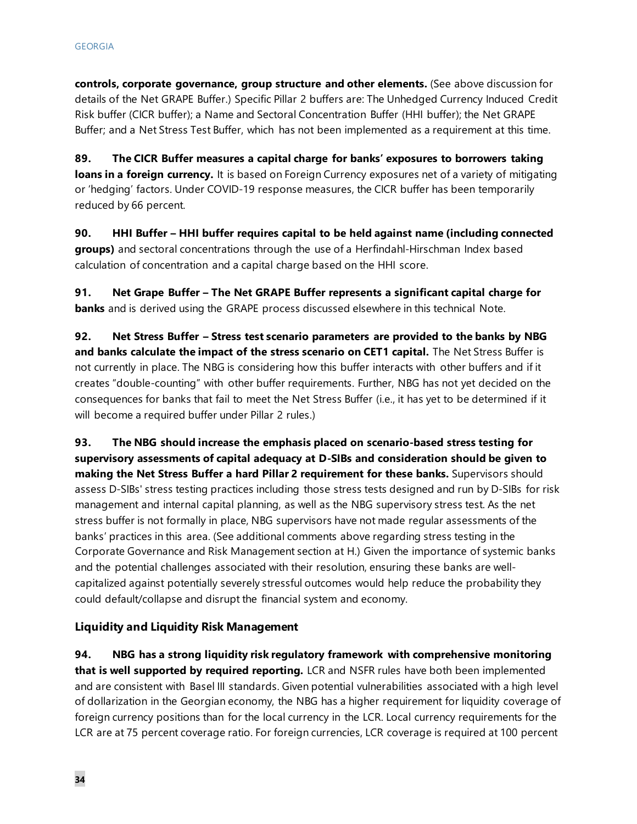**controls, corporate governance, group structure and other elements.** (See above discussion for details of the Net GRAPE Buffer.) Specific Pillar 2 buffers are: The Unhedged Currency Induced Credit Risk buffer (CICR buffer); a Name and Sectoral Concentration Buffer (HHI buffer); the Net GRAPE Buffer; and a Net Stress Test Buffer, which has not been implemented as a requirement at this time.

**89. The CICR Buffer measures a capital charge for banks' exposures to borrowers taking loans in a foreign currency.** It is based on Foreign Currency exposures net of a variety of mitigating or 'hedging' factors. Under COVID-19 response measures, the CICR buffer has been temporarily reduced by 66 percent.

**90. HHI Buffer – HHI buffer requires capital to be held against name (including connected groups)** and sectoral concentrations through the use of a Herfindahl-Hirschman Index based calculation of concentration and a capital charge based on the HHI score.

**91. Net Grape Buffer – The Net GRAPE Buffer represents a significant capital charge for banks** and is derived using the GRAPE process discussed elsewhere in this technical Note.

**92. Net Stress Buffer – Stress test scenario parameters are provided to the banks by NBG and banks calculate the impact of the stress scenario on CET1 capital.** The Net Stress Buffer is not currently in place. The NBG is considering how this buffer interacts with other buffers and if it creates "double-counting" with other buffer requirements. Further, NBG has not yet decided on the consequences for banks that fail to meet the Net Stress Buffer (i.e., it has yet to be determined if it will become a required buffer under Pillar 2 rules.)

**93. The NBG should increase the emphasis placed on scenario-based stress testing for supervisory assessments of capital adequacy at D-SIBs and consideration should be given to making the Net Stress Buffer a hard Pillar 2 requirement for these banks.** Supervisors should assess D-SIBs' stress testing practices including those stress tests designed and run by D-SIBs for risk management and internal capital planning, as well as the NBG supervisory stress test. As the net stress buffer is not formally in place, NBG supervisors have not made regular assessments of the banks' practices in this area. (See additional comments above regarding stress testing in the Corporate Governance and Risk Management section at H.) Given the importance of systemic banks and the potential challenges associated with their resolution, ensuring these banks are wellcapitalized against potentially severely stressful outcomes would help reduce the probability they could default/collapse and disrupt the financial system and economy.

#### **Liquidity and Liquidity Risk Management**

**94. NBG has a strong liquidity risk regulatory framework with comprehensive monitoring that is well supported by required reporting.** LCR and NSFR rules have both been implemented and are consistent with Basel III standards. Given potential vulnerabilities associated with a high level of dollarization in the Georgian economy, the NBG has a higher requirement for liquidity coverage of foreign currency positions than for the local currency in the LCR. Local currency requirements for the LCR are at 75 percent coverage ratio. For foreign currencies, LCR coverage is required at 100 percent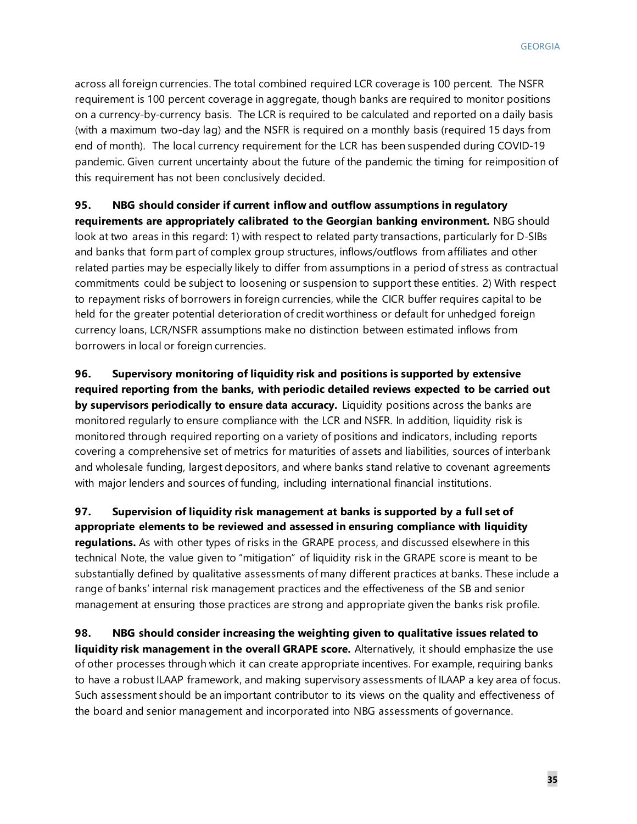across all foreign currencies. The total combined required LCR coverage is 100 percent. The NSFR requirement is 100 percent coverage in aggregate, though banks are required to monitor positions on a currency-by-currency basis. The LCR is required to be calculated and reported on a daily basis (with a maximum two-day lag) and the NSFR is required on a monthly basis (required 15 days from end of month). The local currency requirement for the LCR has been suspended during COVID-19 pandemic. Given current uncertainty about the future of the pandemic the timing for reimposition of this requirement has not been conclusively decided.

### **95. NBG should consider if current inflow and outflow assumptions in regulatory**

**requirements are appropriately calibrated to the Georgian banking environment.** NBG should look at two areas in this regard: 1) with respect to related party transactions, particularly for D-SIBs and banks that form part of complex group structures, inflows/outflows from affiliates and other related parties may be especially likely to differ from assumptions in a period of stress as contractual commitments could be subject to loosening or suspension to support these entities. 2) With respect to repayment risks of borrowers in foreign currencies, while the CICR buffer requires capital to be held for the greater potential deterioration of credit worthiness or default for unhedged foreign currency loans, LCR/NSFR assumptions make no distinction between estimated inflows from borrowers in local or foreign currencies.

**96. Supervisory monitoring of liquidity risk and positions is supported by extensive required reporting from the banks, with periodic detailed reviews expected to be carried out by supervisors periodically to ensure data accuracy.** Liquidity positions across the banks are monitored regularly to ensure compliance with the LCR and NSFR. In addition, liquidity risk is monitored through required reporting on a variety of positions and indicators, including reports covering a comprehensive set of metrics for maturities of assets and liabilities, sources of interbank and wholesale funding, largest depositors, and where banks stand relative to covenant agreements with major lenders and sources of funding, including international financial institutions.

**97. Supervision of liquidity risk management at banks is supported by a full set of appropriate elements to be reviewed and assessed in ensuring compliance with liquidity regulations.** As with other types of risks in the GRAPE process, and discussed elsewhere in this technical Note, the value given to "mitigation" of liquidity risk in the GRAPE score is meant to be substantially defined by qualitative assessments of many different practices at banks. These include a range of banks' internal risk management practices and the effectiveness of the SB and senior management at ensuring those practices are strong and appropriate given the banks risk profile.

**98. NBG should consider increasing the weighting given to qualitative issues related to liquidity risk management in the overall GRAPE score.** Alternatively, it should emphasize the use of other processes through which it can create appropriate incentives. For example, requiring banks to have a robust ILAAP framework, and making supervisory assessments of ILAAP a key area of focus. Such assessment should be an important contributor to its views on the quality and effectiveness of the board and senior management and incorporated into NBG assessments of governance.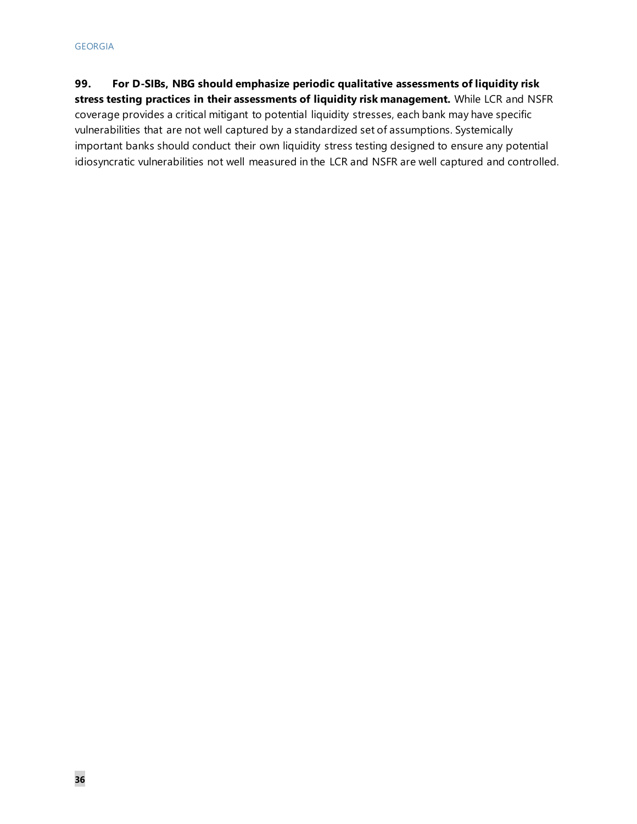### **99. For D-SIBs, NBG should emphasize periodic qualitative assessments of liquidity risk**

**stress testing practices in their assessments of liquidity risk management.** While LCR and NSFR coverage provides a critical mitigant to potential liquidity stresses, each bank may have specific vulnerabilities that are not well captured by a standardized set of assumptions. Systemically important banks should conduct their own liquidity stress testing designed to ensure any potential idiosyncratic vulnerabilities not well measured in the LCR and NSFR are well captured and controlled.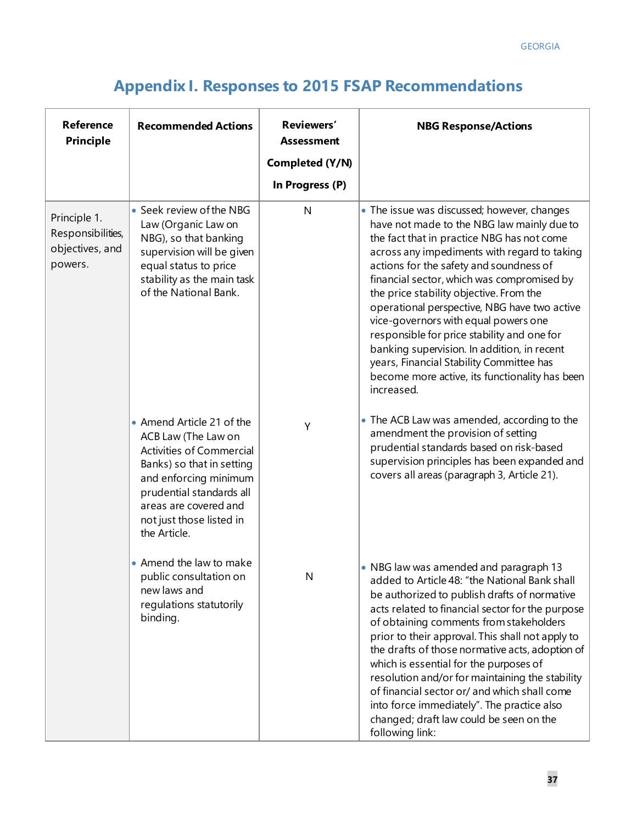# **Appendix I. Responses to 2015 FSAP Recommendations**

| <b>Reference</b><br><b>Principle</b>                            | <b>Recommended Actions</b>                                                                                                                                                                                                          | Reviewers'<br><b>Assessment</b><br>Completed (Y/N) | <b>NBG Response/Actions</b>                                                                                                                                                                                                                                                                                                                                                                                                                                                                                                                                                                                                   |
|-----------------------------------------------------------------|-------------------------------------------------------------------------------------------------------------------------------------------------------------------------------------------------------------------------------------|----------------------------------------------------|-------------------------------------------------------------------------------------------------------------------------------------------------------------------------------------------------------------------------------------------------------------------------------------------------------------------------------------------------------------------------------------------------------------------------------------------------------------------------------------------------------------------------------------------------------------------------------------------------------------------------------|
|                                                                 |                                                                                                                                                                                                                                     | In Progress (P)                                    |                                                                                                                                                                                                                                                                                                                                                                                                                                                                                                                                                                                                                               |
| Principle 1.<br>Responsibilities,<br>objectives, and<br>powers. | • Seek review of the NBG<br>Law (Organic Law on<br>NBG), so that banking<br>supervision will be given<br>equal status to price<br>stability as the main task<br>of the National Bank.                                               | N                                                  | • The issue was discussed; however, changes<br>have not made to the NBG law mainly due to<br>the fact that in practice NBG has not come<br>across any impediments with regard to taking<br>actions for the safety and soundness of<br>financial sector, which was compromised by<br>the price stability objective. From the<br>operational perspective, NBG have two active<br>vice-governors with equal powers one<br>responsible for price stability and one for<br>banking supervision. In addition, in recent<br>years, Financial Stability Committee has<br>become more active, its functionality has been<br>increased. |
|                                                                 | • Amend Article 21 of the<br>ACB Law (The Law on<br>Activities of Commercial<br>Banks) so that in setting<br>and enforcing minimum<br>prudential standards all<br>areas are covered and<br>not just those listed in<br>the Article. | Y                                                  | • The ACB Law was amended, according to the<br>amendment the provision of setting<br>prudential standards based on risk-based<br>supervision principles has been expanded and<br>covers all areas (paragraph 3, Article 21).                                                                                                                                                                                                                                                                                                                                                                                                  |
|                                                                 | • Amend the law to make<br>public consultation on<br>new laws and<br>regulations statutorily<br>binding.                                                                                                                            | N                                                  | • NBG law was amended and paragraph 13<br>added to Article 48: "the National Bank shall<br>be authorized to publish drafts of normative<br>acts related to financial sector for the purpose<br>of obtaining comments from stakeholders<br>prior to their approval. This shall not apply to<br>the drafts of those normative acts, adoption of<br>which is essential for the purposes of<br>resolution and/or for maintaining the stability<br>of financial sector or/ and which shall come<br>into force immediately". The practice also<br>changed; draft law could be seen on the<br>following link:                        |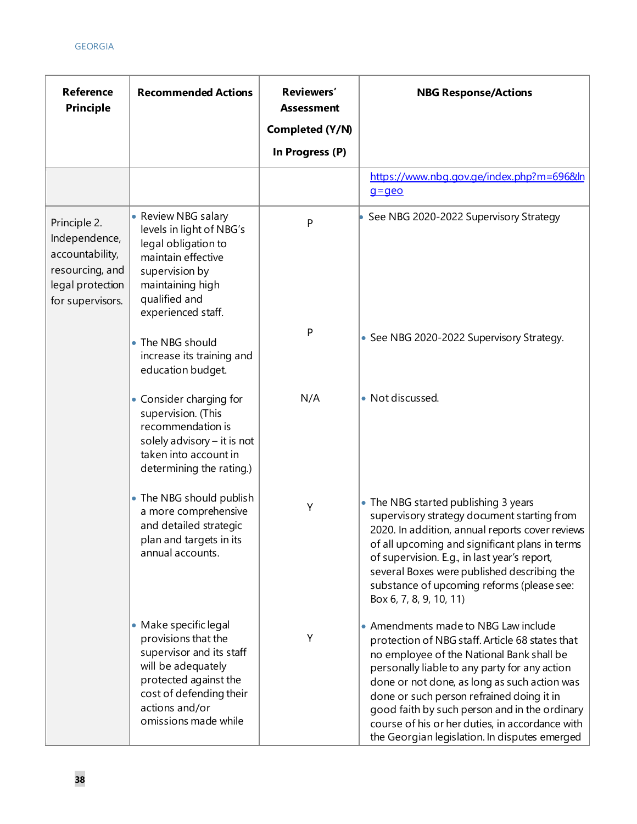| <b>Reference</b><br><b>Principle</b>                                                                        | <b>Recommended Actions</b>                                                                                                                                                                   | Reviewers'<br><b>Assessment</b><br>Completed (Y/N) | <b>NBG Response/Actions</b>                                                                                                                                                                                                                                                                                                                                                                                                             |
|-------------------------------------------------------------------------------------------------------------|----------------------------------------------------------------------------------------------------------------------------------------------------------------------------------------------|----------------------------------------------------|-----------------------------------------------------------------------------------------------------------------------------------------------------------------------------------------------------------------------------------------------------------------------------------------------------------------------------------------------------------------------------------------------------------------------------------------|
|                                                                                                             |                                                                                                                                                                                              | In Progress (P)                                    |                                                                                                                                                                                                                                                                                                                                                                                                                                         |
|                                                                                                             |                                                                                                                                                                                              |                                                    | https://www.nbg.gov.ge/index.php?m=696&ln<br>$q = q$ eo                                                                                                                                                                                                                                                                                                                                                                                 |
| Principle 2.<br>Independence,<br>accountability,<br>resourcing, and<br>legal protection<br>for supervisors. | • Review NBG salary<br>levels in light of NBG's<br>legal obligation to<br>maintain effective<br>supervision by<br>maintaining high<br>qualified and<br>experienced staff.                    | P                                                  | See NBG 2020-2022 Supervisory Strategy                                                                                                                                                                                                                                                                                                                                                                                                  |
|                                                                                                             | • The NBG should<br>increase its training and<br>education budget.                                                                                                                           | P                                                  | • See NBG 2020-2022 Supervisory Strategy.                                                                                                                                                                                                                                                                                                                                                                                               |
|                                                                                                             | • Consider charging for<br>supervision. (This<br>recommendation is<br>solely advisory $-$ it is not<br>taken into account in<br>determining the rating.)                                     | N/A                                                | • Not discussed.                                                                                                                                                                                                                                                                                                                                                                                                                        |
|                                                                                                             | • The NBG should publish<br>a more comprehensive<br>and detailed strategic<br>plan and targets in its<br>annual accounts.                                                                    | Υ                                                  | • The NBG started publishing 3 years<br>supervisory strategy document starting from<br>2020. In addition, annual reports cover reviews<br>of all upcoming and significant plans in terms<br>of supervision. E.g., in last year's report,<br>several Boxes were published describing the<br>substance of upcoming reforms (please see:<br>Box 6, 7, 8, 9, 10, 11)                                                                        |
|                                                                                                             | • Make specific legal<br>provisions that the<br>supervisor and its staff<br>will be adequately<br>protected against the<br>cost of defending their<br>actions and/or<br>omissions made while | Υ                                                  | • Amendments made to NBG Law include<br>protection of NBG staff. Article 68 states that<br>no employee of the National Bank shall be<br>personally liable to any party for any action<br>done or not done, as long as such action was<br>done or such person refrained doing it in<br>good faith by such person and in the ordinary<br>course of his or her duties, in accordance with<br>the Georgian legislation. In disputes emerged |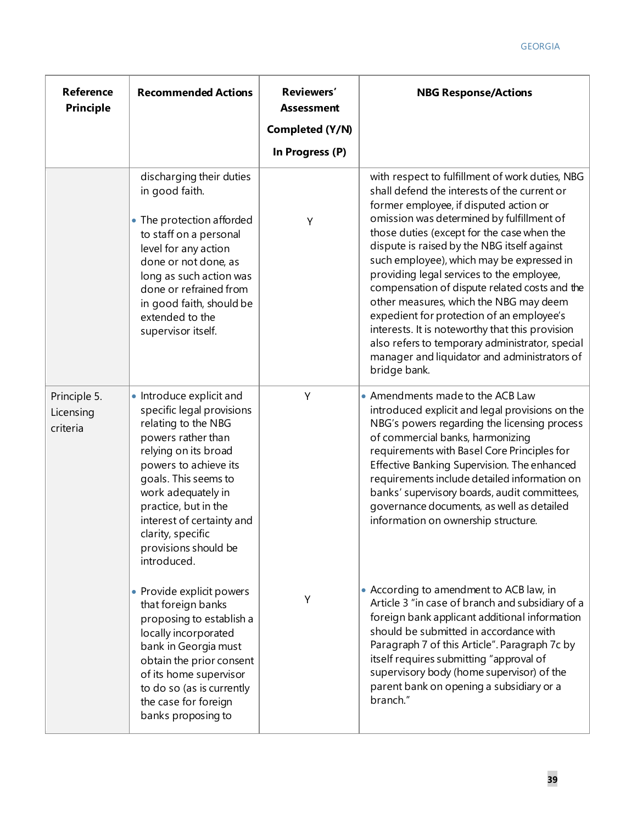| <b>Reference</b><br><b>Principle</b>  | <b>Recommended Actions</b>                                                                                                                                                                                                                                                                                         | Reviewers'<br><b>Assessment</b>    | <b>NBG Response/Actions</b>                                                                                                                                                                                                                                                                                                                                                                                                                                                                                                                                                                                                                                                                 |
|---------------------------------------|--------------------------------------------------------------------------------------------------------------------------------------------------------------------------------------------------------------------------------------------------------------------------------------------------------------------|------------------------------------|---------------------------------------------------------------------------------------------------------------------------------------------------------------------------------------------------------------------------------------------------------------------------------------------------------------------------------------------------------------------------------------------------------------------------------------------------------------------------------------------------------------------------------------------------------------------------------------------------------------------------------------------------------------------------------------------|
|                                       |                                                                                                                                                                                                                                                                                                                    | Completed (Y/N)<br>In Progress (P) |                                                                                                                                                                                                                                                                                                                                                                                                                                                                                                                                                                                                                                                                                             |
|                                       | discharging their duties<br>in good faith.<br>• The protection afforded<br>to staff on a personal<br>level for any action<br>done or not done, as<br>long as such action was<br>done or refrained from<br>in good faith, should be<br>extended to the<br>supervisor itself.                                        | Y                                  | with respect to fulfillment of work duties, NBG<br>shall defend the interests of the current or<br>former employee, if disputed action or<br>omission was determined by fulfillment of<br>those duties (except for the case when the<br>dispute is raised by the NBG itself against<br>such employee), which may be expressed in<br>providing legal services to the employee,<br>compensation of dispute related costs and the<br>other measures, which the NBG may deem<br>expedient for protection of an employee's<br>interests. It is noteworthy that this provision<br>also refers to temporary administrator, special<br>manager and liquidator and administrators of<br>bridge bank. |
| Principle 5.<br>Licensing<br>criteria | • Introduce explicit and<br>specific legal provisions<br>relating to the NBG<br>powers rather than<br>relying on its broad<br>powers to achieve its<br>goals. This seems to<br>work adequately in<br>practice, but in the<br>interest of certainty and<br>clarity, specific<br>provisions should be<br>introduced. | Υ                                  | • Amendments made to the ACB Law<br>introduced explicit and legal provisions on the<br>NBG's powers regarding the licensing process<br>of commercial banks, harmonizing<br>requirements with Basel Core Principles for<br>Effective Banking Supervision. The enhanced<br>requirements include detailed information on<br>banks' supervisory boards, audit committees,<br>governance documents, as well as detailed<br>information on ownership structure.                                                                                                                                                                                                                                   |
|                                       | • Provide explicit powers<br>that foreign banks<br>proposing to establish a<br>locally incorporated<br>bank in Georgia must<br>obtain the prior consent<br>of its home supervisor<br>to do so (as is currently<br>the case for foreign<br>banks proposing to                                                       | Υ                                  | • According to amendment to ACB law, in<br>Article 3 "in case of branch and subsidiary of a<br>foreign bank applicant additional information<br>should be submitted in accordance with<br>Paragraph 7 of this Article". Paragraph 7c by<br>itself requires submitting "approval of<br>supervisory body (home supervisor) of the<br>parent bank on opening a subsidiary or a<br>branch."                                                                                                                                                                                                                                                                                                     |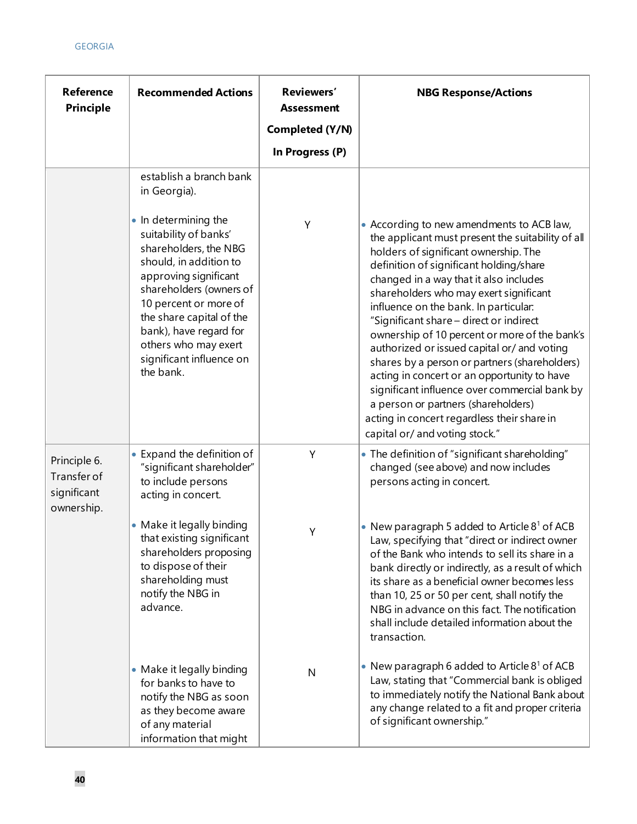| <b>Reference</b><br><b>Principle</b>                     | <b>Recommended Actions</b>                                                                                                                                                                                                                                                                           | Reviewers'<br><b>Assessment</b><br>Completed (Y/N) | <b>NBG Response/Actions</b>                                                                                                                                                                                                                                                                                                                                                                                                                                                                                                                                                                                                                                                                                                         |
|----------------------------------------------------------|------------------------------------------------------------------------------------------------------------------------------------------------------------------------------------------------------------------------------------------------------------------------------------------------------|----------------------------------------------------|-------------------------------------------------------------------------------------------------------------------------------------------------------------------------------------------------------------------------------------------------------------------------------------------------------------------------------------------------------------------------------------------------------------------------------------------------------------------------------------------------------------------------------------------------------------------------------------------------------------------------------------------------------------------------------------------------------------------------------------|
|                                                          |                                                                                                                                                                                                                                                                                                      | In Progress (P)                                    |                                                                                                                                                                                                                                                                                                                                                                                                                                                                                                                                                                                                                                                                                                                                     |
|                                                          | establish a branch bank<br>in Georgia).                                                                                                                                                                                                                                                              |                                                    |                                                                                                                                                                                                                                                                                                                                                                                                                                                                                                                                                                                                                                                                                                                                     |
|                                                          | • In determining the<br>suitability of banks'<br>shareholders, the NBG<br>should, in addition to<br>approving significant<br>shareholders (owners of<br>10 percent or more of<br>the share capital of the<br>bank), have regard for<br>others who may exert<br>significant influence on<br>the bank. | Y                                                  | • According to new amendments to ACB law,<br>the applicant must present the suitability of all<br>holders of significant ownership. The<br>definition of significant holding/share<br>changed in a way that it also includes<br>shareholders who may exert significant<br>influence on the bank. In particular:<br>"Significant share - direct or indirect<br>ownership of 10 percent or more of the bank's<br>authorized or issued capital or/ and voting<br>shares by a person or partners (shareholders)<br>acting in concert or an opportunity to have<br>significant influence over commercial bank by<br>a person or partners (shareholders)<br>acting in concert regardless their share in<br>capital or/ and voting stock." |
| Principle 6.<br>Transfer of<br>significant<br>ownership. | • Expand the definition of<br>"significant shareholder"<br>to include persons<br>acting in concert.                                                                                                                                                                                                  | Y                                                  | • The definition of "significant shareholding"<br>changed (see above) and now includes<br>persons acting in concert.                                                                                                                                                                                                                                                                                                                                                                                                                                                                                                                                                                                                                |
|                                                          | • Make it legally binding<br>that existing significant<br>shareholders proposing<br>to dispose of their<br>shareholding must<br>notify the NBG in<br>advance.                                                                                                                                        | Υ                                                  | • New paragraph 5 added to Article $8^1$ of ACB<br>Law, specifying that "direct or indirect owner<br>of the Bank who intends to sell its share in a<br>bank directly or indirectly, as a result of which<br>its share as a beneficial owner becomes less<br>than 10, 25 or 50 per cent, shall notify the<br>NBG in advance on this fact. The notification<br>shall include detailed information about the<br>transaction.                                                                                                                                                                                                                                                                                                           |
|                                                          | • Make it legally binding<br>for banks to have to<br>notify the NBG as soon<br>as they become aware<br>of any material<br>information that might                                                                                                                                                     | $\mathsf{N}$                                       | • New paragraph 6 added to Article $81$ of ACB<br>Law, stating that "Commercial bank is obliged<br>to immediately notify the National Bank about<br>any change related to a fit and proper criteria<br>of significant ownership."                                                                                                                                                                                                                                                                                                                                                                                                                                                                                                   |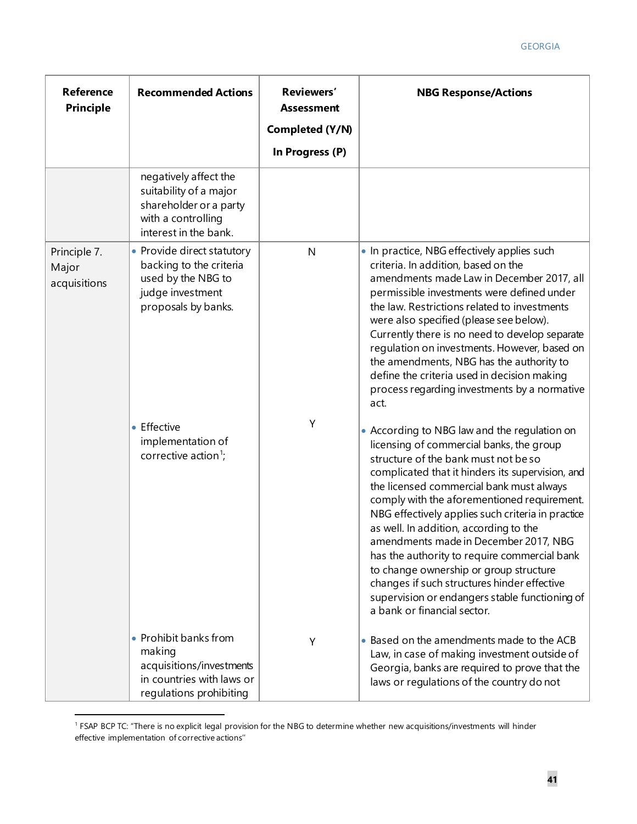| <b>Reference</b><br><b>Principle</b>  | <b>Recommended Actions</b>                                                                                               | Reviewers'<br><b>Assessment</b><br>Completed (Y/N)<br>In Progress (P) | <b>NBG Response/Actions</b>                                                                                                                                                                                                                                                                                                                                                                                                                                                                                                                                                                                                                       |
|---------------------------------------|--------------------------------------------------------------------------------------------------------------------------|-----------------------------------------------------------------------|---------------------------------------------------------------------------------------------------------------------------------------------------------------------------------------------------------------------------------------------------------------------------------------------------------------------------------------------------------------------------------------------------------------------------------------------------------------------------------------------------------------------------------------------------------------------------------------------------------------------------------------------------|
|                                       | negatively affect the<br>suitability of a major<br>shareholder or a party<br>with a controlling<br>interest in the bank. |                                                                       |                                                                                                                                                                                                                                                                                                                                                                                                                                                                                                                                                                                                                                                   |
| Principle 7.<br>Major<br>acquisitions | • Provide direct statutory<br>backing to the criteria<br>used by the NBG to<br>judge investment<br>proposals by banks.   | $\mathsf{N}$                                                          | • In practice, NBG effectively applies such<br>criteria. In addition, based on the<br>amendments made Law in December 2017, all<br>permissible investments were defined under<br>the law. Restrictions related to investments<br>were also specified (please see below).<br>Currently there is no need to develop separate<br>regulation on investments. However, based on<br>the amendments, NBG has the authority to<br>define the criteria used in decision making<br>process regarding investments by a normative<br>act.                                                                                                                     |
|                                       | • Effective<br>implementation of<br>corrective action <sup>1</sup> ;                                                     | Υ                                                                     | • According to NBG law and the regulation on<br>licensing of commercial banks, the group<br>structure of the bank must not be so<br>complicated that it hinders its supervision, and<br>the licensed commercial bank must always<br>comply with the aforementioned requirement.<br>NBG effectively applies such criteria in practice<br>as well. In addition, according to the<br>amendments made in December 2017, NBG<br>has the authority to require commercial bank<br>to change ownership or group structure<br>changes if such structures hinder effective<br>supervision or endangers stable functioning of<br>a bank or financial sector. |
|                                       | • Prohibit banks from<br>making<br>acquisitions/investments<br>in countries with laws or<br>regulations prohibiting      | Υ                                                                     | • Based on the amendments made to the ACB<br>Law, in case of making investment outside of<br>Georgia, banks are required to prove that the<br>laws or regulations of the country do not                                                                                                                                                                                                                                                                                                                                                                                                                                                           |

<span id="page-41-0"></span><sup>&</sup>lt;sup>1</sup> FSAP BCP TC: "There is no explicit legal provision for the NBG to determine whether new acquisitions/investments will hinder effective implementation of corrective actions''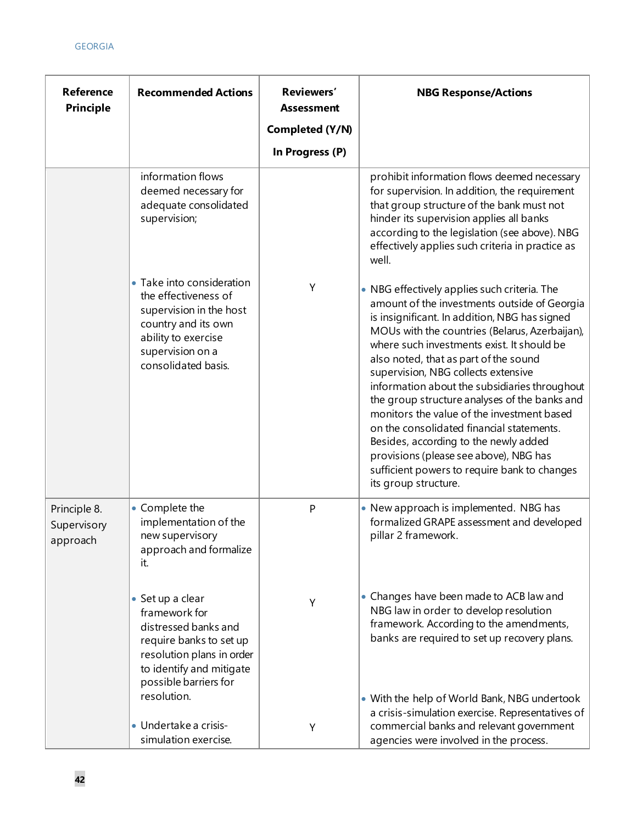| <b>Reference</b><br><b>Principle</b>    | <b>Recommended Actions</b>                                                                                                                                             | Reviewers'<br><b>Assessment</b> | <b>NBG Response/Actions</b>                                                                                                                                                                                                                                                                                                                                                                                                                                                                                                                                                                                                                                                           |
|-----------------------------------------|------------------------------------------------------------------------------------------------------------------------------------------------------------------------|---------------------------------|---------------------------------------------------------------------------------------------------------------------------------------------------------------------------------------------------------------------------------------------------------------------------------------------------------------------------------------------------------------------------------------------------------------------------------------------------------------------------------------------------------------------------------------------------------------------------------------------------------------------------------------------------------------------------------------|
|                                         |                                                                                                                                                                        | Completed (Y/N)                 |                                                                                                                                                                                                                                                                                                                                                                                                                                                                                                                                                                                                                                                                                       |
|                                         |                                                                                                                                                                        | In Progress (P)                 |                                                                                                                                                                                                                                                                                                                                                                                                                                                                                                                                                                                                                                                                                       |
|                                         | information flows<br>deemed necessary for<br>adequate consolidated<br>supervision;                                                                                     |                                 | prohibit information flows deemed necessary<br>for supervision. In addition, the requirement<br>that group structure of the bank must not<br>hinder its supervision applies all banks<br>according to the legislation (see above). NBG<br>effectively applies such criteria in practice as<br>well.                                                                                                                                                                                                                                                                                                                                                                                   |
|                                         | • Take into consideration<br>the effectiveness of<br>supervision in the host<br>country and its own<br>ability to exercise<br>supervision on a<br>consolidated basis.  | Y                               | • NBG effectively applies such criteria. The<br>amount of the investments outside of Georgia<br>is insignificant. In addition, NBG has signed<br>MOUs with the countries (Belarus, Azerbaijan),<br>where such investments exist. It should be<br>also noted, that as part of the sound<br>supervision, NBG collects extensive<br>information about the subsidiaries throughout<br>the group structure analyses of the banks and<br>monitors the value of the investment based<br>on the consolidated financial statements.<br>Besides, according to the newly added<br>provisions (please see above), NBG has<br>sufficient powers to require bank to changes<br>its group structure. |
| Principle 8.<br>Supervisory<br>approach | • Complete the<br>implementation of the<br>new supervisory<br>approach and formalize<br>it.                                                                            | P                               | • New approach is implemented. NBG has<br>formalized GRAPE assessment and developed<br>pillar 2 framework.                                                                                                                                                                                                                                                                                                                                                                                                                                                                                                                                                                            |
|                                         | • Set up a clear<br>framework for<br>distressed banks and<br>require banks to set up<br>resolution plans in order<br>to identify and mitigate<br>possible barriers for | Υ                               | • Changes have been made to ACB law and<br>NBG law in order to develop resolution<br>framework. According to the amendments,<br>banks are required to set up recovery plans.                                                                                                                                                                                                                                                                                                                                                                                                                                                                                                          |
|                                         | resolution.<br>· Undertake a crisis-<br>simulation exercise.                                                                                                           | Υ                               | • With the help of World Bank, NBG undertook<br>a crisis-simulation exercise. Representatives of<br>commercial banks and relevant government<br>agencies were involved in the process.                                                                                                                                                                                                                                                                                                                                                                                                                                                                                                |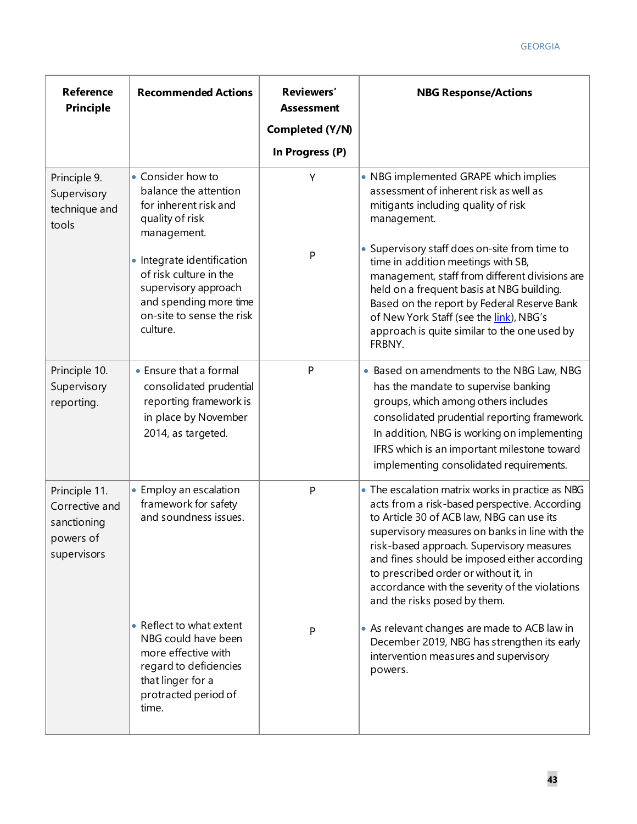| <b>Reference</b><br><b>Principle</b>                                       | <b>Recommended Actions</b>                                                                                                                             | Reviewers'<br><b>Assessment</b> | <b>NBG Response/Actions</b>                                                                                                                                                                                                                                                                                                                                                                                              |  |  |
|----------------------------------------------------------------------------|--------------------------------------------------------------------------------------------------------------------------------------------------------|---------------------------------|--------------------------------------------------------------------------------------------------------------------------------------------------------------------------------------------------------------------------------------------------------------------------------------------------------------------------------------------------------------------------------------------------------------------------|--|--|
|                                                                            |                                                                                                                                                        | Completed (Y/N)                 |                                                                                                                                                                                                                                                                                                                                                                                                                          |  |  |
|                                                                            |                                                                                                                                                        | In Progress (P)                 |                                                                                                                                                                                                                                                                                                                                                                                                                          |  |  |
| Principle 9.<br>Supervisory<br>technique and<br>tools                      | • Consider how to<br>balance the attention<br>for inherent risk and<br>quality of risk<br>management.                                                  | Y                               | • NBG implemented GRAPE which implies<br>assessment of inherent risk as well as<br>mitigants including quality of risk<br>management.                                                                                                                                                                                                                                                                                    |  |  |
|                                                                            | • Integrate identification<br>of risk culture in the<br>supervisory approach<br>and spending more time<br>on-site to sense the risk<br>culture.        | P                               | • Supervisory staff does on-site from time to<br>time in addition meetings with SB,<br>management, staff from different divisions are<br>held on a frequent basis at NBG building.<br>Based on the report by Federal Reserve Bank<br>of New York Staff (see the link), NBG's<br>approach is quite similar to the one used by<br>FRBNY.                                                                                   |  |  |
| Principle 10.<br>Supervisory<br>reporting.                                 | • Ensure that a formal<br>consolidated prudential<br>reporting framework is<br>in place by November<br>2014, as targeted.                              | P                               | • Based on amendments to the NBG Law, NBG<br>has the mandate to supervise banking<br>groups, which among others includes<br>consolidated prudential reporting framework.<br>In addition, NBG is working on implementing<br>IFRS which is an important milestone toward<br>implementing consolidated requirements.                                                                                                        |  |  |
| Principle 11.<br>Corrective and<br>sanctioning<br>powers of<br>supervisors | • Employ an escalation<br>framework for safety<br>and soundness issues.                                                                                | P                               | • The escalation matrix works in practice as NBG<br>acts from a risk-based perspective. According<br>to Article 30 of ACB law, NBG can use its<br>supervisory measures on banks in line with the<br>risk-based approach. Supervisory measures<br>and fines should be imposed either according<br>to prescribed order or without it, in<br>accordance with the severity of the violations<br>and the risks posed by them. |  |  |
|                                                                            | • Reflect to what extent<br>NBG could have been<br>more effective with<br>regard to deficiencies<br>that linger for a<br>protracted period of<br>time. | P                               | • As relevant changes are made to ACB law in<br>December 2019, NBG has strengthen its early<br>intervention measures and supervisory<br>powers.                                                                                                                                                                                                                                                                          |  |  |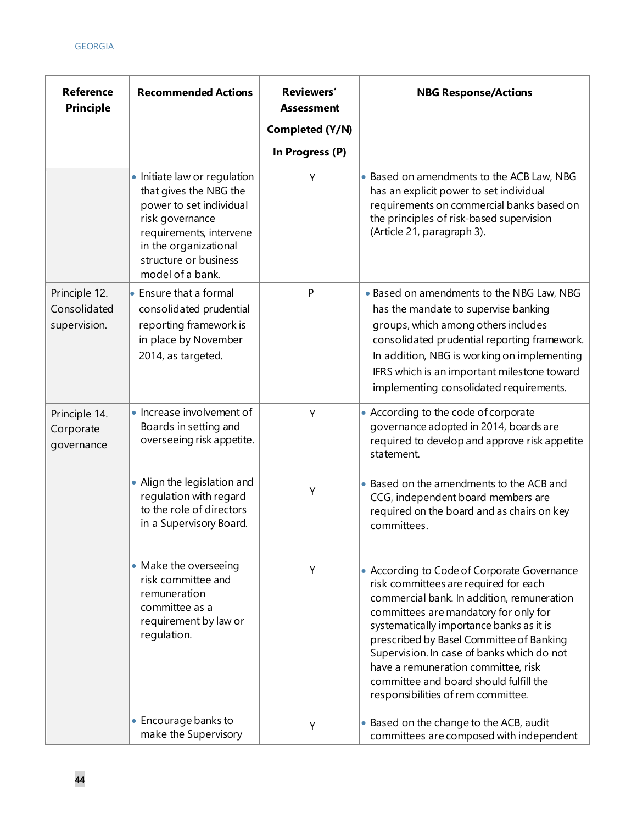| <b>Reference</b><br><b>Principle</b>          | <b>Recommended Actions</b>                                                                                                                                                                            | Reviewers'<br><b>Assessment</b><br>Completed (Y/N)<br>In Progress (P) | <b>NBG Response/Actions</b>                                                                                                                                                                                                                                                                                                                                                                                                              |
|-----------------------------------------------|-------------------------------------------------------------------------------------------------------------------------------------------------------------------------------------------------------|-----------------------------------------------------------------------|------------------------------------------------------------------------------------------------------------------------------------------------------------------------------------------------------------------------------------------------------------------------------------------------------------------------------------------------------------------------------------------------------------------------------------------|
|                                               | • Initiate law or regulation<br>that gives the NBG the<br>power to set individual<br>risk governance<br>requirements, intervene<br>in the organizational<br>structure or business<br>model of a bank. | Y                                                                     | • Based on amendments to the ACB Law, NBG<br>has an explicit power to set individual<br>requirements on commercial banks based on<br>the principles of risk-based supervision<br>(Article 21, paragraph 3).                                                                                                                                                                                                                              |
| Principle 12.<br>Consolidated<br>supervision. | $\bullet$ Ensure that a formal<br>consolidated prudential<br>reporting framework is<br>in place by November<br>2014, as targeted.                                                                     | $\mathsf{P}$                                                          | . Based on amendments to the NBG Law, NBG<br>has the mandate to supervise banking<br>groups, which among others includes<br>consolidated prudential reporting framework.<br>In addition, NBG is working on implementing<br>IFRS which is an important milestone toward<br>implementing consolidated requirements.                                                                                                                        |
| Principle 14.<br>Corporate<br>governance      | • Increase involvement of<br>Boards in setting and<br>overseeing risk appetite.                                                                                                                       | Y                                                                     | • According to the code of corporate<br>governance adopted in 2014, boards are<br>required to develop and approve risk appetite<br>statement.                                                                                                                                                                                                                                                                                            |
|                                               | • Align the legislation and<br>regulation with regard<br>to the role of directors<br>in a Supervisory Board.                                                                                          | Y                                                                     | • Based on the amendments to the ACB and<br>CCG, independent board members are<br>required on the board and as chairs on key<br>committees.                                                                                                                                                                                                                                                                                              |
|                                               | • Make the overseeing<br>risk committee and<br>remuneration<br>committee as a<br>requirement by law or<br>regulation.                                                                                 | Υ                                                                     | • According to Code of Corporate Governance<br>risk committees are required for each<br>commercial bank. In addition, remuneration<br>committees are mandatory for only for<br>systematically importance banks as it is<br>prescribed by Basel Committee of Banking<br>Supervision. In case of banks which do not<br>have a remuneration committee, risk<br>committee and board should fulfill the<br>responsibilities of rem committee. |
|                                               | • Encourage banks to<br>make the Supervisory                                                                                                                                                          | Y                                                                     | • Based on the change to the ACB, audit<br>committees are composed with independent                                                                                                                                                                                                                                                                                                                                                      |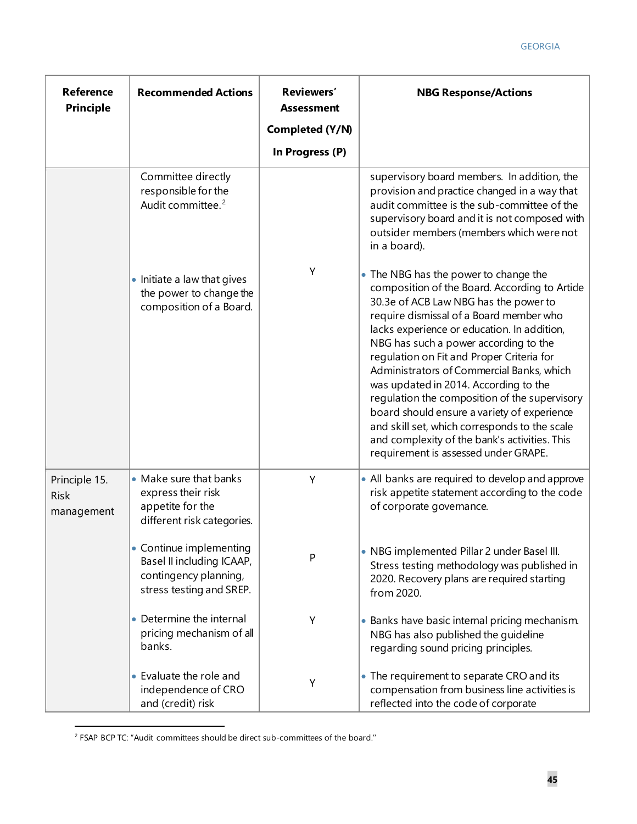| <b>Reference</b><br><b>Principle</b>       | <b>Recommended Actions</b>                                                                                | Reviewers'<br><b>Assessment</b> | <b>NBG Response/Actions</b>                                                                                                                                                                                                                                                                                                                                                                                                                                                                                                                                                                                                                      |  |  |
|--------------------------------------------|-----------------------------------------------------------------------------------------------------------|---------------------------------|--------------------------------------------------------------------------------------------------------------------------------------------------------------------------------------------------------------------------------------------------------------------------------------------------------------------------------------------------------------------------------------------------------------------------------------------------------------------------------------------------------------------------------------------------------------------------------------------------------------------------------------------------|--|--|
|                                            |                                                                                                           | Completed (Y/N)                 |                                                                                                                                                                                                                                                                                                                                                                                                                                                                                                                                                                                                                                                  |  |  |
|                                            |                                                                                                           | In Progress (P)                 |                                                                                                                                                                                                                                                                                                                                                                                                                                                                                                                                                                                                                                                  |  |  |
|                                            | Committee directly<br>responsible for the<br>Audit committee. <sup>2</sup>                                |                                 | supervisory board members. In addition, the<br>provision and practice changed in a way that<br>audit committee is the sub-committee of the<br>supervisory board and it is not composed with<br>outsider members (members which were not<br>in a board).                                                                                                                                                                                                                                                                                                                                                                                          |  |  |
|                                            | • Initiate a law that gives<br>the power to change the<br>composition of a Board.                         | Y                               | • The NBG has the power to change the<br>composition of the Board. According to Article<br>30.3e of ACB Law NBG has the power to<br>require dismissal of a Board member who<br>lacks experience or education. In addition,<br>NBG has such a power according to the<br>regulation on Fit and Proper Criteria for<br>Administrators of Commercial Banks, which<br>was updated in 2014. According to the<br>regulation the composition of the supervisory<br>board should ensure a variety of experience<br>and skill set, which corresponds to the scale<br>and complexity of the bank's activities. This<br>requirement is assessed under GRAPE. |  |  |
| Principle 15.<br><b>Risk</b><br>management | • Make sure that banks<br>express their risk<br>appetite for the<br>different risk categories.            | Y                               | • All banks are required to develop and approve<br>risk appetite statement according to the code<br>of corporate governance.                                                                                                                                                                                                                                                                                                                                                                                                                                                                                                                     |  |  |
|                                            | • Continue implementing<br>Basel II including ICAAP,<br>contingency planning,<br>stress testing and SREP. | P                               | • NBG implemented Pillar 2 under Basel III.<br>Stress testing methodology was published in<br>2020. Recovery plans are required starting<br>from 2020.                                                                                                                                                                                                                                                                                                                                                                                                                                                                                           |  |  |
|                                            | • Determine the internal<br>pricing mechanism of all<br>banks.                                            | Υ                               | • Banks have basic internal pricing mechanism.<br>NBG has also published the quideline<br>regarding sound pricing principles.                                                                                                                                                                                                                                                                                                                                                                                                                                                                                                                    |  |  |
|                                            | • Evaluate the role and<br>independence of CRO<br>and (credit) risk                                       | Υ                               | • The requirement to separate CRO and its<br>compensation from business line activities is<br>reflected into the code of corporate                                                                                                                                                                                                                                                                                                                                                                                                                                                                                                               |  |  |

<span id="page-45-0"></span><sup>&</sup>lt;sup>2</sup> FSAP BCP TC: "Audit committees should be direct sub-committees of the board."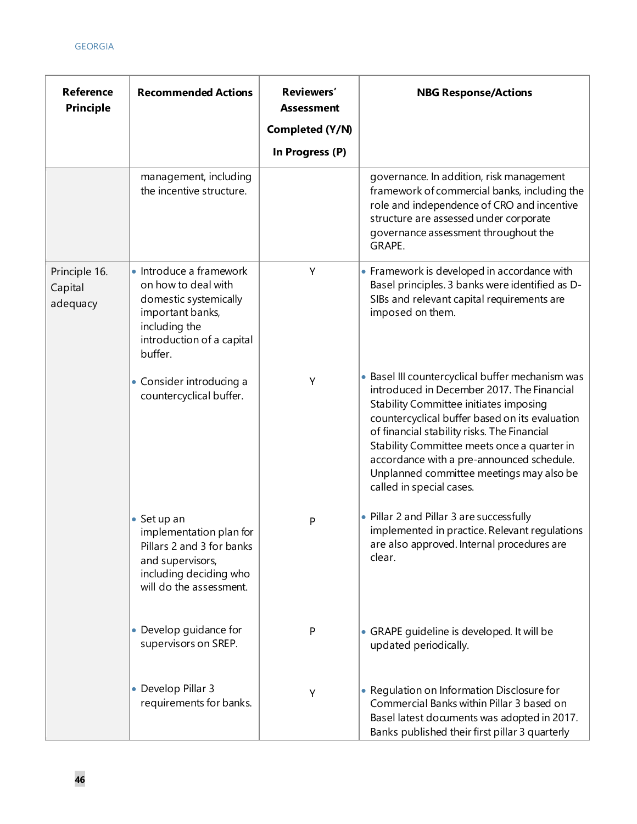| <b>Reference</b><br><b>Principle</b> | <b>Recommended Actions</b>                                                                                                                           | Reviewers'<br><b>Assessment</b><br>Completed (Y/N)<br>In Progress (P) | <b>NBG Response/Actions</b>                                                                                                                                                                                                                                                                                                                                                                                   |
|--------------------------------------|------------------------------------------------------------------------------------------------------------------------------------------------------|-----------------------------------------------------------------------|---------------------------------------------------------------------------------------------------------------------------------------------------------------------------------------------------------------------------------------------------------------------------------------------------------------------------------------------------------------------------------------------------------------|
|                                      | management, including<br>the incentive structure.                                                                                                    |                                                                       | governance. In addition, risk management<br>framework of commercial banks, including the<br>role and independence of CRO and incentive<br>structure are assessed under corporate<br>governance assessment throughout the<br>GRAPE.                                                                                                                                                                            |
| Principle 16.<br>Capital<br>adequacy | • Introduce a framework<br>on how to deal with<br>domestic systemically<br>important banks,<br>including the<br>introduction of a capital<br>buffer. | Υ                                                                     | • Framework is developed in accordance with<br>Basel principles. 3 banks were identified as D-<br>SIBs and relevant capital requirements are<br>imposed on them.                                                                                                                                                                                                                                              |
|                                      | • Consider introducing a<br>countercyclical buffer.                                                                                                  | Y                                                                     | · Basel III countercyclical buffer mechanism was<br>introduced in December 2017. The Financial<br>Stability Committee initiates imposing<br>countercyclical buffer based on its evaluation<br>of financial stability risks. The Financial<br>Stability Committee meets once a quarter in<br>accordance with a pre-announced schedule.<br>Unplanned committee meetings may also be<br>called in special cases. |
|                                      | $\bullet$ Set up an<br>implementation plan for<br>Pillars 2 and 3 for banks<br>and supervisors,<br>including deciding who<br>will do the assessment. | P                                                                     | • Pillar 2 and Pillar 3 are successfully<br>implemented in practice. Relevant regulations<br>are also approved. Internal procedures are<br>clear.                                                                                                                                                                                                                                                             |
|                                      | • Develop guidance for<br>supervisors on SREP.                                                                                                       | $\mathsf{P}$                                                          | • GRAPE guideline is developed. It will be<br>updated periodically.                                                                                                                                                                                                                                                                                                                                           |
|                                      | • Develop Pillar 3<br>requirements for banks.                                                                                                        | Y                                                                     | • Regulation on Information Disclosure for<br>Commercial Banks within Pillar 3 based on<br>Basel latest documents was adopted in 2017.<br>Banks published their first pillar 3 quarterly                                                                                                                                                                                                                      |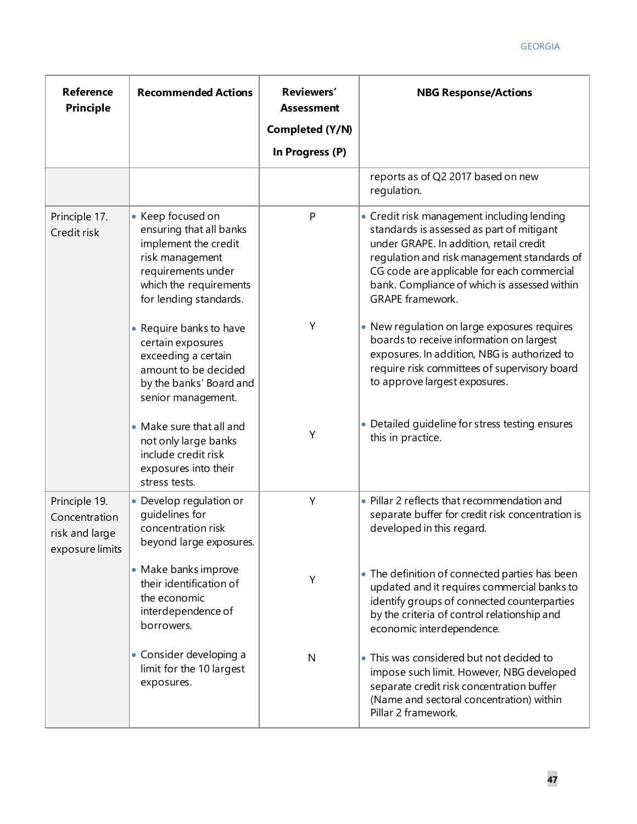| <b>Reference</b><br><b>Principle</b>                                | <b>Recommended Actions</b>                                                                                                                                        | Reviewers'<br><b>Assessment</b><br>Completed (Y/N) | <b>NBG Response/Actions</b>                                                                                                                                                                                                                                                                                |
|---------------------------------------------------------------------|-------------------------------------------------------------------------------------------------------------------------------------------------------------------|----------------------------------------------------|------------------------------------------------------------------------------------------------------------------------------------------------------------------------------------------------------------------------------------------------------------------------------------------------------------|
|                                                                     |                                                                                                                                                                   | In Progress (P)                                    |                                                                                                                                                                                                                                                                                                            |
|                                                                     |                                                                                                                                                                   |                                                    | reports as of Q2 2017 based on new<br>regulation.                                                                                                                                                                                                                                                          |
| Principle 17.<br>Credit risk                                        | • Keep focused on<br>ensuring that all banks<br>implement the credit<br>risk management<br>requirements under<br>which the requirements<br>for lending standards. | P                                                  | • Credit risk management including lending<br>standards is assessed as part of mitigant<br>under GRAPE. In addition, retail credit<br>regulation and risk management standards of<br>CG code are applicable for each commercial<br>bank. Compliance of which is assessed within<br><b>GRAPE</b> framework. |
|                                                                     | • Require banks to have<br>certain exposures<br>exceeding a certain<br>amount to be decided<br>by the banks' Board and<br>senior management.                      | Υ                                                  | • New regulation on large exposures requires<br>boards to receive information on largest<br>exposures. In addition, NBG is authorized to<br>require risk committees of supervisory board<br>to approve largest exposures.                                                                                  |
|                                                                     | • Make sure that all and<br>not only large banks<br>include credit risk<br>exposures into their<br>stress tests.                                                  | Υ                                                  | • Detailed guideline for stress testing ensures<br>this in practice.                                                                                                                                                                                                                                       |
| Principle 19.<br>Concentration<br>risk and large<br>exposure limits | • Develop regulation or<br>guidelines for<br>concentration risk<br>beyond large exposures.                                                                        | Y                                                  | • Pillar 2 reflects that recommendation and<br>separate buffer for credit risk concentration is<br>developed in this regard.                                                                                                                                                                               |
|                                                                     | • Make banks improve<br>their identification of<br>the economic<br>interdependence of<br>borrowers.                                                               | Υ                                                  | • The definition of connected parties has been<br>updated and it requires commercial banks to<br>identify groups of connected counterparties<br>by the criteria of control relationship and<br>economic interdependence.                                                                                   |
|                                                                     | • Consider developing a<br>limit for the 10 largest<br>exposures.                                                                                                 | $\mathsf{N}$                                       | • This was considered but not decided to<br>impose such limit. However, NBG developed<br>separate credit risk concentration buffer<br>(Name and sectoral concentration) within<br>Pillar 2 framework.                                                                                                      |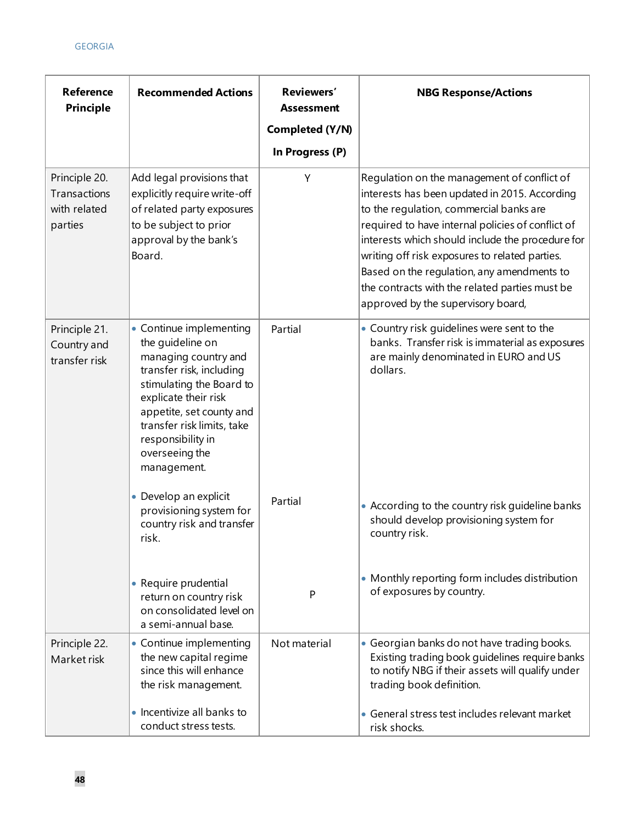| <b>Reference</b><br>Principle                            | <b>Recommended Actions</b>                                                                                                                                                                                                                                          | Reviewers'<br><b>Assessment</b><br>Completed (Y/N)<br>In Progress (P) | <b>NBG Response/Actions</b>                                                                                                                                                                                                                                                                                                                                                                                                              |
|----------------------------------------------------------|---------------------------------------------------------------------------------------------------------------------------------------------------------------------------------------------------------------------------------------------------------------------|-----------------------------------------------------------------------|------------------------------------------------------------------------------------------------------------------------------------------------------------------------------------------------------------------------------------------------------------------------------------------------------------------------------------------------------------------------------------------------------------------------------------------|
| Principle 20.<br>Transactions<br>with related<br>parties | Add legal provisions that<br>explicitly require write-off<br>of related party exposures<br>to be subject to prior<br>approval by the bank's<br>Board.                                                                                                               | Y                                                                     | Regulation on the management of conflict of<br>interests has been updated in 2015. According<br>to the regulation, commercial banks are<br>required to have internal policies of conflict of<br>interests which should include the procedure for<br>writing off risk exposures to related parties.<br>Based on the regulation, any amendments to<br>the contracts with the related parties must be<br>approved by the supervisory board, |
| Principle 21.<br>Country and<br>transfer risk            | • Continue implementing<br>the quideline on<br>managing country and<br>transfer risk, including<br>stimulating the Board to<br>explicate their risk<br>appetite, set county and<br>transfer risk limits, take<br>responsibility in<br>overseeing the<br>management. | Partial                                                               | • Country risk guidelines were sent to the<br>banks. Transfer risk is immaterial as exposures<br>are mainly denominated in EURO and US<br>dollars.                                                                                                                                                                                                                                                                                       |
|                                                          | • Develop an explicit<br>provisioning system for<br>country risk and transfer<br>risk.                                                                                                                                                                              | Partial                                                               | • According to the country risk guideline banks<br>should develop provisioning system for<br>country risk.                                                                                                                                                                                                                                                                                                                               |
|                                                          | • Require prudential<br>return on country risk<br>on consolidated level on<br>a semi-annual base.                                                                                                                                                                   | P                                                                     | • Monthly reporting form includes distribution<br>of exposures by country.                                                                                                                                                                                                                                                                                                                                                               |
| Principle 22.<br>Market risk                             | • Continue implementing<br>the new capital regime<br>since this will enhance<br>the risk management.                                                                                                                                                                | Not material                                                          | • Georgian banks do not have trading books.<br>Existing trading book guidelines require banks<br>to notify NBG if their assets will qualify under<br>trading book definition.                                                                                                                                                                                                                                                            |
|                                                          | • Incentivize all banks to<br>conduct stress tests.                                                                                                                                                                                                                 |                                                                       | • General stress test includes relevant market<br>risk shocks.                                                                                                                                                                                                                                                                                                                                                                           |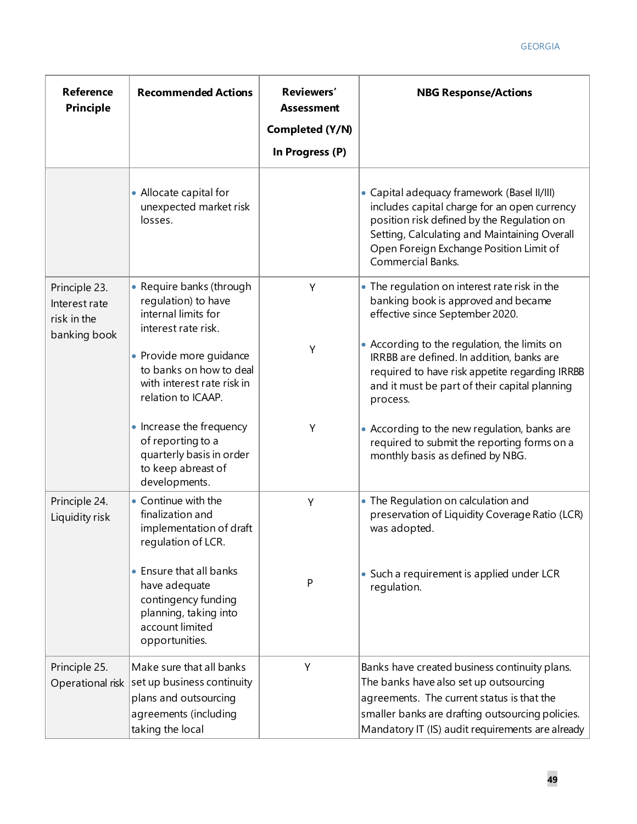| <b>Reference</b><br><b>Principle</b>          | <b>Recommended Actions</b>                                                                                                    | Reviewers'<br><b>Assessment</b><br>Completed (Y/N)<br>In Progress (P) | <b>NBG Response/Actions</b>                                                                                                                                                                                                                               |
|-----------------------------------------------|-------------------------------------------------------------------------------------------------------------------------------|-----------------------------------------------------------------------|-----------------------------------------------------------------------------------------------------------------------------------------------------------------------------------------------------------------------------------------------------------|
|                                               | • Allocate capital for<br>unexpected market risk<br>losses.                                                                   |                                                                       | • Capital adequacy framework (Basel II/III)<br>includes capital charge for an open currency<br>position risk defined by the Regulation on<br>Setting, Calculating and Maintaining Overall<br>Open Foreign Exchange Position Limit of<br>Commercial Banks. |
| Principle 23.<br>Interest rate<br>risk in the | • Require banks (through<br>regulation) to have<br>internal limits for<br>interest rate risk.                                 | Y                                                                     | • The regulation on interest rate risk in the<br>banking book is approved and became<br>effective since September 2020.                                                                                                                                   |
| banking book                                  | • Provide more guidance<br>to banks on how to deal<br>with interest rate risk in<br>relation to ICAAP.                        | Y                                                                     | • According to the regulation, the limits on<br>IRRBB are defined. In addition, banks are<br>required to have risk appetite regarding IRRBB<br>and it must be part of their capital planning<br>process.                                                  |
|                                               | • Increase the frequency<br>of reporting to a<br>quarterly basis in order<br>to keep abreast of<br>developments.              | Υ                                                                     | • According to the new regulation, banks are<br>required to submit the reporting forms on a<br>monthly basis as defined by NBG.                                                                                                                           |
| Principle 24.<br>Liquidity risk               | • Continue with the<br>finalization and<br>implementation of draft<br>regulation of LCR.                                      | Y                                                                     | • The Regulation on calculation and<br>preservation of Liquidity Coverage Ratio (LCR)<br>was adopted.                                                                                                                                                     |
|                                               | • Ensure that all banks<br>have adequate<br>contingency funding<br>planning, taking into<br>account limited<br>opportunities. | ${\sf P}$                                                             | • Such a requirement is applied under LCR<br>regulation.                                                                                                                                                                                                  |
| Principle 25.<br>Operational risk             | Make sure that all banks<br>set up business continuity<br>plans and outsourcing<br>agreements (including<br>taking the local  | Υ                                                                     | Banks have created business continuity plans.<br>The banks have also set up outsourcing<br>agreements. The current status is that the<br>smaller banks are drafting outsourcing policies.<br>Mandatory IT (IS) audit requirements are already             |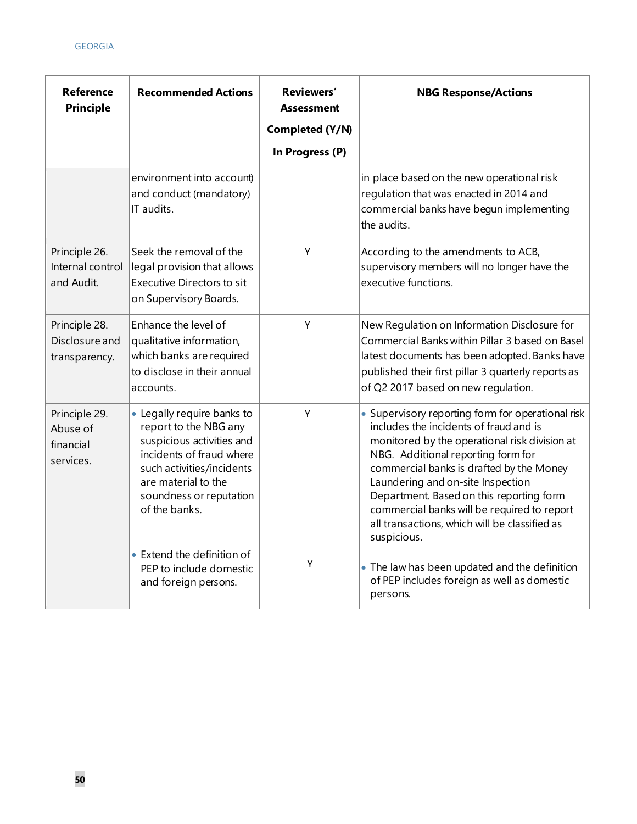| <b>Reference</b><br><b>Principle</b>                | <b>Recommended Actions</b>                                                                                                                                                                                                                 | Reviewers'<br><b>Assessment</b><br>Completed (Y/N)<br>In Progress (P) | <b>NBG Response/Actions</b>                                                                                                                                                                                                                                                                                                                                                                                                    |
|-----------------------------------------------------|--------------------------------------------------------------------------------------------------------------------------------------------------------------------------------------------------------------------------------------------|-----------------------------------------------------------------------|--------------------------------------------------------------------------------------------------------------------------------------------------------------------------------------------------------------------------------------------------------------------------------------------------------------------------------------------------------------------------------------------------------------------------------|
|                                                     | environment into account)<br>and conduct (mandatory)<br>IT audits.                                                                                                                                                                         |                                                                       | in place based on the new operational risk<br>regulation that was enacted in 2014 and<br>commercial banks have begun implementing<br>the audits.                                                                                                                                                                                                                                                                               |
| Principle 26.<br>Internal control<br>and Audit.     | Seek the removal of the<br>legal provision that allows<br>Executive Directors to sit<br>on Supervisory Boards.                                                                                                                             | Y                                                                     | According to the amendments to ACB,<br>supervisory members will no longer have the<br>executive functions.                                                                                                                                                                                                                                                                                                                     |
| Principle 28.<br>Disclosure and<br>transparency.    | Enhance the level of<br>qualitative information,<br>which banks are required<br>to disclose in their annual<br>accounts.                                                                                                                   | Y                                                                     | New Regulation on Information Disclosure for<br>Commercial Banks within Pillar 3 based on Basel<br>latest documents has been adopted. Banks have<br>published their first pillar 3 quarterly reports as<br>of Q2 2017 based on new regulation.                                                                                                                                                                                 |
| Principle 29.<br>Abuse of<br>financial<br>services. | • Legally require banks to<br>report to the NBG any<br>suspicious activities and<br>incidents of fraud where<br>such activities/incidents<br>are material to the<br>soundness or reputation<br>of the banks.<br>• Extend the definition of | Y                                                                     | • Supervisory reporting form for operational risk<br>includes the incidents of fraud and is<br>monitored by the operational risk division at<br>NBG. Additional reporting form for<br>commercial banks is drafted by the Money<br>Laundering and on-site Inspection<br>Department. Based on this reporting form<br>commercial banks will be required to report<br>all transactions, which will be classified as<br>suspicious. |
|                                                     | PEP to include domestic<br>and foreign persons.                                                                                                                                                                                            | Υ                                                                     | • The law has been updated and the definition<br>of PEP includes foreign as well as domestic<br>persons.                                                                                                                                                                                                                                                                                                                       |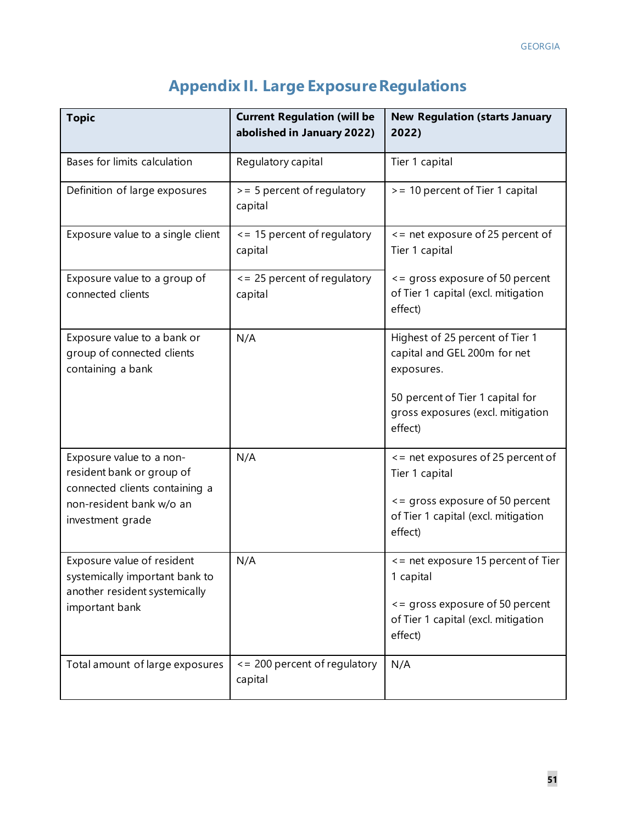| <b>Topic</b>                                                                                                                            | <b>Current Regulation (will be</b><br>abolished in January 2022) | <b>New Regulation (starts January</b><br>2022)                                                                                                                    |  |  |
|-----------------------------------------------------------------------------------------------------------------------------------------|------------------------------------------------------------------|-------------------------------------------------------------------------------------------------------------------------------------------------------------------|--|--|
| Bases for limits calculation                                                                                                            | Regulatory capital                                               | Tier 1 capital                                                                                                                                                    |  |  |
| Definition of large exposures                                                                                                           | > = 5 percent of regulatory<br>capital                           | > = 10 percent of Tier 1 capital                                                                                                                                  |  |  |
| Exposure value to a single client                                                                                                       | $\le$ = 15 percent of regulatory<br>capital                      | <= net exposure of 25 percent of<br>Tier 1 capital                                                                                                                |  |  |
| Exposure value to a group of<br>connected clients                                                                                       | <= 25 percent of regulatory<br>capital                           | <= gross exposure of 50 percent<br>of Tier 1 capital (excl. mitigation<br>effect)                                                                                 |  |  |
| Exposure value to a bank or<br>group of connected clients<br>containing a bank                                                          | N/A                                                              | Highest of 25 percent of Tier 1<br>capital and GEL 200m for net<br>exposures.<br>50 percent of Tier 1 capital for<br>gross exposures (excl. mitigation<br>effect) |  |  |
| Exposure value to a non-<br>resident bank or group of<br>connected clients containing a<br>non-resident bank w/o an<br>investment grade | N/A                                                              | <= net exposures of 25 percent of<br>Tier 1 capital<br><= gross exposure of 50 percent<br>of Tier 1 capital (excl. mitigation<br>effect)                          |  |  |
| Exposure value of resident<br>systemically important bank to<br>another resident systemically<br>important bank                         | N/A                                                              | <= net exposure 15 percent of Tier<br>1 capital<br><= gross exposure of 50 percent<br>of Tier 1 capital (excl. mitigation<br>effect)                              |  |  |
| Total amount of large exposures                                                                                                         | $\epsilon$ = 200 percent of regulatory<br>capital                | N/A                                                                                                                                                               |  |  |

# **Appendix II. Large Exposure Regulations**